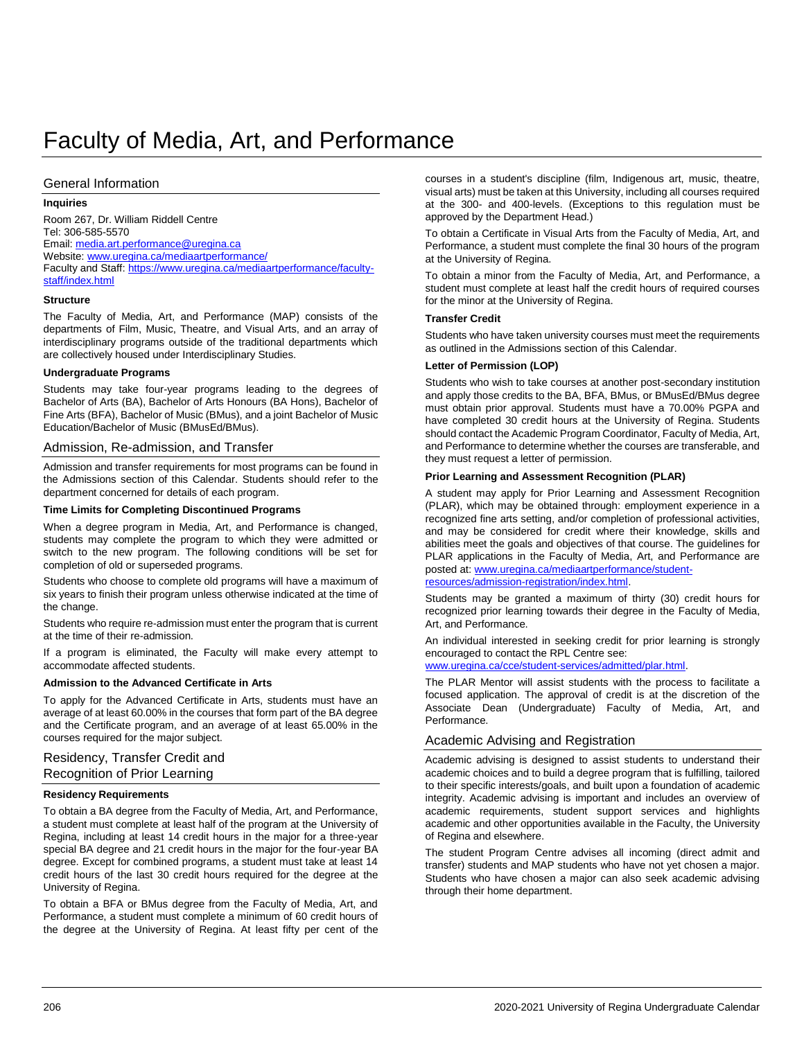# Faculty of Media, Art, and Performance

### General Information

### **Inquiries**

Room 267, Dr. William Riddell Centre Tel: 306-585-5570 Email[: media.art.performance@uregina.ca](mailto:media.art.performance@uregina.ca) Website[: www.uregina.ca/mediaartperformance/](http://www.uregina.ca/mediaartperformance/) Faculty and Staff[: https://www.uregina.ca/mediaartperformance/faculty](https://www.uregina.ca/mediaartperformance/faculty-staff/index.html)[staff/index.html](https://www.uregina.ca/mediaartperformance/faculty-staff/index.html)

#### **Structure**

The Faculty of Media, Art, and Performance (MAP) consists of the departments of Film, Music, Theatre, and Visual Arts, and an array of interdisciplinary programs outside of the traditional departments which are collectively housed under Interdisciplinary Studies.

#### **Undergraduate Programs**

Students may take four-year programs leading to the degrees of Bachelor of Arts (BA), Bachelor of Arts Honours (BA Hons), Bachelor of Fine Arts (BFA), Bachelor of Music (BMus), and a joint Bachelor of Music Education/Bachelor of Music (BMusEd/BMus).

### Admission, Re-admission, and Transfer

Admission and transfer requirements for most programs can be found in the Admissions section of this Calendar. Students should refer to the department concerned for details of each program.

#### **Time Limits for Completing Discontinued Programs**

When a degree program in Media, Art, and Performance is changed, students may complete the program to which they were admitted or switch to the new program. The following conditions will be set for completion of old or superseded programs.

Students who choose to complete old programs will have a maximum of six years to finish their program unless otherwise indicated at the time of the change.

Students who require re-admission must enter the program that is current at the time of their re-admission.

If a program is eliminated, the Faculty will make every attempt to accommodate affected students.

### **Admission to the Advanced Certificate in Arts**

To apply for the Advanced Certificate in Arts, students must have an average of at least 60.00% in the courses that form part of the BA degree and the Certificate program, and an average of at least 65.00% in the courses required for the major subject.

Residency, Transfer Credit and Recognition of Prior Learning

### **Residency Requirements**

To obtain a BA degree from the Faculty of Media, Art, and Performance, a student must complete at least half of the program at the University of Regina, including at least 14 credit hours in the major for a three-year special BA degree and 21 credit hours in the major for the four-year BA degree. Except for combined programs, a student must take at least 14 credit hours of the last 30 credit hours required for the degree at the University of Regina.

To obtain a BFA or BMus degree from the Faculty of Media, Art, and Performance, a student must complete a minimum of 60 credit hours of the degree at the University of Regina. At least fifty per cent of the courses in a student's discipline (film, Indigenous art, music, theatre, visual arts) must be taken at this University, including all courses required at the 300- and 400-levels. (Exceptions to this regulation must be approved by the Department Head.)

To obtain a Certificate in Visual Arts from the Faculty of Media, Art, and Performance, a student must complete the final 30 hours of the program at the University of Regina.

To obtain a minor from the Faculty of Media, Art, and Performance, a student must complete at least half the credit hours of required courses for the minor at the University of Regina.

### **Transfer Credit**

Students who have taken university courses must meet the requirements as outlined in the Admissions section of this Calendar.

#### **Letter of Permission (LOP)**

Students who wish to take courses at another post-secondary institution and apply those credits to the BA, BFA, BMus, or BMusEd/BMus degree must obtain prior approval. Students must have a 70.00% PGPA and have completed 30 credit hours at the University of Regina. Students should contact the Academic Program Coordinator, Faculty of Media, Art, and Performance to determine whether the courses are transferable, and they must request a letter of permission.

#### **Prior Learning and Assessment Recognition (PLAR)**

A student may apply for Prior Learning and Assessment Recognition (PLAR), which may be obtained through: employment experience in a recognized fine arts setting, and/or completion of professional activities, and may be considered for credit where their knowledge, skills and abilities meet the goals and objectives of that course. The guidelines for PLAR applications in the Faculty of Media, Art, and Performance are posted at[: www.uregina.ca/mediaartperformance/student](http://www.uregina.ca/mediaartperformance/student-resources/admission-registration/index.html)[resources/admission-registration/index.html.](http://www.uregina.ca/mediaartperformance/student-resources/admission-registration/index.html) 

Students may be granted a maximum of thirty (30) credit hours for recognized prior learning towards their degree in the Faculty of Media, Art, and Performance.

An individual interested in seeking credit for prior learning is strongly encouraged to contact the RPL Centre see:

[www.uregina.ca/cce/student-services/admitted/plar.html.](http://www.uregina.ca/cce/student-services/admitted/plar.html)

The PLAR Mentor will assist students with the process to facilitate a focused application. The approval of credit is at the discretion of the Associate Dean (Undergraduate) Faculty of Media, Art, and Performance.

### Academic Advising and Registration

Academic advising is designed to assist students to understand their academic choices and to build a degree program that is fulfilling, tailored to their specific interests/goals, and built upon a foundation of academic integrity. Academic advising is important and includes an overview of academic requirements, student support services and highlights academic and other opportunities available in the Faculty, the University of Regina and elsewhere.

The student Program Centre advises all incoming (direct admit and transfer) students and MAP students who have not yet chosen a major. Students who have chosen a major can also seek academic advising through their home department.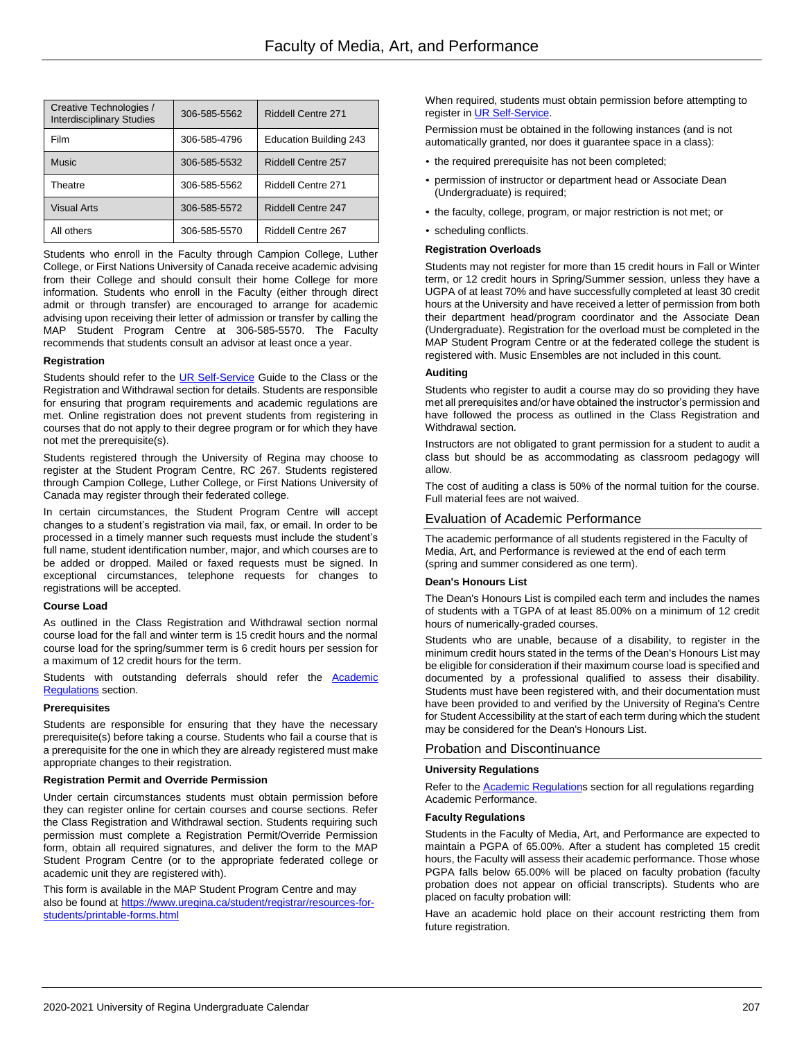| Creative Technologies /<br><b>Interdisciplinary Studies</b> | 306-585-5562 | <b>Riddell Centre 271</b>     |
|-------------------------------------------------------------|--------------|-------------------------------|
| Film                                                        | 306-585-4796 | <b>Education Building 243</b> |
| <b>Music</b>                                                | 306-585-5532 | Riddell Centre 257            |
| Theatre                                                     | 306-585-5562 | Riddell Centre 271            |
| <b>Visual Arts</b>                                          | 306-585-5572 | Riddell Centre 247            |
| All others                                                  | 306-585-5570 | Riddell Centre 267            |

Students who enroll in the Faculty through Campion College, Luther College, or First Nations University of Canada receive academic advising from their College and should consult their home College for more information. Students who enroll in the Faculty (either through direct admit or through transfer) are encouraged to arrange for academic advising upon receiving their letter of admission or transfer by calling the MAP Student Program Centre at 306-585-5570. The Faculty recommends that students consult an advisor at least once a year.

#### **Registration**

Students should refer to the [UR Self-Service](http://www.uregina.ca/student/registrar/registration) Guide to the Class or the Registration and Withdrawal section for details. Students are responsible for ensuring that program requirements and academic regulations are met. Online registration does not prevent students from registering in courses that do not apply to their degree program or for which they have not met the prerequisite(s).

Students registered through the University of Regina may choose to register at the Student Program Centre, RC 267. Students registered through Campion College, Luther College, or First Nations University of Canada may register through their federated college.

In certain circumstances, the Student Program Centre will accept changes to a student's registration via mail, fax, or email. In order to be processed in a timely manner such requests must include the student's full name, student identification number, major, and which courses are to be added or dropped. Mailed or faxed requests must be signed. In exceptional circumstances, telephone requests for changes to registrations will be accepted.

#### **Course Load**

As outlined in the Class Registration and Withdrawal section normal course load for the fall and winter term is 15 credit hours and the normal course load for the spring/summer term is 6 credit hours per session for a maximum of 12 credit hours for the term.

Students with outstanding deferrals should refer the **Academic** Regulations section.

### **Prerequisites**

Students are responsible for ensuring that they have the necessary prerequisite(s) before taking a course. Students who fail a course that is a prerequisite for the one in which they are already registered must make appropriate changes to their registration.

#### **Registration Permit and Override Permission**

Under certain circumstances students must obtain permission before they can register online for certain courses and course sections. Refer the Class Registration and Withdrawal section. Students requiring such permission must complete a Registration Permit/Override Permission form, obtain all required signatures, and deliver the form to the MAP Student Program Centre (or to the appropriate federated college or academic unit they are registered with).

This form is available in the MAP Student Program Centre and may also be found a[t https://www.uregina.ca/student/registrar/resources-for](https://www.uregina.ca/student/registrar/resources-for-students/printable-forms.html)[students/printable-forms.html](https://www.uregina.ca/student/registrar/resources-for-students/printable-forms.html)

When required, students must obtain permission before attempting to register in **UR Self-Service**.

Permission must be obtained in the following instances (and is not automatically granted, nor does it guarantee space in a class):

- the required prerequisite has not been completed;
- permission of instructor or department head or Associate Dean (Undergraduate) is required;
- the faculty, college, program, or major restriction is not met; or
- scheduling conflicts.

### **Registration Overloads**

Students may not register for more than 15 credit hours in Fall or Winter term, or 12 credit hours in Spring/Summer session, unless they have a UGPA of at least 70% and have successfully completed at least 30 credit hours at the University and have received a letter of permission from both their department head/program coordinator and the Associate Dean (Undergraduate). Registration for the overload must be completed in the MAP Student Program Centre or at the federated college the student is registered with. Music Ensembles are not included in this count.

#### **Auditing**

Students who register to audit a course may do so providing they have met all prerequisites and/or have obtained the instructor's permission and have followed the process as outlined in the Class Registration and Withdrawal section.

Instructors are not obligated to grant permission for a student to audit a class but should be as accommodating as classroom pedagogy will allow.

The cost of auditing a class is 50% of the normal tuition for the course. Full material fees are not waived.

#### Evaluation of Academic Performance

The academic performance of all students registered in the Faculty of Media, Art, and Performance is reviewed at the end of each term (spring and summer considered as one term).

### **Dean's Honours List**

The Dean's Honours List is compiled each term and includes the names of students with a TGPA of at least 85.00% on a minimum of 12 credit hours of numerically-graded courses.

Students who are unable, because of a disability, to register in the minimum credit hours stated in the terms of the Dean's Honours List may be eligible for consideration if their maximum course load is specified and documented by a professional qualified to assess their disability. Students must have been registered with, and their documentation must have been provided to and verified by the University of Regina's Centre for Student Accessibility at the start of each term during which the student may be considered for the Dean's Honours List.

### Probation and Discontinuance

### **University Regulations**

Refer to the Academic Regulations section for all regulations regarding Academic Performance.

#### **Faculty Regulations**

Students in the Faculty of Media, Art, and Performance are expected to maintain a PGPA of 65.00%. After a student has completed 15 credit hours, the Faculty will assess their academic performance. Those whose PGPA falls below 65.00% will be placed on faculty probation (faculty probation does not appear on official transcripts). Students who are placed on faculty probation will:

Have an academic hold place on their account restricting them from future registration.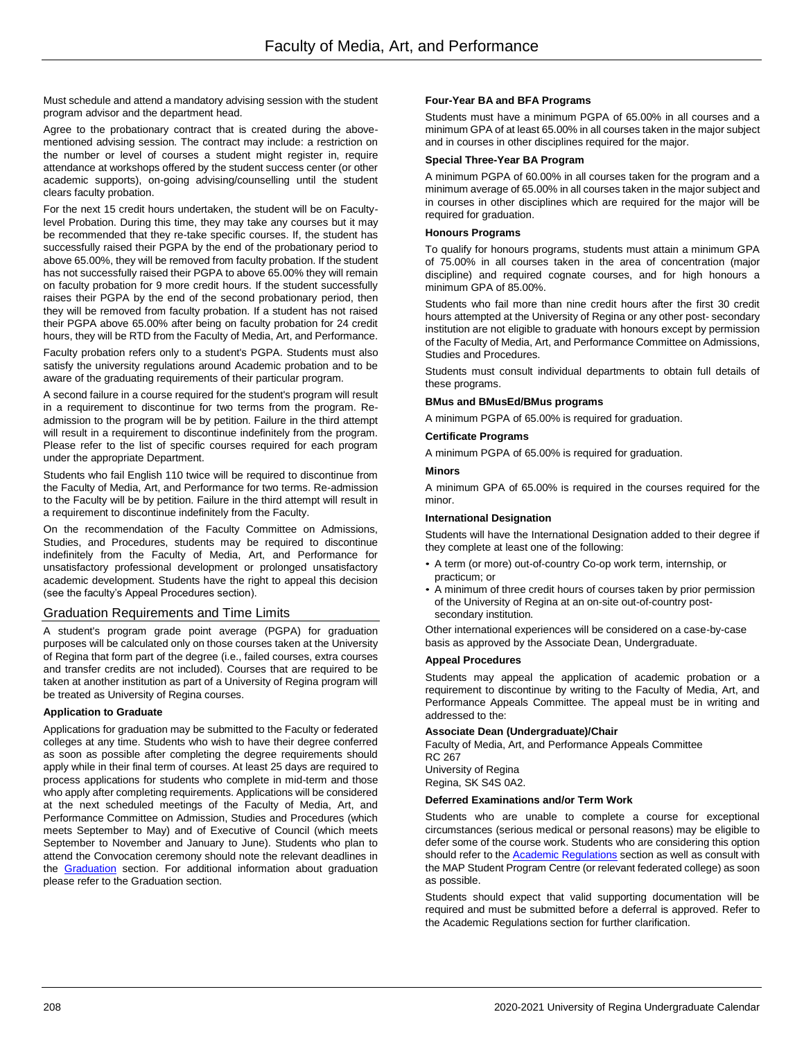Must schedule and attend a mandatory advising session with the student program advisor and the department head.

Agree to the probationary contract that is created during the abovementioned advising session. The contract may include: a restriction on the number or level of courses a student might register in, require attendance at workshops offered by the student success center (or other academic supports), on-going advising/counselling until the student clears faculty probation.

For the next 15 credit hours undertaken, the student will be on Facultylevel Probation. During this time, they may take any courses but it may be recommended that they re-take specific courses. If, the student has successfully raised their PGPA by the end of the probationary period to above 65.00%, they will be removed from faculty probation. If the student has not successfully raised their PGPA to above 65.00% they will remain on faculty probation for 9 more credit hours. If the student successfully raises their PGPA by the end of the second probationary period, then they will be removed from faculty probation. If a student has not raised their PGPA above 65.00% after being on faculty probation for 24 credit hours, they will be RTD from the Faculty of Media, Art, and Performance. Faculty probation refers only to a student's PGPA. Students must also

satisfy the university regulations around Academic probation and to be aware of the graduating requirements of their particular program.

A second failure in a course required for the student's program will result in a requirement to discontinue for two terms from the program. Readmission to the program will be by petition. Failure in the third attempt will result in a requirement to discontinue indefinitely from the program. Please refer to the list of specific courses required for each program under the appropriate Department.

Students who fail English 110 twice will be required to discontinue from the Faculty of Media, Art, and Performance for two terms. Re-admission to the Faculty will be by petition. Failure in the third attempt will result in a requirement to discontinue indefinitely from the Faculty.

On the recommendation of the Faculty Committee on Admissions, Studies, and Procedures, students may be required to discontinue indefinitely from the Faculty of Media, Art, and Performance for unsatisfactory professional development or prolonged unsatisfactory academic development. Students have the right to appeal this decision (see the faculty's Appeal Procedures section).

### Graduation Requirements and Time Limits

A student's program grade point average (PGPA) for graduation purposes will be calculated only on those courses taken at the University of Regina that form part of the degree (i.e., failed courses, extra courses and transfer credits are not included). Courses that are required to be taken at another institution as part of a University of Regina program will be treated as University of Regina courses.

### **Application to Graduate**

Applications for graduation may be submitted to the Faculty or federated colleges at any time. Students who wish to have their degree conferred as soon as possible after completing the degree requirements should apply while in their final term of courses. At least 25 days are required to process applications for students who complete in mid-term and those who apply after completing requirements. Applications will be considered at the next scheduled meetings of the Faculty of Media, Art, and Performance Committee on Admission, Studies and Procedures (which meets September to May) and of Executive of Council (which meets September to November and January to June). Students who plan to attend the Convocation ceremony should note the relevant deadlines in the Graduation section. For additional information about graduation please refer to the Graduation section.

### **Four-Year BA and BFA Programs**

Students must have a minimum PGPA of 65.00% in all courses and a minimum GPA of at least 65.00% in all courses taken in the major subject and in courses in other disciplines required for the major.

### **Special Three-Year BA Program**

A minimum PGPA of 60.00% in all courses taken for the program and a minimum average of 65.00% in all courses taken in the major subject and in courses in other disciplines which are required for the major will be required for graduation.

### **Honours Programs**

To qualify for honours programs, students must attain a minimum GPA of 75.00% in all courses taken in the area of concentration (major discipline) and required cognate courses, and for high honours a minimum GPA of 85.00%.

Students who fail more than nine credit hours after the first 30 credit hours attempted at the University of Regina or any other post- secondary institution are not eligible to graduate with honours except by permission of the Faculty of Media, Art, and Performance Committee on Admissions, Studies and Procedures.

Students must consult individual departments to obtain full details of these programs.

### **BMus and BMusEd/BMus programs**

A minimum PGPA of 65.00% is required for graduation.

### **Certificate Programs**

A minimum PGPA of 65.00% is required for graduation.

### **Minors**

A minimum GPA of 65.00% is required in the courses required for the minor.

#### **International Designation**

Students will have the International Designation added to their degree if they complete at least one of the following:

- A term (or more) out-of-country Co-op work term, internship, or practicum; or
- A minimum of three credit hours of courses taken by prior permission of the University of Regina at an on-site out-of-country postsecondary institution.

Other international experiences will be considered on a case-by-case basis as approved by the Associate Dean, Undergraduate.

#### **Appeal Procedures**

Students may appeal the application of academic probation or a requirement to discontinue by writing to the Faculty of Media, Art, and Performance Appeals Committee. The appeal must be in writing and addressed to the:

### **Associate Dean (Undergraduate)/Chair**

Faculty of Media, Art, and Performance Appeals Committee RC 267

University of Regina Regina, SK S4S 0A2.

### **Deferred Examinations and/or Term Work**

Students who are unable to complete a course for exceptional circumstances (serious medical or personal reasons) may be eligible to defer some of the course work. Students who are considering this option should refer to the Academic Regulations section as well as consult with the MAP Student Program Centre (or relevant federated college) as soon as possible.

Students should expect that valid supporting documentation will be required and must be submitted before a deferral is approved. Refer to the Academic Regulations section for further clarification.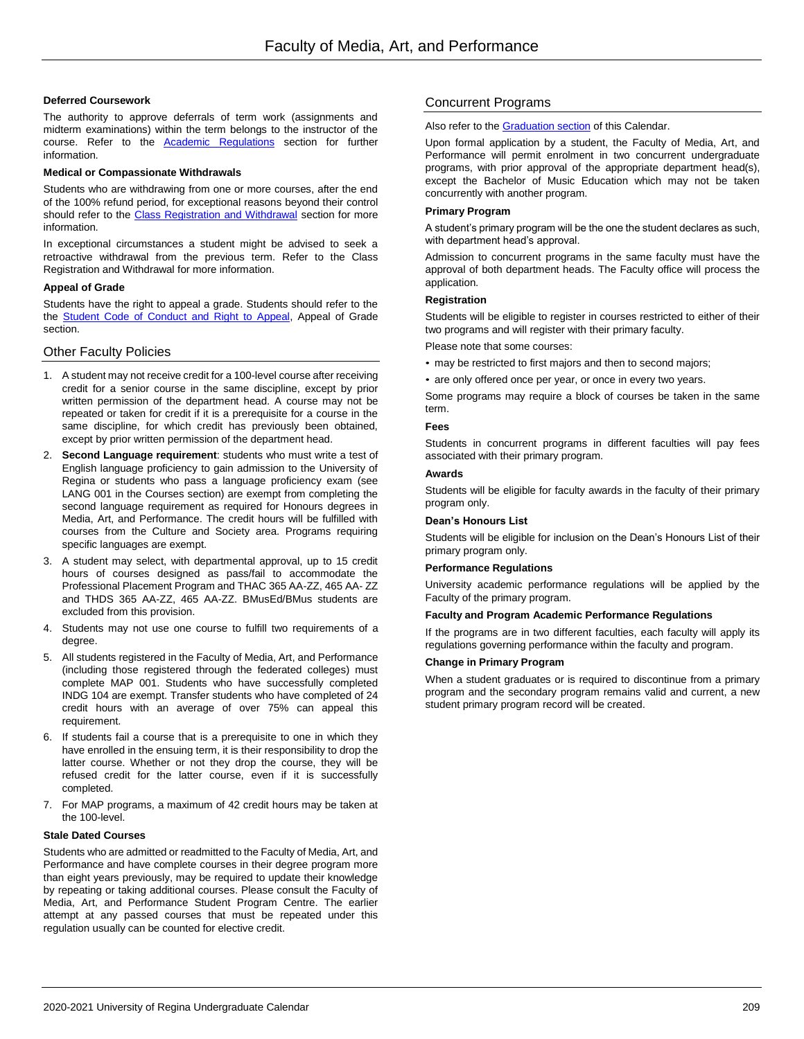### **Deferred Coursework**

The authority to approve deferrals of term work (assignments and midterm examinations) within the term belongs to the instructor of the course. Refer to the Academic Regulations section for further information.

#### **Medical or Compassionate Withdrawals**

Students who are withdrawing from one or more courses, after the end of the 100% refund period, for exceptional reasons beyond their control should refer to the Class Registration and Withdrawal section for more information.

In exceptional circumstances a student might be advised to seek a retroactive withdrawal from the previous term. Refer to the Class Registration and Withdrawal for more information.

### **Appeal of Grade**

Students have the right to appeal a grade. Students should refer to the the Student Code of Conduct and Right to Appeal, Appeal of Grade section.

### Other Faculty Policies

- 1. A student may not receive credit for a 100-level course after receiving credit for a senior course in the same discipline, except by prior written permission of the department head. A course may not be repeated or taken for credit if it is a prerequisite for a course in the same discipline, for which credit has previously been obtained, except by prior written permission of the department head.
- 2. **Second Language requirement**: students who must write a test of English language proficiency to gain admission to the University of Regina or students who pass a language proficiency exam (see LANG 001 in the Courses section) are exempt from completing the second language requirement as required for Honours degrees in Media, Art, and Performance. The credit hours will be fulfilled with courses from the Culture and Society area. Programs requiring specific languages are exempt.
- 3. A student may select, with departmental approval, up to 15 credit hours of courses designed as pass/fail to accommodate the Professional Placement Program and THAC 365 AA-ZZ, 465 AA- ZZ and THDS 365 AA-ZZ, 465 AA-ZZ. BMusEd/BMus students are excluded from this provision.
- 4. Students may not use one course to fulfill two requirements of a degree.
- 5. All students registered in the Faculty of Media, Art, and Performance (including those registered through the federated colleges) must complete MAP 001. Students who have successfully completed INDG 104 are exempt. Transfer students who have completed of 24 credit hours with an average of over 75% can appeal this requirement.
- 6. If students fail a course that is a prerequisite to one in which they have enrolled in the ensuing term, it is their responsibility to drop the latter course. Whether or not they drop the course, they will be refused credit for the latter course, even if it is successfully completed.
- 7. For MAP programs, a maximum of 42 credit hours may be taken at the 100-level.

### **Stale Dated Courses**

Students who are admitted or readmitted to the Faculty of Media, Art, and Performance and have complete courses in their degree program more than eight years previously, may be required to update their knowledge by repeating or taking additional courses. Please consult the Faculty of Media, Art, and Performance Student Program Centre. The earlier attempt at any passed courses that must be repeated under this regulation usually can be counted for elective credit.

### Concurrent Programs

### Also refer to the Graduation section of this Calendar.

Upon formal application by a student, the Faculty of Media, Art, and Performance will permit enrolment in two concurrent undergraduate programs, with prior approval of the appropriate department head(s), except the Bachelor of Music Education which may not be taken concurrently with another program.

#### **Primary Program**

A student's primary program will be the one the student declares as such, with department head's approval.

Admission to concurrent programs in the same faculty must have the approval of both department heads. The Faculty office will process the application.

### **Registration**

Students will be eligible to register in courses restricted to either of their two programs and will register with their primary faculty.

Please note that some courses:

- may be restricted to first majors and then to second majors;
- are only offered once per year, or once in every two years.

Some programs may require a block of courses be taken in the same term.

#### **Fees**

Students in concurrent programs in different faculties will pay fees associated with their primary program.

### **Awards**

Students will be eligible for faculty awards in the faculty of their primary program only.

#### **Dean's Honours List**

Students will be eligible for inclusion on the Dean's Honours List of their primary program only.

#### **Performance Regulations**

University academic performance regulations will be applied by the Faculty of the primary program.

#### **Faculty and Program Academic Performance Regulations**

If the programs are in two different faculties, each faculty will apply its regulations governing performance within the faculty and program.

#### **Change in Primary Program**

When a student graduates or is required to discontinue from a primary program and the secondary program remains valid and current, a new student primary program record will be created.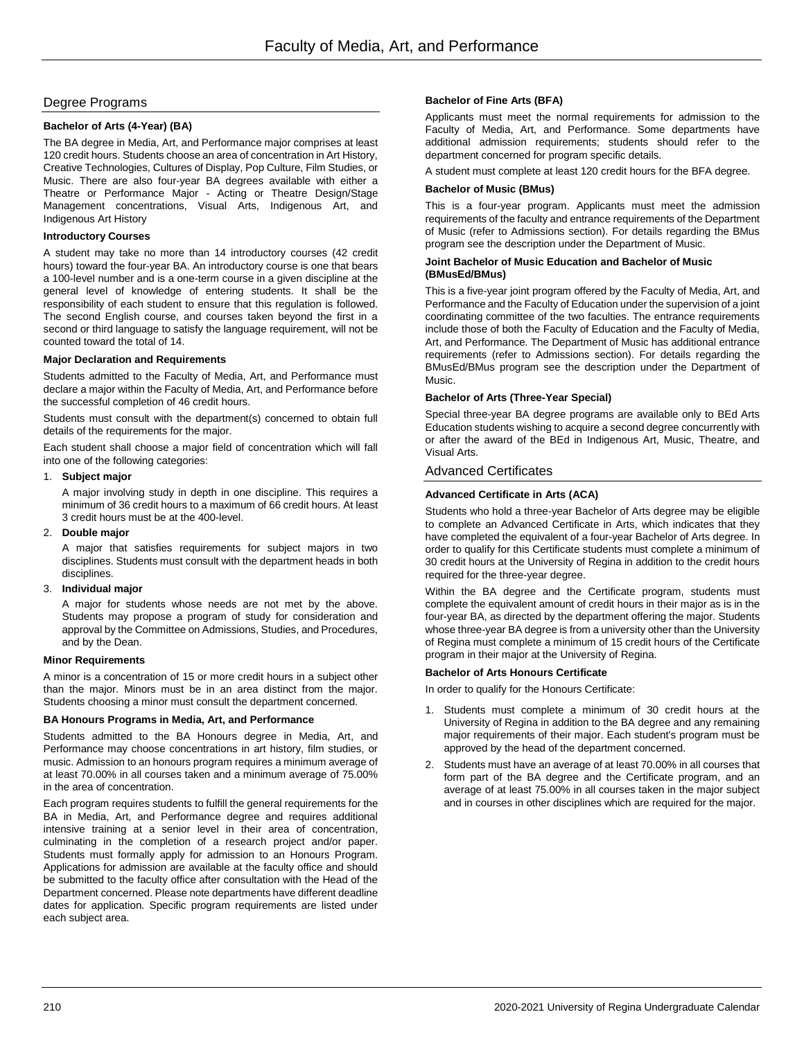### Degree Programs

### **Bachelor of Arts (4-Year) (BA)**

The BA degree in Media, Art, and Performance major comprises at least 120 credit hours. Students choose an area of concentration in Art History, Creative Technologies, Cultures of Display, Pop Culture, Film Studies, or Music. There are also four-year BA degrees available with either a Theatre or Performance Major - Acting or Theatre Design/Stage Management concentrations, Visual Arts, Indigenous Art, and Indigenous Art History

### **Introductory Courses**

A student may take no more than 14 introductory courses (42 credit hours) toward the four-year BA. An introductory course is one that bears a 100-level number and is a one-term course in a given discipline at the general level of knowledge of entering students. It shall be the responsibility of each student to ensure that this regulation is followed. The second English course, and courses taken beyond the first in a second or third language to satisfy the language requirement, will not be counted toward the total of 14.

### **Major Declaration and Requirements**

Students admitted to the Faculty of Media, Art, and Performance must declare a major within the Faculty of Media, Art, and Performance before the successful completion of 46 credit hours.

Students must consult with the department(s) concerned to obtain full details of the requirements for the major.

Each student shall choose a major field of concentration which will fall into one of the following categories:

### 1. **Subject major**

A major involving study in depth in one discipline. This requires a minimum of 36 credit hours to a maximum of 66 credit hours. At least 3 credit hours must be at the 400-level.

2. **Double major**

A major that satisfies requirements for subject majors in two disciplines. Students must consult with the department heads in both disciplines.

3. **Individual major**

A major for students whose needs are not met by the above. Students may propose a program of study for consideration and approval by the Committee on Admissions, Studies, and Procedures, and by the Dean.

### **Minor Requirements**

A minor is a concentration of 15 or more credit hours in a subject other than the major. Minors must be in an area distinct from the major. Students choosing a minor must consult the department concerned.

### **BA Honours Programs in Media, Art, and Performance**

Students admitted to the BA Honours degree in Media, Art, and Performance may choose concentrations in art history, film studies, or music. Admission to an honours program requires a minimum average of at least 70.00% in all courses taken and a minimum average of 75.00% in the area of concentration.

Each program requires students to fulfill the general requirements for the BA in Media, Art, and Performance degree and requires additional intensive training at a senior level in their area of concentration, culminating in the completion of a research project and/or paper. Students must formally apply for admission to an Honours Program. Applications for admission are available at the faculty office and should be submitted to the faculty office after consultation with the Head of the Department concerned. Please note departments have different deadline dates for application. Specific program requirements are listed under each subject area.

### **Bachelor of Fine Arts (BFA)**

Applicants must meet the normal requirements for admission to the Faculty of Media, Art, and Performance. Some departments have additional admission requirements; students should refer to the department concerned for program specific details.

A student must complete at least 120 credit hours for the BFA degree.

### **Bachelor of Music (BMus)**

This is a four-year program. Applicants must meet the admission requirements of the faculty and entrance requirements of the Department of Music (refer to Admissions section). For details regarding the BMus program see the description under the Department of Music.

#### **Joint Bachelor of Music Education and Bachelor of Music (BMusEd/BMus)**

This is a five-year joint program offered by the Faculty of Media, Art, and Performance and the Faculty of Education under the supervision of a joint coordinating committee of the two faculties. The entrance requirements include those of both the Faculty of Education and the Faculty of Media, Art, and Performance. The Department of Music has additional entrance requirements (refer to Admissions section). For details regarding the BMusEd/BMus program see the description under the Department of Music.

### **Bachelor of Arts (Three-Year Special)**

Special three-year BA degree programs are available only to BEd Arts Education students wishing to acquire a second degree concurrently with or after the award of the BEd in Indigenous Art, Music, Theatre, and Visual Arts.

### Advanced Certificates

### **Advanced Certificate in Arts (ACA)**

Students who hold a three-year Bachelor of Arts degree may be eligible to complete an Advanced Certificate in Arts, which indicates that they have completed the equivalent of a four-year Bachelor of Arts degree. In order to qualify for this Certificate students must complete a minimum of 30 credit hours at the University of Regina in addition to the credit hours required for the three-year degree.

Within the BA degree and the Certificate program, students must complete the equivalent amount of credit hours in their major as is in the four-year BA, as directed by the department offering the major. Students whose three-year BA degree is from a university other than the University of Regina must complete a minimum of 15 credit hours of the Certificate program in their major at the University of Regina.

### **Bachelor of Arts Honours Certificate**

In order to qualify for the Honours Certificate:

- 1. Students must complete a minimum of 30 credit hours at the University of Regina in addition to the BA degree and any remaining major requirements of their major. Each student's program must be approved by the head of the department concerned.
- 2. Students must have an average of at least 70.00% in all courses that form part of the BA degree and the Certificate program, and an average of at least 75.00% in all courses taken in the major subject and in courses in other disciplines which are required for the major.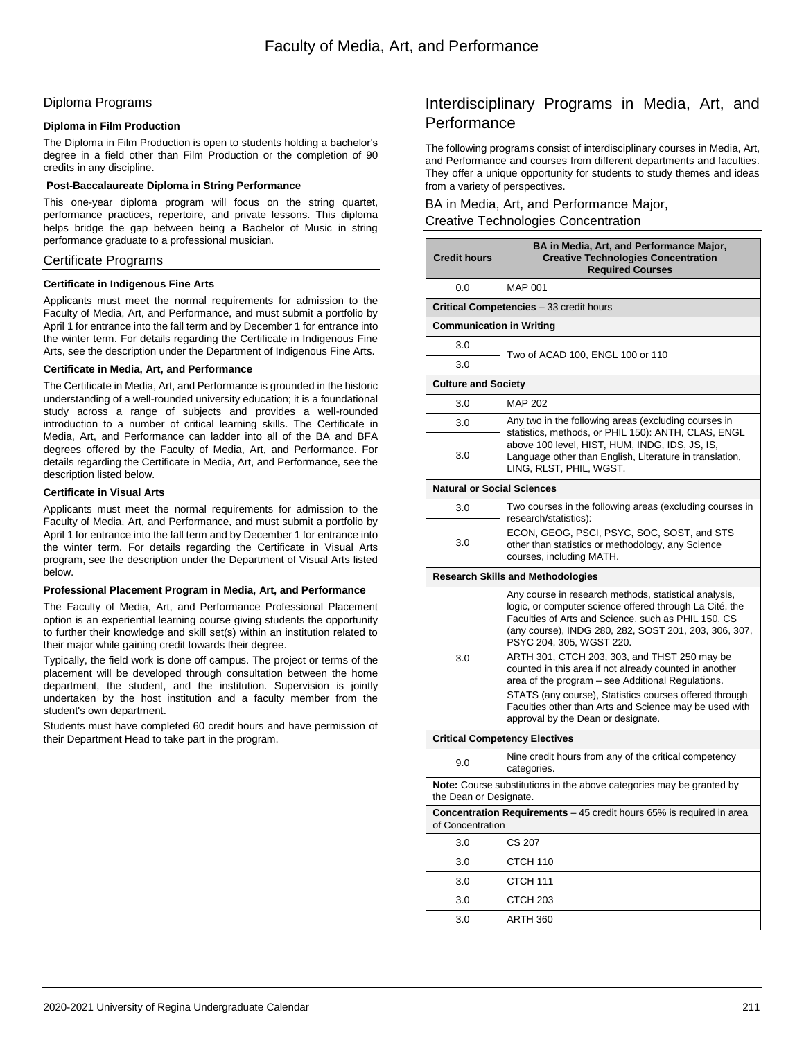### Diploma Programs

### **Diploma in Film Production**

The Diploma in Film Production is open to students holding a bachelor's degree in a field other than Film Production or the completion of 90 credits in any discipline.

### **Post-Baccalaureate Diploma in String Performance**

This one-year diploma program will focus on the string quartet, performance practices, repertoire, and private lessons. This diploma helps bridge the gap between being a Bachelor of Music in string performance graduate to a professional musician.

### Certificate Programs

### **Certificate in Indigenous Fine Arts**

Applicants must meet the normal requirements for admission to the Faculty of Media, Art, and Performance, and must submit a portfolio by April 1 for entrance into the fall term and by December 1 for entrance into the winter term. For details regarding the Certificate in Indigenous Fine Arts, see the description under the Department of Indigenous Fine Arts.

### **Certificate in Media, Art, and Performance**

The Certificate in Media, Art, and Performance is grounded in the historic understanding of a well-rounded university education; it is a foundational study across a range of subjects and provides a well-rounded introduction to a number of critical learning skills. The Certificate in Media, Art, and Performance can ladder into all of the BA and BFA degrees offered by the Faculty of Media, Art, and Performance. For details regarding the Certificate in Media, Art, and Performance, see the description listed below.

### **Certificate in Visual Arts**

Applicants must meet the normal requirements for admission to the Faculty of Media, Art, and Performance, and must submit a portfolio by April 1 for entrance into the fall term and by December 1 for entrance into the winter term. For details regarding the Certificate in Visual Arts program, see the description under the Department of Visual Arts listed below.

### **Professional Placement Program in Media, Art, and Performance**

The Faculty of Media, Art, and Performance Professional Placement option is an experiential learning course giving students the opportunity to further their knowledge and skill set(s) within an institution related to their major while gaining credit towards their degree.

Typically, the field work is done off campus. The project or terms of the placement will be developed through consultation between the home department, the student, and the institution. Supervision is jointly undertaken by the host institution and a faculty member from the student's own department.

Students must have completed 60 credit hours and have permission of their Department Head to take part in the program.

# Interdisciplinary Programs in Media, Art, and **Performance**

The following programs consist of interdisciplinary courses in Media, Art, and Performance and courses from different departments and faculties. They offer a unique opportunity for students to study themes and ideas from a variety of perspectives.

### BA in Media, Art, and Performance Major, Creative Technologies Concentration

| <b>Credit hours</b>                                                                            | BA in Media, Art, and Performance Major,<br><b>Creative Technologies Concentration</b><br><b>Required Courses</b>                                                                                                                                                                                                     |  |
|------------------------------------------------------------------------------------------------|-----------------------------------------------------------------------------------------------------------------------------------------------------------------------------------------------------------------------------------------------------------------------------------------------------------------------|--|
| 0.0                                                                                            | <b>MAP 001</b>                                                                                                                                                                                                                                                                                                        |  |
|                                                                                                | <b>Critical Competencies</b> - 33 credit hours                                                                                                                                                                                                                                                                        |  |
| <b>Communication in Writing</b>                                                                |                                                                                                                                                                                                                                                                                                                       |  |
| 3.0                                                                                            |                                                                                                                                                                                                                                                                                                                       |  |
| 3.0                                                                                            | Two of ACAD 100, ENGL 100 or 110                                                                                                                                                                                                                                                                                      |  |
| <b>Culture and Society</b>                                                                     |                                                                                                                                                                                                                                                                                                                       |  |
| 3.0                                                                                            | <b>MAP 202</b>                                                                                                                                                                                                                                                                                                        |  |
| 3.0                                                                                            | Any two in the following areas (excluding courses in                                                                                                                                                                                                                                                                  |  |
| 3.0                                                                                            | statistics, methods, or PHIL 150): ANTH, CLAS, ENGL<br>above 100 level, HIST, HUM, INDG, IDS, JS, IS,<br>Language other than English, Literature in translation,<br>LING, RLST, PHIL, WGST.                                                                                                                           |  |
| <b>Natural or Social Sciences</b>                                                              |                                                                                                                                                                                                                                                                                                                       |  |
| 3.0                                                                                            | Two courses in the following areas (excluding courses in                                                                                                                                                                                                                                                              |  |
| 3.0                                                                                            | research/statistics):<br>ECON, GEOG, PSCI, PSYC, SOC, SOST, and STS<br>other than statistics or methodology, any Science<br>courses, including MATH.                                                                                                                                                                  |  |
|                                                                                                | <b>Research Skills and Methodologies</b>                                                                                                                                                                                                                                                                              |  |
|                                                                                                | Any course in research methods, statistical analysis,<br>logic, or computer science offered through La Cité, the<br>Faculties of Arts and Science, such as PHIL 150, CS<br>(any course), INDG 280, 282, SOST 201, 203, 306, 307,<br>PSYC 204, 305, WGST 220.                                                          |  |
| 3.0                                                                                            | ARTH 301, CTCH 203, 303, and THST 250 may be<br>counted in this area if not already counted in another<br>area of the program - see Additional Regulations.<br>STATS (any course), Statistics courses offered through<br>Faculties other than Arts and Science may be used with<br>approval by the Dean or designate. |  |
| <b>Critical Competency Electives</b>                                                           |                                                                                                                                                                                                                                                                                                                       |  |
| 9.0                                                                                            | Nine credit hours from any of the critical competency<br>categories.                                                                                                                                                                                                                                                  |  |
| Note: Course substitutions in the above categories may be granted by<br>the Dean or Designate. |                                                                                                                                                                                                                                                                                                                       |  |
| Concentration Requirements - 45 credit hours 65% is required in area<br>of Concentration       |                                                                                                                                                                                                                                                                                                                       |  |
| 3.0                                                                                            | CS 207                                                                                                                                                                                                                                                                                                                |  |
| 3.0                                                                                            | CTCH 110                                                                                                                                                                                                                                                                                                              |  |
| 3.0                                                                                            | CTCH 111                                                                                                                                                                                                                                                                                                              |  |
| 3.0                                                                                            | CTCH 203                                                                                                                                                                                                                                                                                                              |  |
| 3.0                                                                                            | ARTH 360                                                                                                                                                                                                                                                                                                              |  |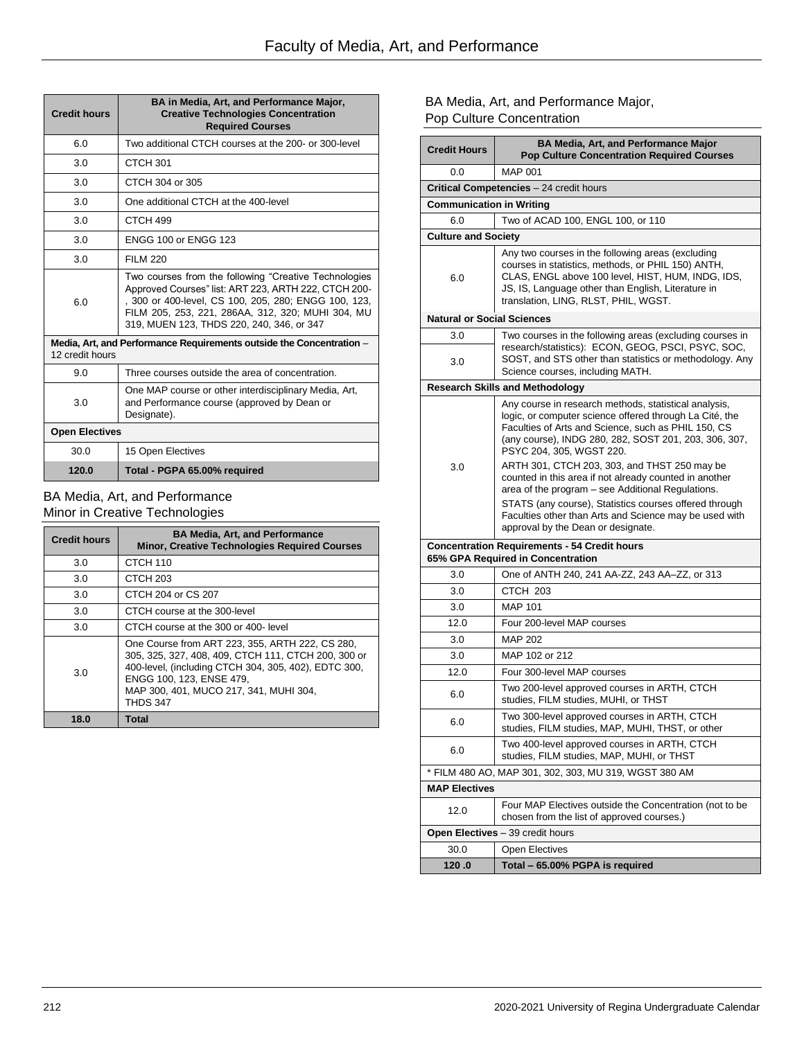| <b>Credit hours</b>   | BA in Media, Art, and Performance Major,<br><b>Creative Technologies Concentration</b><br><b>Required Courses</b>                                                                                                                                                       |
|-----------------------|-------------------------------------------------------------------------------------------------------------------------------------------------------------------------------------------------------------------------------------------------------------------------|
| 6.0                   | Two additional CTCH courses at the 200- or 300-level                                                                                                                                                                                                                    |
| 3.0                   | CTCH 301                                                                                                                                                                                                                                                                |
| 3.0                   | CTCH 304 or 305                                                                                                                                                                                                                                                         |
| 3.0                   | One additional CTCH at the 400-level                                                                                                                                                                                                                                    |
| 3.0                   | CTCH <sub>499</sub>                                                                                                                                                                                                                                                     |
| 3.0                   | <b>ENGG 100 or ENGG 123</b>                                                                                                                                                                                                                                             |
| 3.0                   | <b>FILM 220</b>                                                                                                                                                                                                                                                         |
| 6.0                   | Two courses from the following "Creative Technologies<br>Approved Courses" list: ART 223, ARTH 222, CTCH 200-<br>, 300 or 400-level, CS 100, 205, 280; ENGG 100, 123,<br>FILM 205, 253, 221, 286AA, 312, 320; MUHI 304, MU<br>319, MUEN 123, THDS 220, 240, 346, or 347 |
| 12 credit hours       | Media, Art, and Performance Requirements outside the Concentration -                                                                                                                                                                                                    |
| 9.0                   | Three courses outside the area of concentration.                                                                                                                                                                                                                        |
| 3.0                   | One MAP course or other interdisciplinary Media, Art,<br>and Performance course (approved by Dean or<br>Designate).                                                                                                                                                     |
| <b>Open Electives</b> |                                                                                                                                                                                                                                                                         |
| 30.0                  | 15 Open Electives                                                                                                                                                                                                                                                       |
| 120.0                 | Total - PGPA 65.00% required                                                                                                                                                                                                                                            |

### BA Media, Art, and Performance Minor in Creative Technologies

| <b>Credit hours</b> | <b>BA Media, Art, and Performance</b><br><b>Minor, Creative Technologies Required Courses</b>                                                                                                                                                           |
|---------------------|---------------------------------------------------------------------------------------------------------------------------------------------------------------------------------------------------------------------------------------------------------|
| 3.0                 | CTCH <sub>110</sub>                                                                                                                                                                                                                                     |
| 3.0                 | CTCH <sub>203</sub>                                                                                                                                                                                                                                     |
| 3.0                 | CTCH 204 or CS 207                                                                                                                                                                                                                                      |
| 3.0                 | CTCH course at the 300-level                                                                                                                                                                                                                            |
| 3.0                 | CTCH course at the 300 or 400- level                                                                                                                                                                                                                    |
| 3.0                 | One Course from ART 223, 355, ARTH 222, CS 280,<br>305, 325, 327, 408, 409, CTCH 111, CTCH 200, 300 or<br>400-level, (including CTCH 304, 305, 402), EDTC 300,<br>ENGG 100, 123, ENSE 479,<br>MAP 300, 401, MUCO 217, 341, MUHI 304,<br><b>THDS 347</b> |
| 18.0                | Total                                                                                                                                                                                                                                                   |

# BA Media, Art, and Performance Major, Pop Culture Concentration

| <b>Credit Hours</b>               | <b>BA Media, Art, and Performance Major</b><br><b>Pop Culture Concentration Required Courses</b>                                                                                                                                                             |
|-----------------------------------|--------------------------------------------------------------------------------------------------------------------------------------------------------------------------------------------------------------------------------------------------------------|
| 0.0                               | <b>MAP 001</b>                                                                                                                                                                                                                                               |
|                                   | Critical Competencies - 24 credit hours                                                                                                                                                                                                                      |
| <b>Communication in Writing</b>   |                                                                                                                                                                                                                                                              |
| 6.0                               | Two of ACAD 100, ENGL 100, or 110                                                                                                                                                                                                                            |
| <b>Culture and Society</b>        |                                                                                                                                                                                                                                                              |
| 6.0                               | Any two courses in the following areas (excluding<br>courses in statistics, methods, or PHIL 150) ANTH,<br>CLAS, ENGL above 100 level, HIST, HUM, INDG, IDS,<br>JS, IS, Language other than English, Literature in<br>translation, LING, RLST, PHIL, WGST.   |
| <b>Natural or Social Sciences</b> |                                                                                                                                                                                                                                                              |
| 3.0                               | Two courses in the following areas (excluding courses in                                                                                                                                                                                                     |
| 3.0                               | research/statistics): ECON, GEOG, PSCI, PSYC, SOC,<br>SOST, and STS other than statistics or methodology. Any<br>Science courses, including MATH.                                                                                                            |
|                                   | <b>Research Skills and Methodology</b>                                                                                                                                                                                                                       |
|                                   | Any course in research methods, statistical analysis,<br>logic, or computer science offered through La Cité, the<br>Faculties of Arts and Science, such as PHIL 150, CS<br>(any course), INDG 280, 282, SOST 201, 203, 306, 307,<br>PSYC 204, 305, WGST 220. |
| 3.0                               | ARTH 301, CTCH 203, 303, and THST 250 may be<br>counted in this area if not already counted in another<br>area of the program – see Additional Regulations.                                                                                                  |
|                                   | STATS (any course), Statistics courses offered through<br>Faculties other than Arts and Science may be used with<br>approval by the Dean or designate.                                                                                                       |
|                                   | <b>Concentration Requirements - 54 Credit hours</b><br>65% GPA Required in Concentration                                                                                                                                                                     |
| 3.0                               | One of ANTH 240, 241 AA-ZZ, 243 AA-ZZ, or 313                                                                                                                                                                                                                |
| 3.0                               | CTCH 203                                                                                                                                                                                                                                                     |
| 3.0                               | <b>MAP 101</b>                                                                                                                                                                                                                                               |
| 12.0                              | Four 200-level MAP courses                                                                                                                                                                                                                                   |
| 3.0                               | <b>MAP 202</b>                                                                                                                                                                                                                                               |
| 3.0                               | MAP 102 or 212                                                                                                                                                                                                                                               |
| 12.0                              | Four 300-level MAP courses                                                                                                                                                                                                                                   |
| 6.0                               | Two 200-level approved courses in ARTH, CTCH<br>studies, FILM studies, MUHI, or THST                                                                                                                                                                         |
| 6.0                               | Two 300-level approved courses in ARTH, CTCH<br>studies, FILM studies, MAP, MUHI, THST, or other                                                                                                                                                             |
| 6.0                               | Two 400-level approved courses in ARTH, CTCH<br>studies, FILM studies, MAP, MUHI, or THST                                                                                                                                                                    |
|                                   | * FILM 480 AO, MAP 301, 302, 303, MU 319, WGST 380 AM                                                                                                                                                                                                        |
| <b>MAP Electives</b>              |                                                                                                                                                                                                                                                              |
| 12.0                              | Four MAP Electives outside the Concentration (not to be<br>chosen from the list of approved courses.)                                                                                                                                                        |
| Open Electives - 39 credit hours  |                                                                                                                                                                                                                                                              |
| 30.0                              | Open Electives                                                                                                                                                                                                                                               |
| 120.0                             | Total - 65.00% PGPA is required                                                                                                                                                                                                                              |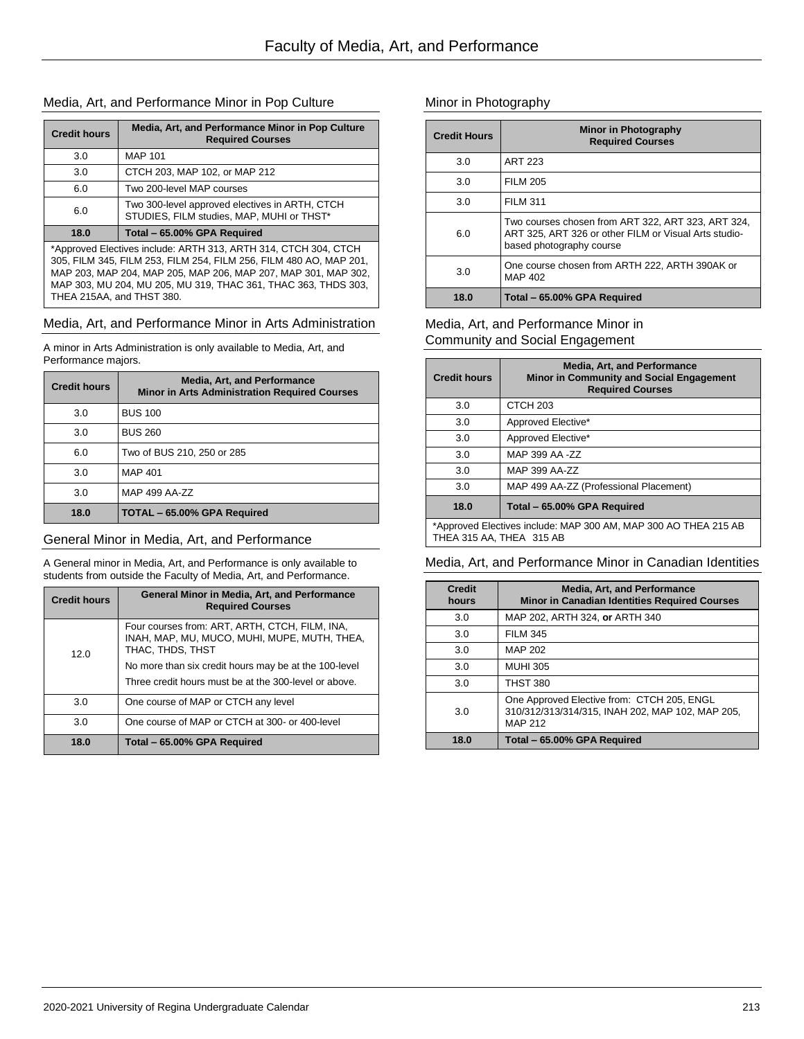### Media, Art, and Performance Minor in Pop Culture

| <b>Credit hours</b>                                                                                                                                                                                                                                                                                    | Media, Art, and Performance Minor in Pop Culture<br><b>Required Courses</b>                 |
|--------------------------------------------------------------------------------------------------------------------------------------------------------------------------------------------------------------------------------------------------------------------------------------------------------|---------------------------------------------------------------------------------------------|
| 3.0                                                                                                                                                                                                                                                                                                    | <b>MAP 101</b>                                                                              |
| 3.0                                                                                                                                                                                                                                                                                                    | CTCH 203, MAP 102, or MAP 212                                                               |
| 6.0                                                                                                                                                                                                                                                                                                    | Two 200-level MAP courses                                                                   |
| 6.0                                                                                                                                                                                                                                                                                                    | Two 300-level approved electives in ARTH, CTCH<br>STUDIES, FILM studies, MAP, MUHI or THST* |
| 18.0                                                                                                                                                                                                                                                                                                   | Total - 65.00% GPA Required                                                                 |
| *Approved Electives include: ARTH 313, ARTH 314, CTCH 304, CTCH<br>305, FILM 345, FILM 253, FILM 254, FILM 256, FILM 480 AO, MAP 201,<br>MAP 203, MAP 204, MAP 205, MAP 206, MAP 207, MAP 301, MAP 302,<br>MAP 303, MU 204, MU 205, MU 319, THAC 361, THAC 363, THDS 303,<br>THEA 215AA, and THST 380. |                                                                                             |

### Media, Art, and Performance Minor in Arts Administration

A minor in Arts Administration is only available to Media, Art, and Performance majors.

| <b>Credit hours</b> | <b>Media, Art, and Performance</b><br><b>Minor in Arts Administration Required Courses</b> |
|---------------------|--------------------------------------------------------------------------------------------|
| 3.0                 | <b>BUS 100</b>                                                                             |
| 3.0                 | <b>BUS 260</b>                                                                             |
| 6.0                 | Two of BUS 210, 250 or 285                                                                 |
| 3.0                 | MAP 401                                                                                    |
| 3.0                 | MAP 499 AA-ZZ                                                                              |
| 18.0                | TOTAL - 65.00% GPA Required                                                                |

### General Minor in Media, Art, and Performance

A General minor in Media, Art, and Performance is only available to students from outside the Faculty of Media, Art, and Performance.

| <b>Credit hours</b> | General Minor in Media, Art, and Performance<br><b>Required Courses</b>                                            |
|---------------------|--------------------------------------------------------------------------------------------------------------------|
| 12.0                | Four courses from: ART, ARTH, CTCH, FILM, INA,<br>INAH, MAP, MU, MUCO, MUHI, MUPE, MUTH, THEA,<br>THAC, THDS, THST |
|                     | No more than six credit hours may be at the 100-level<br>Three credit hours must be at the 300-level or above.     |
| 3.0                 | One course of MAP or CTCH any level                                                                                |
| 3.0                 | One course of MAP or CTCH at 300- or 400-level                                                                     |
| 18.0                | Total - 65.00% GPA Required                                                                                        |

# Minor in Photography

| <b>Credit Hours</b> | Minor in Photography<br><b>Required Courses</b>                                                                                         |
|---------------------|-----------------------------------------------------------------------------------------------------------------------------------------|
| 3.0                 | <b>ART 223</b>                                                                                                                          |
| 3.0                 | <b>FILM 205</b>                                                                                                                         |
| 3.0                 | <b>FILM 311</b>                                                                                                                         |
| 6.0                 | Two courses chosen from ART 322, ART 323, ART 324,<br>ART 325, ART 326 or other FILM or Visual Arts studio-<br>based photography course |
| 3.0                 | One course chosen from ARTH 222, ARTH 390AK or<br>MAP 402                                                                               |
| 18.0                | Total - 65.00% GPA Required                                                                                                             |

### Media, Art, and Performance Minor in Community and Social Engagement

| <b>Credit hours</b>                                                                         | <b>Media, Art, and Performance</b><br><b>Minor in Community and Social Engagement</b><br><b>Required Courses</b> |
|---------------------------------------------------------------------------------------------|------------------------------------------------------------------------------------------------------------------|
| 3.0                                                                                         | CTCH <sub>203</sub>                                                                                              |
| 3.0                                                                                         | Approved Elective*                                                                                               |
| 3.0                                                                                         | Approved Elective*                                                                                               |
| 3.0                                                                                         | MAP 399 AA -ZZ                                                                                                   |
| 3.0                                                                                         | MAP 399 AA-ZZ                                                                                                    |
| 3.0                                                                                         | MAP 499 AA-ZZ (Professional Placement)                                                                           |
| 18.0                                                                                        | Total - 65.00% GPA Required                                                                                      |
| *Approved Electives include: MAP 300 AM, MAP 300 AO THEA 215 AB<br>THEA 315 AA. THEA 315 AB |                                                                                                                  |

### Media, Art, and Performance Minor in Canadian Identities

| <b>Credit</b><br>hours | <b>Media, Art, and Performance</b><br><b>Minor in Canadian Identities Required Courses</b>                       |
|------------------------|------------------------------------------------------------------------------------------------------------------|
| 3.0                    | MAP 202, ARTH 324, or ARTH 340                                                                                   |
| 3.0                    | <b>FILM 345</b>                                                                                                  |
| 3.0                    | MAP 202                                                                                                          |
| 3.0                    | <b>MUHI 305</b>                                                                                                  |
| 3.0                    | <b>THST 380</b>                                                                                                  |
| 3.0                    | One Approved Elective from: CTCH 205, ENGL<br>310/312/313/314/315, INAH 202, MAP 102, MAP 205,<br><b>MAP 212</b> |
| 18.0                   | Total - 65.00% GPA Required                                                                                      |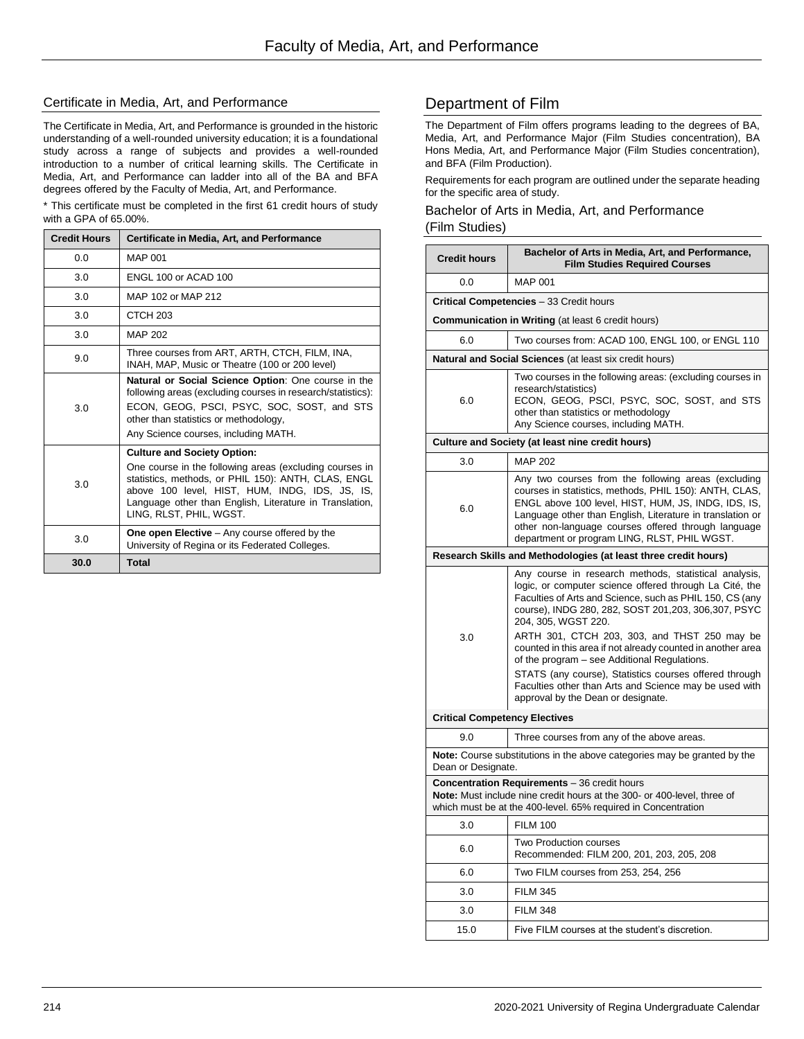### Certificate in Media, Art, and Performance

The Certificate in Media, Art, and Performance is grounded in the historic understanding of a well-rounded university education; it is a foundational study across a range of subjects and provides a well-rounded introduction to a number of critical learning skills. The Certificate in Media, Art, and Performance can ladder into all of the BA and BFA degrees offered by the Faculty of Media, Art, and Performance.

\* This certificate must be completed in the first 61 credit hours of study with a GPA of 65.00%.

| <b>Credit Hours</b> | Certificate in Media, Art, and Performance                                                                                                                                                                                                                                                   |
|---------------------|----------------------------------------------------------------------------------------------------------------------------------------------------------------------------------------------------------------------------------------------------------------------------------------------|
| 0.0                 | <b>MAP 001</b>                                                                                                                                                                                                                                                                               |
| 3.0                 | <b>FNGL 100 or ACAD 100</b>                                                                                                                                                                                                                                                                  |
| 3.0                 | MAP 102 or MAP 212                                                                                                                                                                                                                                                                           |
| 3.0                 | CTCH <sub>203</sub>                                                                                                                                                                                                                                                                          |
| 3.0                 | MAP 202                                                                                                                                                                                                                                                                                      |
| 9.0                 | Three courses from ART, ARTH, CTCH, FILM, INA,<br>INAH, MAP, Music or Theatre (100 or 200 level)                                                                                                                                                                                             |
| 3.0                 | Natural or Social Science Option: One course in the<br>following areas (excluding courses in research/statistics):<br>ECON, GEOG, PSCI, PSYC, SOC, SOST, and STS<br>other than statistics or methodology,<br>Any Science courses, including MATH.                                            |
| 3.0                 | <b>Culture and Society Option:</b><br>One course in the following areas (excluding courses in<br>statistics, methods, or PHIL 150): ANTH, CLAS, ENGL<br>above 100 level, HIST, HUM, INDG, IDS, JS, IS,<br>Language other than English, Literature in Translation,<br>LING, RLST, PHIL, WGST. |
| 3.0                 | <b>One open Elective</b> – Any course offered by the<br>University of Regina or its Federated Colleges.                                                                                                                                                                                      |
| 30.0                | <b>Total</b>                                                                                                                                                                                                                                                                                 |

# Department of Film

The Department of Film offers programs leading to the degrees of BA, Media, Art, and Performance Major (Film Studies concentration), BA Hons Media, Art, and Performance Major (Film Studies concentration), and BFA (Film Production).

Requirements for each program are outlined under the separate heading for the specific area of study.

Bachelor of Arts in Media, Art, and Performance (Film Studies)

| <b>MAP 001</b><br>0.0<br><b>Critical Competencies</b> - 33 Credit hours<br><b>Communication in Writing</b> (at least 6 credit hours)<br>6.0<br>Two courses from: ACAD 100, ENGL 100, or ENGL 110<br>Natural and Social Sciences (at least six credit hours)<br>Two courses in the following areas: (excluding courses in<br>research/statistics)<br>ECON, GEOG, PSCI, PSYC, SOC, SOST, and STS<br>6.0<br>other than statistics or methodology<br>Any Science courses, including MATH.<br><b>Culture and Society (at least nine credit hours)</b><br><b>MAP 202</b><br>3.0<br>Any two courses from the following areas (excluding<br>courses in statistics, methods, PHIL 150): ANTH, CLAS,<br>ENGL above 100 level, HIST, HUM, JS, INDG, IDS, IS,<br>6.0<br>Language other than English, Literature in translation or<br>other non-language courses offered through language<br>department or program LING, RLST, PHIL WGST.<br>Research Skills and Methodologies (at least three credit hours)<br>Any course in research methods, statistical analysis,<br>logic, or computer science offered through La Cité, the<br>Faculties of Arts and Science, such as PHIL 150, CS (any<br>course), INDG 280, 282, SOST 201, 203, 306, 307, PSYC<br>204, 305, WGST 220.<br>ARTH 301, CTCH 203, 303, and THST 250 may be<br>3.0<br>counted in this area if not already counted in another area<br>of the program - see Additional Regulations.<br>STATS (any course), Statistics courses offered through<br>Faculties other than Arts and Science may be used with<br>approval by the Dean or designate.<br><b>Critical Competency Electives</b><br>9.0<br>Three courses from any of the above areas.<br><b>Note:</b> Course substitutions in the above categories may be granted by the<br>Dean or Designate.<br><b>Concentration Requirements</b> - 36 credit hours<br>Note: Must include nine credit hours at the 300- or 400-level, three of<br>which must be at the 400-level. 65% required in Concentration<br><b>FILM 100</b><br>3.0<br>Two Production courses<br>6.0<br>Recommended: FILM 200, 201, 203, 205, 208<br>Two FILM courses from 253, 254, 256<br>6.0<br><b>FILM 345</b><br>3.0<br><b>FILM 348</b><br>3.0<br>Five FILM courses at the student's discretion.<br>15.0 | <b>Credit hours</b> | Bachelor of Arts in Media, Art, and Performance,<br><b>Film Studies Required Courses</b> |  |
|------------------------------------------------------------------------------------------------------------------------------------------------------------------------------------------------------------------------------------------------------------------------------------------------------------------------------------------------------------------------------------------------------------------------------------------------------------------------------------------------------------------------------------------------------------------------------------------------------------------------------------------------------------------------------------------------------------------------------------------------------------------------------------------------------------------------------------------------------------------------------------------------------------------------------------------------------------------------------------------------------------------------------------------------------------------------------------------------------------------------------------------------------------------------------------------------------------------------------------------------------------------------------------------------------------------------------------------------------------------------------------------------------------------------------------------------------------------------------------------------------------------------------------------------------------------------------------------------------------------------------------------------------------------------------------------------------------------------------------------------------------------------------------------------------------------------------------------------------------------------------------------------------------------------------------------------------------------------------------------------------------------------------------------------------------------------------------------------------------------------------------------------------------------------------------------------------------------------------------------------------------------------------|---------------------|------------------------------------------------------------------------------------------|--|
|                                                                                                                                                                                                                                                                                                                                                                                                                                                                                                                                                                                                                                                                                                                                                                                                                                                                                                                                                                                                                                                                                                                                                                                                                                                                                                                                                                                                                                                                                                                                                                                                                                                                                                                                                                                                                                                                                                                                                                                                                                                                                                                                                                                                                                                                              |                     |                                                                                          |  |
|                                                                                                                                                                                                                                                                                                                                                                                                                                                                                                                                                                                                                                                                                                                                                                                                                                                                                                                                                                                                                                                                                                                                                                                                                                                                                                                                                                                                                                                                                                                                                                                                                                                                                                                                                                                                                                                                                                                                                                                                                                                                                                                                                                                                                                                                              |                     |                                                                                          |  |
|                                                                                                                                                                                                                                                                                                                                                                                                                                                                                                                                                                                                                                                                                                                                                                                                                                                                                                                                                                                                                                                                                                                                                                                                                                                                                                                                                                                                                                                                                                                                                                                                                                                                                                                                                                                                                                                                                                                                                                                                                                                                                                                                                                                                                                                                              |                     |                                                                                          |  |
|                                                                                                                                                                                                                                                                                                                                                                                                                                                                                                                                                                                                                                                                                                                                                                                                                                                                                                                                                                                                                                                                                                                                                                                                                                                                                                                                                                                                                                                                                                                                                                                                                                                                                                                                                                                                                                                                                                                                                                                                                                                                                                                                                                                                                                                                              |                     |                                                                                          |  |
|                                                                                                                                                                                                                                                                                                                                                                                                                                                                                                                                                                                                                                                                                                                                                                                                                                                                                                                                                                                                                                                                                                                                                                                                                                                                                                                                                                                                                                                                                                                                                                                                                                                                                                                                                                                                                                                                                                                                                                                                                                                                                                                                                                                                                                                                              |                     |                                                                                          |  |
|                                                                                                                                                                                                                                                                                                                                                                                                                                                                                                                                                                                                                                                                                                                                                                                                                                                                                                                                                                                                                                                                                                                                                                                                                                                                                                                                                                                                                                                                                                                                                                                                                                                                                                                                                                                                                                                                                                                                                                                                                                                                                                                                                                                                                                                                              |                     |                                                                                          |  |
|                                                                                                                                                                                                                                                                                                                                                                                                                                                                                                                                                                                                                                                                                                                                                                                                                                                                                                                                                                                                                                                                                                                                                                                                                                                                                                                                                                                                                                                                                                                                                                                                                                                                                                                                                                                                                                                                                                                                                                                                                                                                                                                                                                                                                                                                              |                     |                                                                                          |  |
|                                                                                                                                                                                                                                                                                                                                                                                                                                                                                                                                                                                                                                                                                                                                                                                                                                                                                                                                                                                                                                                                                                                                                                                                                                                                                                                                                                                                                                                                                                                                                                                                                                                                                                                                                                                                                                                                                                                                                                                                                                                                                                                                                                                                                                                                              |                     |                                                                                          |  |
|                                                                                                                                                                                                                                                                                                                                                                                                                                                                                                                                                                                                                                                                                                                                                                                                                                                                                                                                                                                                                                                                                                                                                                                                                                                                                                                                                                                                                                                                                                                                                                                                                                                                                                                                                                                                                                                                                                                                                                                                                                                                                                                                                                                                                                                                              |                     |                                                                                          |  |
|                                                                                                                                                                                                                                                                                                                                                                                                                                                                                                                                                                                                                                                                                                                                                                                                                                                                                                                                                                                                                                                                                                                                                                                                                                                                                                                                                                                                                                                                                                                                                                                                                                                                                                                                                                                                                                                                                                                                                                                                                                                                                                                                                                                                                                                                              |                     |                                                                                          |  |
|                                                                                                                                                                                                                                                                                                                                                                                                                                                                                                                                                                                                                                                                                                                                                                                                                                                                                                                                                                                                                                                                                                                                                                                                                                                                                                                                                                                                                                                                                                                                                                                                                                                                                                                                                                                                                                                                                                                                                                                                                                                                                                                                                                                                                                                                              |                     |                                                                                          |  |
|                                                                                                                                                                                                                                                                                                                                                                                                                                                                                                                                                                                                                                                                                                                                                                                                                                                                                                                                                                                                                                                                                                                                                                                                                                                                                                                                                                                                                                                                                                                                                                                                                                                                                                                                                                                                                                                                                                                                                                                                                                                                                                                                                                                                                                                                              |                     |                                                                                          |  |
|                                                                                                                                                                                                                                                                                                                                                                                                                                                                                                                                                                                                                                                                                                                                                                                                                                                                                                                                                                                                                                                                                                                                                                                                                                                                                                                                                                                                                                                                                                                                                                                                                                                                                                                                                                                                                                                                                                                                                                                                                                                                                                                                                                                                                                                                              |                     |                                                                                          |  |
|                                                                                                                                                                                                                                                                                                                                                                                                                                                                                                                                                                                                                                                                                                                                                                                                                                                                                                                                                                                                                                                                                                                                                                                                                                                                                                                                                                                                                                                                                                                                                                                                                                                                                                                                                                                                                                                                                                                                                                                                                                                                                                                                                                                                                                                                              |                     |                                                                                          |  |
|                                                                                                                                                                                                                                                                                                                                                                                                                                                                                                                                                                                                                                                                                                                                                                                                                                                                                                                                                                                                                                                                                                                                                                                                                                                                                                                                                                                                                                                                                                                                                                                                                                                                                                                                                                                                                                                                                                                                                                                                                                                                                                                                                                                                                                                                              |                     |                                                                                          |  |
|                                                                                                                                                                                                                                                                                                                                                                                                                                                                                                                                                                                                                                                                                                                                                                                                                                                                                                                                                                                                                                                                                                                                                                                                                                                                                                                                                                                                                                                                                                                                                                                                                                                                                                                                                                                                                                                                                                                                                                                                                                                                                                                                                                                                                                                                              |                     |                                                                                          |  |
|                                                                                                                                                                                                                                                                                                                                                                                                                                                                                                                                                                                                                                                                                                                                                                                                                                                                                                                                                                                                                                                                                                                                                                                                                                                                                                                                                                                                                                                                                                                                                                                                                                                                                                                                                                                                                                                                                                                                                                                                                                                                                                                                                                                                                                                                              |                     |                                                                                          |  |
|                                                                                                                                                                                                                                                                                                                                                                                                                                                                                                                                                                                                                                                                                                                                                                                                                                                                                                                                                                                                                                                                                                                                                                                                                                                                                                                                                                                                                                                                                                                                                                                                                                                                                                                                                                                                                                                                                                                                                                                                                                                                                                                                                                                                                                                                              |                     |                                                                                          |  |
|                                                                                                                                                                                                                                                                                                                                                                                                                                                                                                                                                                                                                                                                                                                                                                                                                                                                                                                                                                                                                                                                                                                                                                                                                                                                                                                                                                                                                                                                                                                                                                                                                                                                                                                                                                                                                                                                                                                                                                                                                                                                                                                                                                                                                                                                              |                     |                                                                                          |  |
|                                                                                                                                                                                                                                                                                                                                                                                                                                                                                                                                                                                                                                                                                                                                                                                                                                                                                                                                                                                                                                                                                                                                                                                                                                                                                                                                                                                                                                                                                                                                                                                                                                                                                                                                                                                                                                                                                                                                                                                                                                                                                                                                                                                                                                                                              |                     |                                                                                          |  |
|                                                                                                                                                                                                                                                                                                                                                                                                                                                                                                                                                                                                                                                                                                                                                                                                                                                                                                                                                                                                                                                                                                                                                                                                                                                                                                                                                                                                                                                                                                                                                                                                                                                                                                                                                                                                                                                                                                                                                                                                                                                                                                                                                                                                                                                                              |                     |                                                                                          |  |
|                                                                                                                                                                                                                                                                                                                                                                                                                                                                                                                                                                                                                                                                                                                                                                                                                                                                                                                                                                                                                                                                                                                                                                                                                                                                                                                                                                                                                                                                                                                                                                                                                                                                                                                                                                                                                                                                                                                                                                                                                                                                                                                                                                                                                                                                              |                     |                                                                                          |  |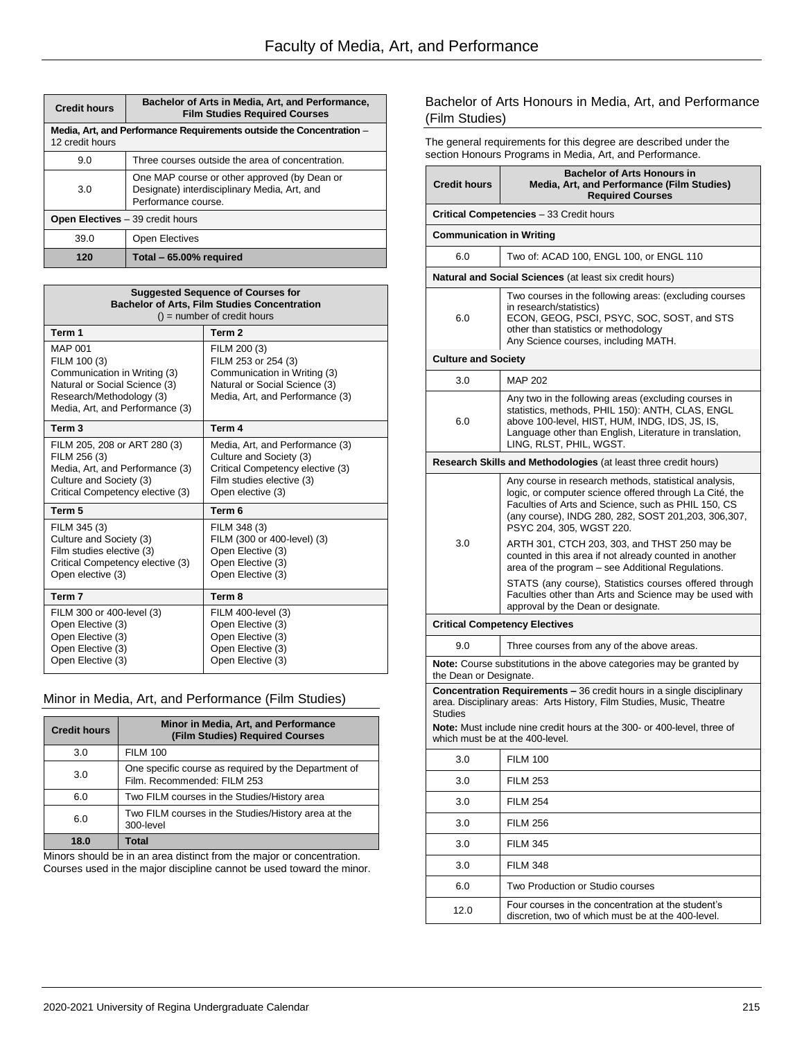| <b>Credit hours</b>                     | Bachelor of Arts in Media, Art, and Performance,<br><b>Film Studies Required Courses</b>                            |  |  |
|-----------------------------------------|---------------------------------------------------------------------------------------------------------------------|--|--|
| 12 credit hours                         | Media, Art, and Performance Requirements outside the Concentration -                                                |  |  |
| 9.0                                     | Three courses outside the area of concentration.                                                                    |  |  |
| 3.0                                     | One MAP course or other approved (by Dean or<br>Designate) interdisciplinary Media, Art, and<br>Performance course. |  |  |
| <b>Open Electives</b> – 39 credit hours |                                                                                                                     |  |  |
| 39.0                                    | <b>Open Electives</b>                                                                                               |  |  |
| 120                                     | Total - 65.00% required                                                                                             |  |  |

| <b>Suggested Sequence of Courses for</b><br><b>Bachelor of Arts, Film Studies Concentration</b><br>$()$ = number of credit hours                               |                                                                                                                                                  |  |
|----------------------------------------------------------------------------------------------------------------------------------------------------------------|--------------------------------------------------------------------------------------------------------------------------------------------------|--|
| Term 1                                                                                                                                                         | Term <sub>2</sub>                                                                                                                                |  |
| <b>MAP 001</b><br>FILM 100 (3)<br>Communication in Writing (3)<br>Natural or Social Science (3)<br>Research/Methodology (3)<br>Media, Art, and Performance (3) | FILM 200 (3)<br>FILM 253 or 254 (3)<br>Communication in Writing (3)<br>Natural or Social Science (3)<br>Media, Art, and Performance (3)          |  |
| Term <sub>3</sub>                                                                                                                                              | Term 4                                                                                                                                           |  |
| FILM 205, 208 or ART 280 (3)<br>FILM 256 (3)<br>Media, Art, and Performance (3)<br>Culture and Society (3)<br>Critical Competency elective (3)                 | Media, Art, and Performance (3)<br>Culture and Society (3)<br>Critical Competency elective (3)<br>Film studies elective (3)<br>Open elective (3) |  |
| Term 5                                                                                                                                                         | Term 6                                                                                                                                           |  |
| FILM 345 (3)<br>Culture and Society (3)<br>Film studies elective (3)<br>Critical Competency elective (3)<br>Open elective (3)                                  | FILM 348 (3)<br>FILM (300 or 400-level) (3)<br>Open Elective (3)<br>Open Elective (3)<br>Open Elective (3)                                       |  |
| Term 7                                                                                                                                                         | Term 8                                                                                                                                           |  |
| FILM 300 or 400-level (3)<br>Open Elective (3)<br>Open Elective (3)<br>Open Elective (3)<br>Open Elective (3)                                                  | FILM 400-level (3)<br>Open Elective (3)<br>Open Elective (3)<br>Open Elective (3)<br>Open Elective (3)                                           |  |

### Minor in Media, Art, and Performance (Film Studies)

| <b>Credit hours</b> | Minor in Media, Art, and Performance<br>(Film Studies) Required Courses             |
|---------------------|-------------------------------------------------------------------------------------|
| 3.0                 | <b>FILM 100</b>                                                                     |
| 3.0                 | One specific course as required by the Department of<br>Film. Recommended: FILM 253 |
| 6.0                 | Two FILM courses in the Studies/History area                                        |
| 6.0                 | Two FILM courses in the Studies/History area at the<br>300-level                    |
| 18.0                | Total                                                                               |

Minors should be in an area distinct from the major or concentration. Courses used in the major discipline cannot be used toward the minor.

### Bachelor of Arts Honours in Media, Art, and Performance (Film Studies)

The general requirements for this degree are described under the section Honours Programs in Media, Art, and Performance.

| <b>Credit hours</b>                                                                                                                                                                                                                                      | <b>Bachelor of Arts Honours in</b><br>Media, Art, and Performance (Film Studies)<br><b>Required Courses</b>                                                                                                                                                  |  |
|----------------------------------------------------------------------------------------------------------------------------------------------------------------------------------------------------------------------------------------------------------|--------------------------------------------------------------------------------------------------------------------------------------------------------------------------------------------------------------------------------------------------------------|--|
|                                                                                                                                                                                                                                                          | <b>Critical Competencies</b> - 33 Credit hours                                                                                                                                                                                                               |  |
| <b>Communication in Writing</b>                                                                                                                                                                                                                          |                                                                                                                                                                                                                                                              |  |
| 6.0                                                                                                                                                                                                                                                      | Two of: ACAD 100, ENGL 100, or ENGL 110                                                                                                                                                                                                                      |  |
|                                                                                                                                                                                                                                                          | <b>Natural and Social Sciences</b> (at least six credit hours)                                                                                                                                                                                               |  |
| 6.0                                                                                                                                                                                                                                                      | Two courses in the following areas: (excluding courses<br>in research/statistics)<br>ECON, GEOG, PSCI, PSYC, SOC, SOST, and STS<br>other than statistics or methodology<br>Any Science courses, including MATH.                                              |  |
| <b>Culture and Society</b>                                                                                                                                                                                                                               |                                                                                                                                                                                                                                                              |  |
| 3.0                                                                                                                                                                                                                                                      | <b>MAP 202</b>                                                                                                                                                                                                                                               |  |
| 6.0                                                                                                                                                                                                                                                      | Any two in the following areas (excluding courses in<br>statistics, methods, PHIL 150): ANTH, CLAS, ENGL<br>above 100-level, HIST, HUM, INDG, IDS, JS, IS,<br>Language other than English, Literature in translation,<br>LING, RLST, PHIL, WGST.             |  |
|                                                                                                                                                                                                                                                          | <b>Research Skills and Methodologies (at least three credit hours)</b>                                                                                                                                                                                       |  |
| 3.0                                                                                                                                                                                                                                                      | Any course in research methods, statistical analysis,<br>logic, or computer science offered through La Cité, the<br>Faculties of Arts and Science, such as PHIL 150, CS<br>(any course), INDG 280, 282, SOST 201, 203, 306, 307,<br>PSYC 204, 305, WGST 220. |  |
|                                                                                                                                                                                                                                                          | ARTH 301, CTCH 203, 303, and THST 250 may be<br>counted in this area if not already counted in another<br>area of the program - see Additional Regulations.                                                                                                  |  |
|                                                                                                                                                                                                                                                          | STATS (any course), Statistics courses offered through<br>Faculties other than Arts and Science may be used with<br>approval by the Dean or designate.                                                                                                       |  |
|                                                                                                                                                                                                                                                          | <b>Critical Competency Electives</b>                                                                                                                                                                                                                         |  |
| 9.0                                                                                                                                                                                                                                                      | Three courses from any of the above areas.                                                                                                                                                                                                                   |  |
| <b>Note:</b> Course substitutions in the above categories may be granted by<br>the Dean or Designate.                                                                                                                                                    |                                                                                                                                                                                                                                                              |  |
| <b>Concentration Requirements - 36 credit hours in a single disciplinary</b><br>area. Disciplinary areas: Arts History, Film Studies, Music, Theatre<br><b>Studies</b><br><b>Note:</b> Must include nine credit hours at the 300- or 400-level, three of |                                                                                                                                                                                                                                                              |  |
|                                                                                                                                                                                                                                                          | which must be at the 400-level.                                                                                                                                                                                                                              |  |
| 3.0                                                                                                                                                                                                                                                      | <b>FILM 100</b>                                                                                                                                                                                                                                              |  |
| 3.0                                                                                                                                                                                                                                                      | <b>FILM 253</b>                                                                                                                                                                                                                                              |  |
| 3.0                                                                                                                                                                                                                                                      | <b>FILM 254</b>                                                                                                                                                                                                                                              |  |
| 3.0                                                                                                                                                                                                                                                      | <b>FILM 256</b>                                                                                                                                                                                                                                              |  |
| 3.0                                                                                                                                                                                                                                                      | <b>FILM 345</b>                                                                                                                                                                                                                                              |  |
| 3.0                                                                                                                                                                                                                                                      | <b>FILM 348</b>                                                                                                                                                                                                                                              |  |
| 6.0                                                                                                                                                                                                                                                      | Two Production or Studio courses                                                                                                                                                                                                                             |  |
| 12.0                                                                                                                                                                                                                                                     | Four courses in the concentration at the student's<br>discretion, two of which must be at the 400-level.                                                                                                                                                     |  |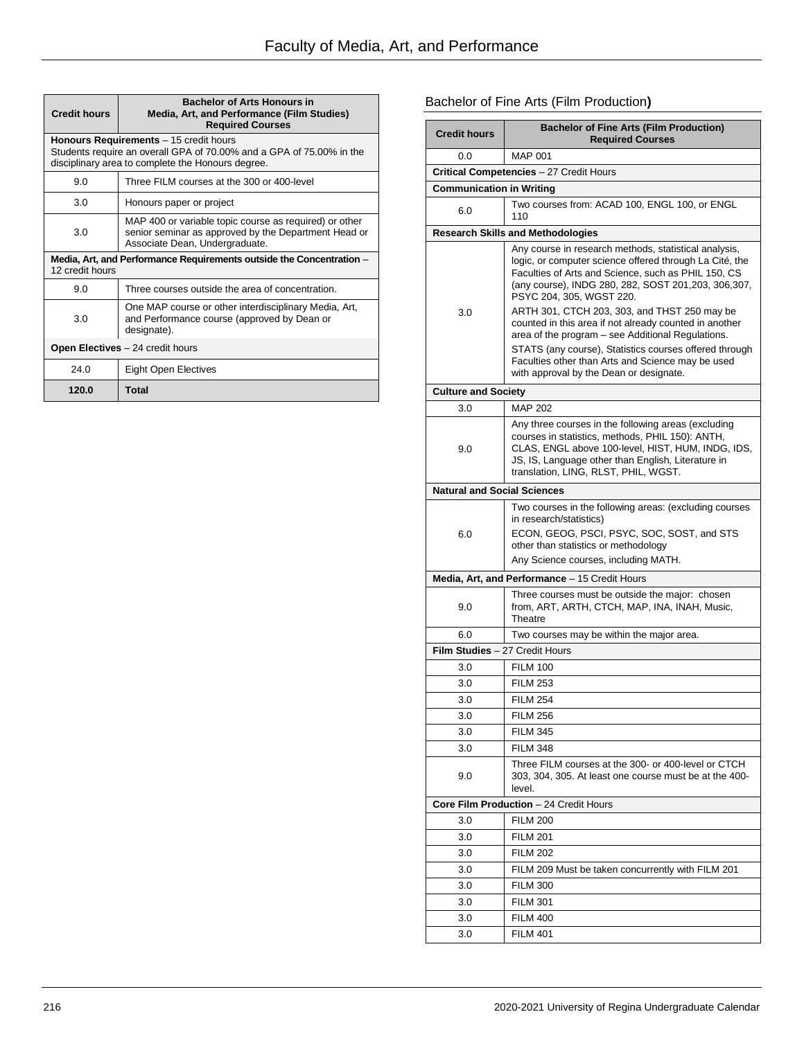| <b>Credit hours</b>                                                                     | <b>Bachelor of Arts Honours in</b><br>Media, Art, and Performance (Film Studies)<br><b>Required Courses</b>                                                         |  |  |
|-----------------------------------------------------------------------------------------|---------------------------------------------------------------------------------------------------------------------------------------------------------------------|--|--|
|                                                                                         | Honours Requirements - 15 credit hours<br>Students require an overall GPA of 70.00% and a GPA of 75.00% in the<br>disciplinary area to complete the Honours degree. |  |  |
| 9.0                                                                                     | Three FILM courses at the 300 or 400-level                                                                                                                          |  |  |
| 3.0                                                                                     | Honours paper or project                                                                                                                                            |  |  |
| 3.0                                                                                     | MAP 400 or variable topic course as required) or other<br>senior seminar as approved by the Department Head or<br>Associate Dean, Undergraduate.                    |  |  |
| Media, Art, and Performance Requirements outside the Concentration -<br>12 credit hours |                                                                                                                                                                     |  |  |
| 9.0                                                                                     | Three courses outside the area of concentration.                                                                                                                    |  |  |
| 3.0                                                                                     | One MAP course or other interdisciplinary Media, Art,<br>and Performance course (approved by Dean or<br>designate).                                                 |  |  |
| <b>Open Electives</b> $-$ 24 credit hours                                               |                                                                                                                                                                     |  |  |
| 24.0                                                                                    | <b>Eight Open Electives</b>                                                                                                                                         |  |  |
| 120.0                                                                                   | <b>Total</b>                                                                                                                                                        |  |  |

# Bachelor of Fine Arts (Film Production**)**

| <b>Credit hours</b>                | <b>Bachelor of Fine Arts (Film Production)</b><br><b>Required Courses</b>                                                                                                                                                                                                                                                                                                                                                                                                                                                                                                             |
|------------------------------------|---------------------------------------------------------------------------------------------------------------------------------------------------------------------------------------------------------------------------------------------------------------------------------------------------------------------------------------------------------------------------------------------------------------------------------------------------------------------------------------------------------------------------------------------------------------------------------------|
| 0.0                                | <b>MAP 001</b>                                                                                                                                                                                                                                                                                                                                                                                                                                                                                                                                                                        |
|                                    | Critical Competencies - 27 Credit Hours                                                                                                                                                                                                                                                                                                                                                                                                                                                                                                                                               |
| <b>Communication in Writing</b>    |                                                                                                                                                                                                                                                                                                                                                                                                                                                                                                                                                                                       |
| 6.0                                | Two courses from: ACAD 100, ENGL 100, or ENGL<br>110                                                                                                                                                                                                                                                                                                                                                                                                                                                                                                                                  |
|                                    | <b>Research Skills and Methodologies</b>                                                                                                                                                                                                                                                                                                                                                                                                                                                                                                                                              |
| 3.0                                | Any course in research methods, statistical analysis,<br>logic, or computer science offered through La Cité, the<br>Faculties of Arts and Science, such as PHIL 150, CS<br>(any course), INDG 280, 282, SOST 201, 203, 306, 307,<br>PSYC 204, 305, WGST 220.<br>ARTH 301, CTCH 203, 303, and THST 250 may be<br>counted in this area if not already counted in another<br>area of the program - see Additional Regulations.<br>STATS (any course), Statistics courses offered through<br>Faculties other than Arts and Science may be used<br>with approval by the Dean or designate. |
| <b>Culture and Society</b>         |                                                                                                                                                                                                                                                                                                                                                                                                                                                                                                                                                                                       |
| 3.0                                | <b>MAP 202</b>                                                                                                                                                                                                                                                                                                                                                                                                                                                                                                                                                                        |
| 9.0                                | Any three courses in the following areas (excluding<br>courses in statistics, methods, PHIL 150): ANTH,<br>CLAS, ENGL above 100-level, HIST, HUM, INDG, IDS,<br>JS, IS, Language other than English, Literature in<br>translation, LING, RLST, PHIL, WGST.                                                                                                                                                                                                                                                                                                                            |
| <b>Natural and Social Sciences</b> |                                                                                                                                                                                                                                                                                                                                                                                                                                                                                                                                                                                       |
| 6.0                                | Two courses in the following areas: (excluding courses<br>in research/statistics)<br>ECON, GEOG, PSCI, PSYC, SOC, SOST, and STS<br>other than statistics or methodology<br>Any Science courses, including MATH.                                                                                                                                                                                                                                                                                                                                                                       |
|                                    | Media, Art, and Performance - 15 Credit Hours                                                                                                                                                                                                                                                                                                                                                                                                                                                                                                                                         |
| 9.0                                | Three courses must be outside the major: chosen<br>from, ART, ARTH, CTCH, MAP, INA, INAH, Music,<br>Theatre                                                                                                                                                                                                                                                                                                                                                                                                                                                                           |
| 6.0                                | Two courses may be within the major area.                                                                                                                                                                                                                                                                                                                                                                                                                                                                                                                                             |
| Film Studies - 27 Credit Hours     |                                                                                                                                                                                                                                                                                                                                                                                                                                                                                                                                                                                       |
| 3.0                                | <b>FILM 100</b>                                                                                                                                                                                                                                                                                                                                                                                                                                                                                                                                                                       |
| 3.0                                | <b>FILM 253</b>                                                                                                                                                                                                                                                                                                                                                                                                                                                                                                                                                                       |
| 3.0                                | <b>FILM 254</b>                                                                                                                                                                                                                                                                                                                                                                                                                                                                                                                                                                       |
| 3.0                                | <b>FILM 256</b>                                                                                                                                                                                                                                                                                                                                                                                                                                                                                                                                                                       |
| 3.0                                | <b>FILM 345</b>                                                                                                                                                                                                                                                                                                                                                                                                                                                                                                                                                                       |
| 3.0                                | <b>FILM 348</b>                                                                                                                                                                                                                                                                                                                                                                                                                                                                                                                                                                       |
| 9.0                                | Three FILM courses at the 300- or 400-level or CTCH<br>303, 304, 305. At least one course must be at the 400-<br>level.                                                                                                                                                                                                                                                                                                                                                                                                                                                               |
|                                    | Core Film Production - 24 Credit Hours                                                                                                                                                                                                                                                                                                                                                                                                                                                                                                                                                |
| 3.0                                | <b>FILM 200</b>                                                                                                                                                                                                                                                                                                                                                                                                                                                                                                                                                                       |
| 3.0                                | <b>FILM 201</b>                                                                                                                                                                                                                                                                                                                                                                                                                                                                                                                                                                       |
| 3.0                                | <b>FILM 202</b>                                                                                                                                                                                                                                                                                                                                                                                                                                                                                                                                                                       |
| 3.0                                | FILM 209 Must be taken concurrently with FILM 201                                                                                                                                                                                                                                                                                                                                                                                                                                                                                                                                     |
| 3.0                                | <b>FILM 300</b>                                                                                                                                                                                                                                                                                                                                                                                                                                                                                                                                                                       |
| 3.0                                | <b>FILM 301</b>                                                                                                                                                                                                                                                                                                                                                                                                                                                                                                                                                                       |
| 3.0                                | <b>FILM 400</b>                                                                                                                                                                                                                                                                                                                                                                                                                                                                                                                                                                       |
| 3.0                                | <b>FILM 401</b>                                                                                                                                                                                                                                                                                                                                                                                                                                                                                                                                                                       |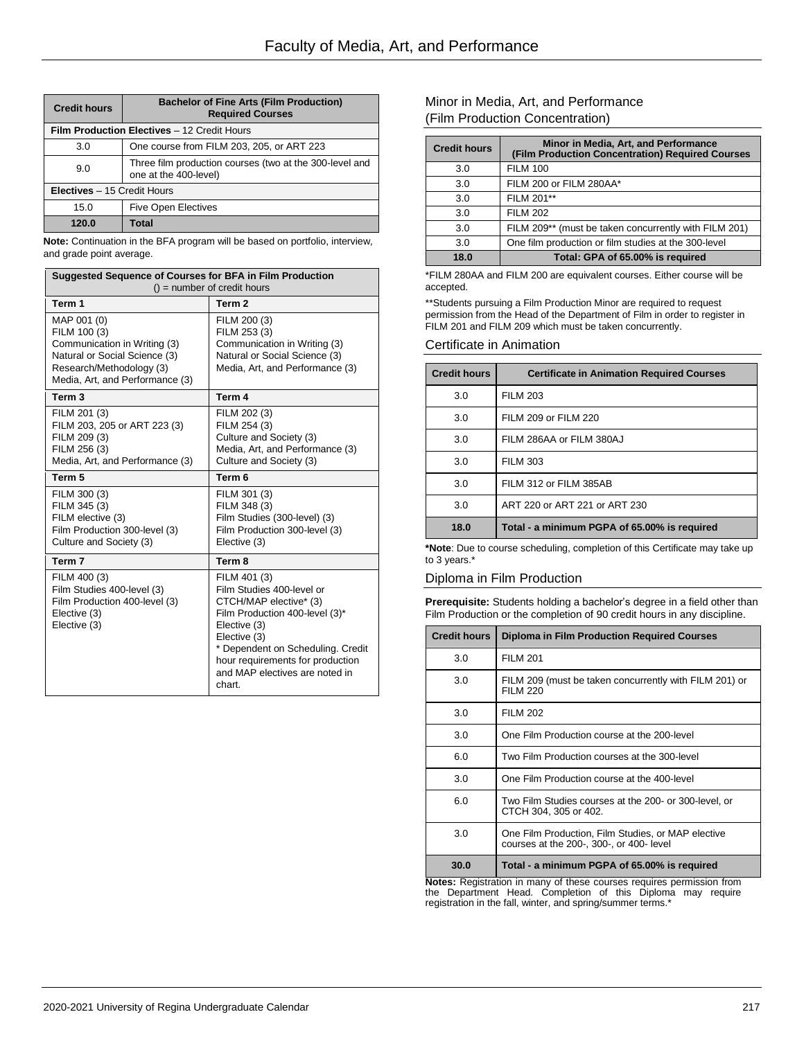| <b>Credit hours</b>                         | <b>Bachelor of Fine Arts (Film Production)</b><br><b>Required Courses</b>        |
|---------------------------------------------|----------------------------------------------------------------------------------|
| Film Production Electives - 12 Credit Hours |                                                                                  |
| 3.0                                         | One course from FILM 203, 205, or ART 223                                        |
| 9.0                                         | Three film production courses (two at the 300-level and<br>one at the 400-level) |
| <b>Electives</b> – 15 Credit Hours          |                                                                                  |
| 15.0                                        | <b>Five Open Electives</b>                                                       |
| 120.0                                       | Total                                                                            |

**Note:** Continuation in the BFA program will be based on portfolio, interview, and grade point average.

| Suggested Sequence of Courses for BFA in Film Production<br>$()$ = number of credit hours                                                                   |                                                                                                                                                                                                                                                            |
|-------------------------------------------------------------------------------------------------------------------------------------------------------------|------------------------------------------------------------------------------------------------------------------------------------------------------------------------------------------------------------------------------------------------------------|
| Term 1                                                                                                                                                      | Term <sub>2</sub>                                                                                                                                                                                                                                          |
| MAP 001 (0)<br>FILM 100 (3)<br>Communication in Writing (3)<br>Natural or Social Science (3)<br>Research/Methodology (3)<br>Media, Art, and Performance (3) | FILM 200 (3)<br>FILM 253 (3)<br>Communication in Writing (3)<br>Natural or Social Science (3)<br>Media, Art, and Performance (3)                                                                                                                           |
| Term 3                                                                                                                                                      | Term 4                                                                                                                                                                                                                                                     |
| FILM 201 (3)<br>FILM 203, 205 or ART 223 (3)<br>FILM 209 (3)<br>FILM 256 (3)<br>Media, Art, and Performance (3)                                             | FILM 202 (3)<br>FILM 254 (3)<br>Culture and Society (3)<br>Media, Art, and Performance (3)<br>Culture and Society (3)                                                                                                                                      |
| Term 5                                                                                                                                                      | Term 6                                                                                                                                                                                                                                                     |
| FILM 300 (3)<br>FILM 345 (3)<br>FILM elective (3)<br>Film Production 300-level (3)<br>Culture and Society (3)                                               | FILM 301 (3)<br>FILM 348 (3)<br>Film Studies (300-level) (3)<br>Film Production 300-level (3)<br>Elective (3)                                                                                                                                              |
| Term 7                                                                                                                                                      | Term 8                                                                                                                                                                                                                                                     |
| FILM 400 (3)<br>Film Studies 400-level (3)<br>Film Production 400-level (3)<br>Elective (3)<br>Elective (3)                                                 | FILM 401 (3)<br>Film Studies 400-level or<br>CTCH/MAP elective* (3)<br>Film Production 400-level (3)*<br>Elective (3)<br>Elective (3)<br>* Dependent on Scheduling. Credit<br>hour requirements for production<br>and MAP electives are noted in<br>chart. |

### Minor in Media, Art, and Performance (Film Production Concentration)

| <b>Credit hours</b> | Minor in Media, Art, and Performance<br>(Film Production Concentration) Required Courses |
|---------------------|------------------------------------------------------------------------------------------|
| 3.0                 | <b>FILM 100</b>                                                                          |
| 3.0                 | FILM 200 or FILM 280AA*                                                                  |
| 3.0                 | FILM 201**                                                                               |
| 3.0                 | <b>FILM 202</b>                                                                          |
| 3.0                 | FILM 209** (must be taken concurrently with FILM 201)                                    |
| 3.0                 | One film production or film studies at the 300-level                                     |
| 18.0                | Total: GPA of 65.00% is required                                                         |

\*FILM 280AA and FILM 200 are equivalent courses. Either course will be accepted.

\*\*Students pursuing a Film Production Minor are required to request permission from the Head of the Department of Film in order to register in FILM 201 and FILM 209 which must be taken concurrently.

### Certificate in Animation

| <b>Credit hours</b> | <b>Certificate in Animation Required Courses</b> |
|---------------------|--------------------------------------------------|
| 3.0                 | <b>FILM 203</b>                                  |
| 3.0                 | FILM 209 or FILM 220                             |
| 3.0                 | FILM 286AA or FILM 380AJ                         |
| 3.0                 | <b>FILM 303</b>                                  |
| 3.0                 | FILM 312 or FILM 385AB                           |
| 3.0                 | ART 220 or ART 221 or ART 230                    |
| 18.0                | Total - a minimum PGPA of 65.00% is required     |

**\*Note**: Due to course scheduling, completion of this Certificate may take up to 3 years.\*

### Diploma in Film Production

**Prerequisite:** Students holding a bachelor's degree in a field other than Film Production or the completion of 90 credit hours in any discipline.

| <b>Credit hours</b> | <b>Diploma in Film Production Required Courses</b>                                             |
|---------------------|------------------------------------------------------------------------------------------------|
| 3.0                 | <b>FILM 201</b>                                                                                |
| 3.0                 | FILM 209 (must be taken concurrently with FILM 201) or<br><b>FILM 220</b>                      |
| 3.0                 | <b>FILM 202</b>                                                                                |
| 3.0                 | One Film Production course at the 200-level                                                    |
| 6.0                 | Two Film Production courses at the 300-level                                                   |
| 3.0                 | One Film Production course at the 400-level                                                    |
| 6.0                 | Two Film Studies courses at the 200- or 300-level, or<br>CTCH 304, 305 or 402.                 |
| 3.0                 | One Film Production, Film Studies, or MAP elective<br>courses at the 200-, 300-, or 400- level |
| 30.0                | Total - a minimum PGPA of 65.00% is required                                                   |

**Notes:** Registration in many of these courses requires permission from the Department Head. Completion of this Diploma may require registration in the fall, winter, and spring/summer terms.\*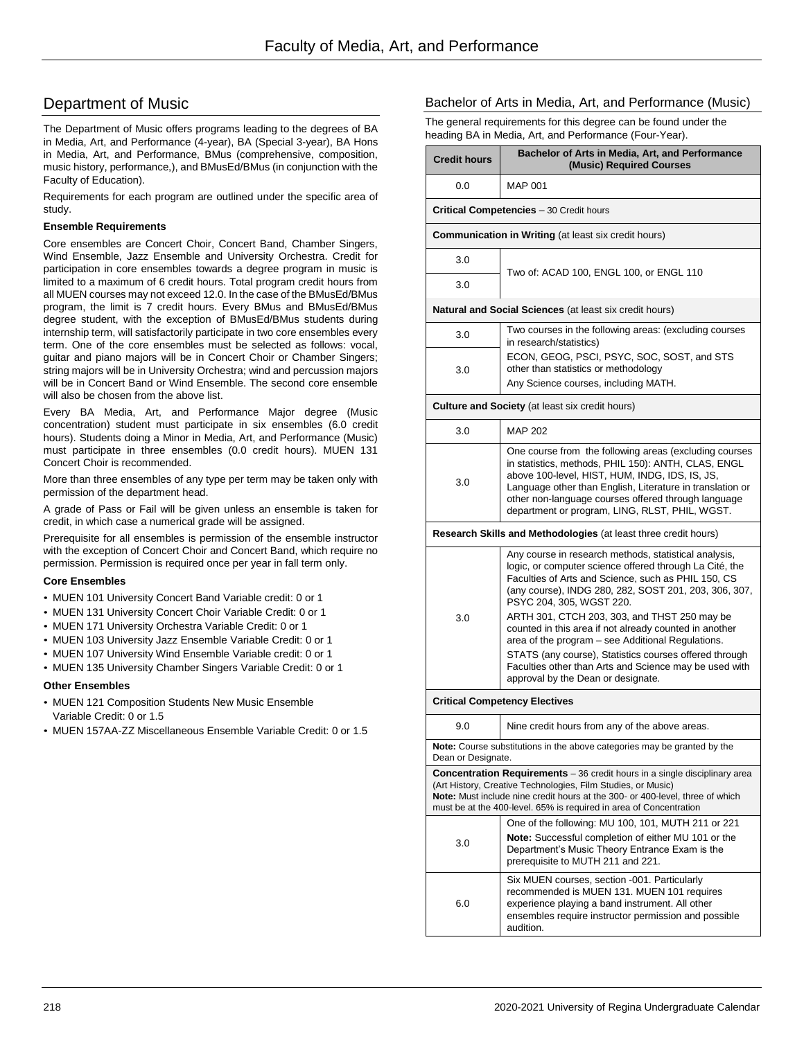# Department of Music

The Department of Music offers programs leading to the degrees of BA in Media, Art, and Performance (4-year), BA (Special 3-year), BA Hons in Media, Art, and Performance, BMus (comprehensive, composition, music history, performance,), and BMusEd/BMus (in conjunction with the Faculty of Education).

Requirements for each program are outlined under the specific area of study.

### **Ensemble Requirements**

Core ensembles are Concert Choir, Concert Band, Chamber Singers, Wind Ensemble, Jazz Ensemble and University Orchestra. Credit for participation in core ensembles towards a degree program in music is limited to a maximum of 6 credit hours. Total program credit hours from all MUEN courses may not exceed 12.0. In the case of the BMusEd/BMus program, the limit is 7 credit hours. Every BMus and BMusEd/BMus degree student, with the exception of BMusEd/BMus students during internship term, will satisfactorily participate in two core ensembles every term. One of the core ensembles must be selected as follows: vocal, guitar and piano majors will be in Concert Choir or Chamber Singers; string majors will be in University Orchestra; wind and percussion majors will be in Concert Band or Wind Ensemble. The second core ensemble will also be chosen from the above list.

Every BA Media, Art, and Performance Major degree (Music concentration) student must participate in six ensembles (6.0 credit hours). Students doing a Minor in Media, Art, and Performance (Music) must participate in three ensembles (0.0 credit hours). MUEN 131 Concert Choir is recommended.

More than three ensembles of any type per term may be taken only with permission of the department head.

A grade of Pass or Fail will be given unless an ensemble is taken for credit, in which case a numerical grade will be assigned.

Prerequisite for all ensembles is permission of the ensemble instructor with the exception of Concert Choir and Concert Band, which require no permission. Permission is required once per year in fall term only.

### **Core Ensembles**

- MUEN 101 University Concert Band Variable credit: 0 or 1
- MUEN 131 University Concert Choir Variable Credit: 0 or 1
- MUEN 171 University Orchestra Variable Credit: 0 or 1
- MUEN 103 University Jazz Ensemble Variable Credit: 0 or 1
- MUEN 107 University Wind Ensemble Variable credit: 0 or 1
- MUEN 135 University Chamber Singers Variable Credit: 0 or 1

### **Other Ensembles**

- MUEN 121 Composition Students New Music Ensemble Variable Credit: 0 or 1.5
- MUEN 157AA-ZZ Miscellaneous Ensemble Variable Credit: 0 or 1.5

### Bachelor of Arts in Media, Art, and Performance (Music)

The general requirements for this degree can be found under the heading BA in Media, Art, and Performance (Four-Year).

| <b>Credit hours</b>                                                                                                                                                                                                 | Bachelor of Arts in Media, Art, and Performance<br>(Music) Required Courses                                                                                                                                                                                                                                                                                                                                                                                                                                                                                                           |  |  |
|---------------------------------------------------------------------------------------------------------------------------------------------------------------------------------------------------------------------|---------------------------------------------------------------------------------------------------------------------------------------------------------------------------------------------------------------------------------------------------------------------------------------------------------------------------------------------------------------------------------------------------------------------------------------------------------------------------------------------------------------------------------------------------------------------------------------|--|--|
| 0.0                                                                                                                                                                                                                 | <b>MAP 001</b>                                                                                                                                                                                                                                                                                                                                                                                                                                                                                                                                                                        |  |  |
|                                                                                                                                                                                                                     | <b>Critical Competencies</b> - 30 Credit hours                                                                                                                                                                                                                                                                                                                                                                                                                                                                                                                                        |  |  |
|                                                                                                                                                                                                                     | <b>Communication in Writing (at least six credit hours)</b>                                                                                                                                                                                                                                                                                                                                                                                                                                                                                                                           |  |  |
| 3.0                                                                                                                                                                                                                 | Two of: ACAD 100, ENGL 100, or ENGL 110                                                                                                                                                                                                                                                                                                                                                                                                                                                                                                                                               |  |  |
| 3.0                                                                                                                                                                                                                 |                                                                                                                                                                                                                                                                                                                                                                                                                                                                                                                                                                                       |  |  |
|                                                                                                                                                                                                                     | <b>Natural and Social Sciences</b> (at least six credit hours)                                                                                                                                                                                                                                                                                                                                                                                                                                                                                                                        |  |  |
| 3.0                                                                                                                                                                                                                 | Two courses in the following areas: (excluding courses<br>in research/statistics)                                                                                                                                                                                                                                                                                                                                                                                                                                                                                                     |  |  |
| 3.0                                                                                                                                                                                                                 | ECON, GEOG, PSCI, PSYC, SOC, SOST, and STS<br>other than statistics or methodology<br>Any Science courses, including MATH.                                                                                                                                                                                                                                                                                                                                                                                                                                                            |  |  |
|                                                                                                                                                                                                                     | <b>Culture and Society</b> (at least six credit hours)                                                                                                                                                                                                                                                                                                                                                                                                                                                                                                                                |  |  |
| 3.0                                                                                                                                                                                                                 | MAP 202                                                                                                                                                                                                                                                                                                                                                                                                                                                                                                                                                                               |  |  |
| 3.0                                                                                                                                                                                                                 | One course from the following areas (excluding courses<br>in statistics, methods, PHIL 150): ANTH, CLAS, ENGL<br>above 100-level, HIST, HUM, INDG, IDS, IS, JS,<br>Language other than English, Literature in translation or<br>other non-language courses offered through language<br>department or program, LING, RLST, PHIL, WGST.                                                                                                                                                                                                                                                 |  |  |
|                                                                                                                                                                                                                     | Research Skills and Methodologies (at least three credit hours)                                                                                                                                                                                                                                                                                                                                                                                                                                                                                                                       |  |  |
| 3.0                                                                                                                                                                                                                 | Any course in research methods, statistical analysis,<br>logic, or computer science offered through La Cité, the<br>Faculties of Arts and Science, such as PHIL 150, CS<br>(any course), INDG 280, 282, SOST 201, 203, 306, 307,<br>PSYC 204, 305, WGST 220.<br>ARTH 301, CTCH 203, 303, and THST 250 may be<br>counted in this area if not already counted in another<br>area of the program - see Additional Regulations.<br>STATS (any course), Statistics courses offered through<br>Faculties other than Arts and Science may be used with<br>approval by the Dean or designate. |  |  |
|                                                                                                                                                                                                                     | <b>Critical Competency Electives</b>                                                                                                                                                                                                                                                                                                                                                                                                                                                                                                                                                  |  |  |
| 9.0                                                                                                                                                                                                                 | Nine credit hours from any of the above areas.                                                                                                                                                                                                                                                                                                                                                                                                                                                                                                                                        |  |  |
| Dean or Designate.                                                                                                                                                                                                  | Note: Course substitutions in the above categories may be granted by the                                                                                                                                                                                                                                                                                                                                                                                                                                                                                                              |  |  |
|                                                                                                                                                                                                                     | <b>Concentration Requirements</b> – 36 credit hours in a single disciplinary area                                                                                                                                                                                                                                                                                                                                                                                                                                                                                                     |  |  |
| (Art History, Creative Technologies, Film Studies, or Music)<br>Note: Must include nine credit hours at the 300- or 400-level, three of which<br>must be at the 400-level. 65% is required in area of Concentration |                                                                                                                                                                                                                                                                                                                                                                                                                                                                                                                                                                                       |  |  |
| 3.0                                                                                                                                                                                                                 | One of the following: MU 100, 101, MUTH 211 or 221<br>Note: Successful completion of either MU 101 or the<br>Department's Music Theory Entrance Exam is the<br>prerequisite to MUTH 211 and 221.                                                                                                                                                                                                                                                                                                                                                                                      |  |  |
| 6.0                                                                                                                                                                                                                 | Six MUEN courses, section -001. Particularly<br>recommended is MUEN 131. MUEN 101 requires<br>experience playing a band instrument. All other<br>ensembles require instructor permission and possible<br>audition.                                                                                                                                                                                                                                                                                                                                                                    |  |  |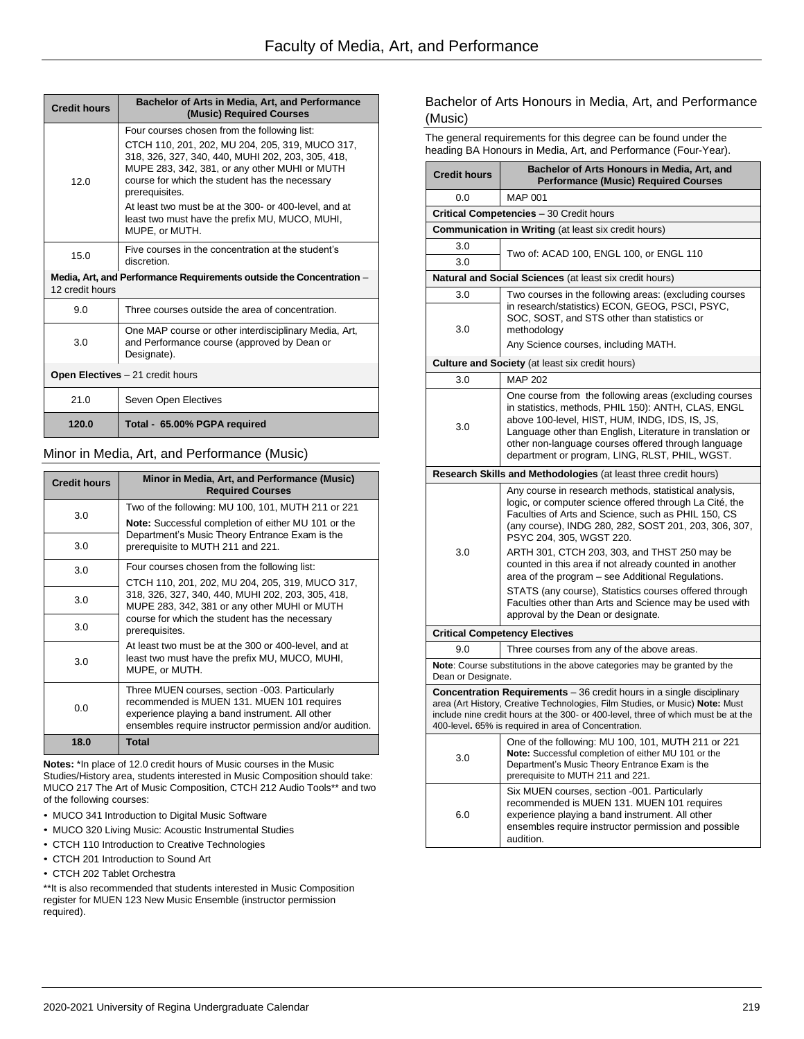| <b>Credit hours</b>                                                                     | Bachelor of Arts in Media, Art, and Performance<br>(Music) Required Courses                                                                                                                                               |  |
|-----------------------------------------------------------------------------------------|---------------------------------------------------------------------------------------------------------------------------------------------------------------------------------------------------------------------------|--|
|                                                                                         | Four courses chosen from the following list:                                                                                                                                                                              |  |
| 12.0                                                                                    | CTCH 110, 201, 202, MU 204, 205, 319, MUCO 317,<br>318, 326, 327, 340, 440, MUHI 202, 203, 305, 418,<br>MUPE 283, 342, 381, or any other MUHI or MUTH<br>course for which the student has the necessary<br>prerequisites. |  |
|                                                                                         | At least two must be at the 300- or 400-level, and at<br>least two must have the prefix MU, MUCO, MUHI,<br>MUPE, or MUTH.                                                                                                 |  |
| 15.0                                                                                    | Five courses in the concentration at the student's<br>discretion.                                                                                                                                                         |  |
| Media, Art, and Performance Requirements outside the Concentration -<br>12 credit hours |                                                                                                                                                                                                                           |  |
| 9.0                                                                                     | Three courses outside the area of concentration.                                                                                                                                                                          |  |
| 3.0                                                                                     | One MAP course or other interdisciplinary Media, Art,<br>and Performance course (approved by Dean or<br>Designate).                                                                                                       |  |
| Open Electives - 21 credit hours                                                        |                                                                                                                                                                                                                           |  |
| 21.0                                                                                    | Seven Open Electives                                                                                                                                                                                                      |  |
| 120.0                                                                                   | Total - 65.00% PGPA required                                                                                                                                                                                              |  |

### Minor in Media, Art, and Performance (Music)

| <b>Credit hours</b> | Minor in Media, Art, and Performance (Music)<br><b>Required Courses</b>                                                                                                                                     |
|---------------------|-------------------------------------------------------------------------------------------------------------------------------------------------------------------------------------------------------------|
| 3.0                 | Two of the following: MU 100, 101, MUTH 211 or 221                                                                                                                                                          |
|                     | <b>Note:</b> Successful completion of either MU 101 or the                                                                                                                                                  |
| 3.0                 | Department's Music Theory Entrance Exam is the<br>prerequisite to MUTH 211 and 221.                                                                                                                         |
| 3.0                 | Four courses chosen from the following list:                                                                                                                                                                |
|                     | CTCH 110, 201, 202, MU 204, 205, 319, MUCO 317,                                                                                                                                                             |
| 3.0                 | 318, 326, 327, 340, 440, MUHI 202, 203, 305, 418,<br>MUPE 283, 342, 381 or any other MUHI or MUTH                                                                                                           |
| 3.0                 | course for which the student has the necessary<br>prerequisites.                                                                                                                                            |
| 3.0                 | At least two must be at the 300 or 400-level, and at<br>least two must have the prefix MU, MUCO, MUHI,<br>MUPE, or MUTH.                                                                                    |
| 0.0                 | Three MUEN courses, section -003. Particularly<br>recommended is MUEN 131. MUEN 101 requires<br>experience playing a band instrument. All other<br>ensembles require instructor permission and/or audition. |
| 18.0                | <b>Total</b>                                                                                                                                                                                                |

**Notes:** \*In place of 12.0 credit hours of Music courses in the Music Studies/History area, students interested in Music Composition should take: MUCO 217 The Art of Music Composition, CTCH 212 Audio Tools\*\* and two of the following courses:

- MUCO 341 Introduction to Digital Music Software
- MUCO 320 Living Music: Acoustic Instrumental Studies
- CTCH 110 Introduction to Creative Technologies
- CTCH 201 Introduction to Sound Art
- CTCH 202 Tablet Orchestra

\*\*It is also recommended that students interested in Music Composition register for MUEN 123 New Music Ensemble (instructor permission required).

### Bachelor of Arts Honours in Media, Art, and Performance (Music)

The general requirements for this degree can be found under the heading BA Honours in Media, Art, and Performance (Four-Year).

| <b>Credit hours</b>                                                                                                                                                                                                                                                                                       | Bachelor of Arts Honours in Media, Art, and<br><b>Performance (Music) Required Courses</b>                                                                                                                                                                                                                                            |  |  |
|-----------------------------------------------------------------------------------------------------------------------------------------------------------------------------------------------------------------------------------------------------------------------------------------------------------|---------------------------------------------------------------------------------------------------------------------------------------------------------------------------------------------------------------------------------------------------------------------------------------------------------------------------------------|--|--|
| 0.0                                                                                                                                                                                                                                                                                                       | <b>MAP 001</b>                                                                                                                                                                                                                                                                                                                        |  |  |
|                                                                                                                                                                                                                                                                                                           | Critical Competencies - 30 Credit hours                                                                                                                                                                                                                                                                                               |  |  |
|                                                                                                                                                                                                                                                                                                           | <b>Communication in Writing (at least six credit hours)</b>                                                                                                                                                                                                                                                                           |  |  |
| 3.0                                                                                                                                                                                                                                                                                                       | Two of: ACAD 100, ENGL 100, or ENGL 110                                                                                                                                                                                                                                                                                               |  |  |
| 3.0                                                                                                                                                                                                                                                                                                       |                                                                                                                                                                                                                                                                                                                                       |  |  |
|                                                                                                                                                                                                                                                                                                           | Natural and Social Sciences (at least six credit hours)                                                                                                                                                                                                                                                                               |  |  |
| 3.0                                                                                                                                                                                                                                                                                                       | Two courses in the following areas: (excluding courses                                                                                                                                                                                                                                                                                |  |  |
| 3.0                                                                                                                                                                                                                                                                                                       | in research/statistics) ECON, GEOG, PSCI, PSYC,<br>SOC, SOST, and STS other than statistics or<br>methodology                                                                                                                                                                                                                         |  |  |
|                                                                                                                                                                                                                                                                                                           | Any Science courses, including MATH.                                                                                                                                                                                                                                                                                                  |  |  |
|                                                                                                                                                                                                                                                                                                           | <b>Culture and Society</b> (at least six credit hours)                                                                                                                                                                                                                                                                                |  |  |
| 3.0                                                                                                                                                                                                                                                                                                       | <b>MAP 202</b>                                                                                                                                                                                                                                                                                                                        |  |  |
| 3.0                                                                                                                                                                                                                                                                                                       | One course from the following areas (excluding courses<br>in statistics, methods, PHIL 150): ANTH, CLAS, ENGL<br>above 100-level, HIST, HUM, INDG, IDS, IS, JS,<br>Language other than English, Literature in translation or<br>other non-language courses offered through language<br>department or program, LING, RLST, PHIL, WGST. |  |  |
|                                                                                                                                                                                                                                                                                                           | Research Skills and Methodologies (at least three credit hours)                                                                                                                                                                                                                                                                       |  |  |
| 3.0                                                                                                                                                                                                                                                                                                       | Any course in research methods, statistical analysis,<br>logic, or computer science offered through La Cité, the<br>Faculties of Arts and Science, such as PHIL 150, CS<br>(any course), INDG 280, 282, SOST 201, 203, 306, 307,<br>PSYC 204, 305, WGST 220.<br>ARTH 301, CTCH 203, 303, and THST 250 may be                          |  |  |
|                                                                                                                                                                                                                                                                                                           | counted in this area if not already counted in another<br>area of the program – see Additional Regulations.<br>STATS (any course), Statistics courses offered through<br>Faculties other than Arts and Science may be used with<br>approval by the Dean or designate.                                                                 |  |  |
|                                                                                                                                                                                                                                                                                                           | <b>Critical Competency Electives</b>                                                                                                                                                                                                                                                                                                  |  |  |
| 9.0                                                                                                                                                                                                                                                                                                       | Three courses from any of the above areas.                                                                                                                                                                                                                                                                                            |  |  |
| Dean or Designate.                                                                                                                                                                                                                                                                                        | Note: Course substitutions in the above categories may be granted by the                                                                                                                                                                                                                                                              |  |  |
| <b>Concentration Requirements</b> - 36 credit hours in a single disciplinary<br>area (Art History, Creative Technologies, Film Studies, or Music) Note: Must<br>include nine credit hours at the 300- or 400-level, three of which must be at the<br>400-level. 65% is required in area of Concentration. |                                                                                                                                                                                                                                                                                                                                       |  |  |
| 3.0                                                                                                                                                                                                                                                                                                       | One of the following: MU 100, 101, MUTH 211 or 221<br>Note: Successful completion of either MU 101 or the<br>Department's Music Theory Entrance Exam is the<br>prerequisite to MUTH 211 and 221.                                                                                                                                      |  |  |
| 6.0                                                                                                                                                                                                                                                                                                       | Six MUEN courses, section -001. Particularly<br>recommended is MUEN 131. MUEN 101 requires<br>experience playing a band instrument. All other<br>ensembles require instructor permission and possible<br>audition.                                                                                                                    |  |  |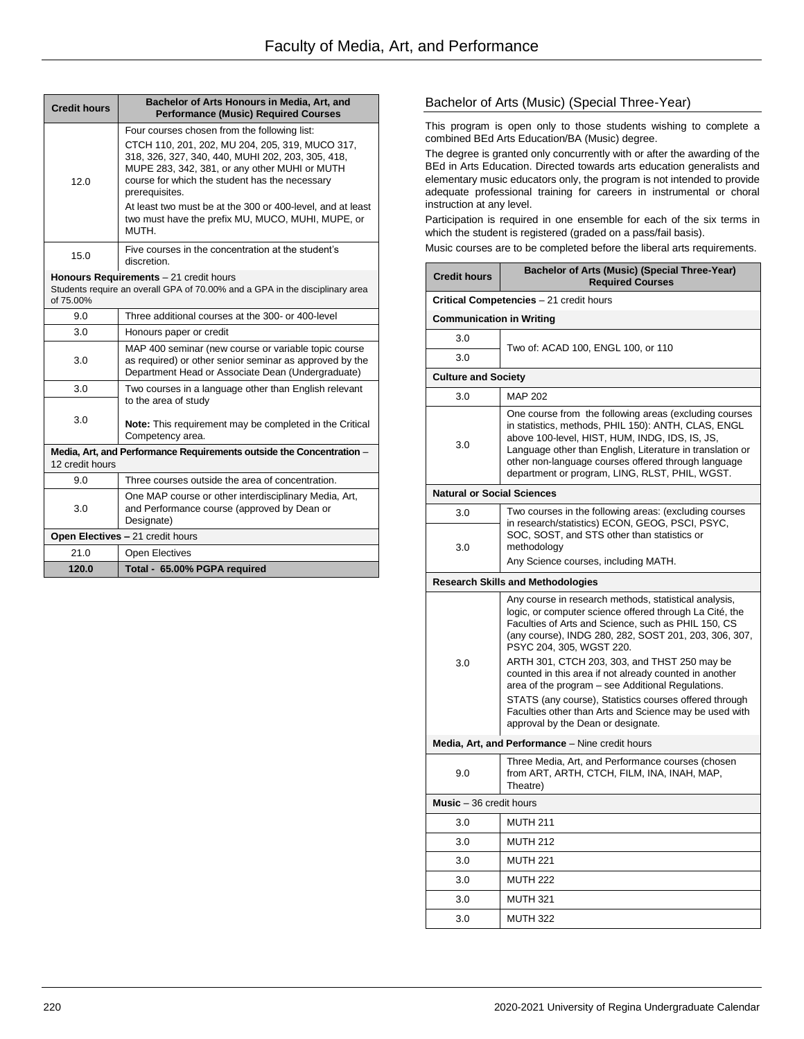| <b>Credit hours</b>                                                                     | Bachelor of Arts Honours in Media, Art, and<br><b>Performance (Music) Required Courses</b>                                                                                                                                |  |
|-----------------------------------------------------------------------------------------|---------------------------------------------------------------------------------------------------------------------------------------------------------------------------------------------------------------------------|--|
|                                                                                         | Four courses chosen from the following list:                                                                                                                                                                              |  |
| 12.0                                                                                    | CTCH 110, 201, 202, MU 204, 205, 319, MUCO 317,<br>318, 326, 327, 340, 440, MUHI 202, 203, 305, 418,<br>MUPE 283, 342, 381, or any other MUHI or MUTH<br>course for which the student has the necessary<br>prerequisites. |  |
|                                                                                         | At least two must be at the 300 or 400-level, and at least<br>two must have the prefix MU, MUCO, MUHI, MUPE, or<br>MUTH.                                                                                                  |  |
| 15.0                                                                                    | Five courses in the concentration at the student's<br>discretion.                                                                                                                                                         |  |
| of 75.00%                                                                               | Honours Requirements - 21 credit hours<br>Students require an overall GPA of 70.00% and a GPA in the disciplinary area                                                                                                    |  |
| 9.0                                                                                     | Three additional courses at the 300- or 400-level                                                                                                                                                                         |  |
| 3.0                                                                                     | Honours paper or credit                                                                                                                                                                                                   |  |
| 3.0                                                                                     | MAP 400 seminar (new course or variable topic course<br>as required) or other senior seminar as approved by the<br>Department Head or Associate Dean (Undergraduate)                                                      |  |
| 3.0                                                                                     | Two courses in a language other than English relevant<br>to the area of study                                                                                                                                             |  |
| 3.0                                                                                     | <b>Note:</b> This requirement may be completed in the Critical<br>Competency area.                                                                                                                                        |  |
| Media, Art, and Performance Requirements outside the Concentration -<br>12 credit hours |                                                                                                                                                                                                                           |  |
| 9.0                                                                                     | Three courses outside the area of concentration.                                                                                                                                                                          |  |
| 3.0                                                                                     | One MAP course or other interdisciplinary Media, Art,<br>and Performance course (approved by Dean or<br>Designate)                                                                                                        |  |
|                                                                                         | Open Electives - 21 credit hours                                                                                                                                                                                          |  |
| 21.0                                                                                    | <b>Open Electives</b>                                                                                                                                                                                                     |  |
| 120.0                                                                                   | Total - 65.00% PGPA required                                                                                                                                                                                              |  |

# Bachelor of Arts (Music) (Special Three-Year)

This program is open only to those students wishing to complete a combined BEd Arts Education/BA (Music) degree.

The degree is granted only concurrently with or after the awarding of the BEd in Arts Education. Directed towards arts education generalists and elementary music educators only, the program is not intended to provide adequate professional training for careers in instrumental or choral instruction at any level.

Participation is required in one ensemble for each of the six terms in which the student is registered (graded on a pass/fail basis).

Music courses are to be completed before the liberal arts requirements.

| <b>Credit hours</b>               | <b>Bachelor of Arts (Music) (Special Three-Year)</b><br><b>Required Courses</b>                                                                                                                                                                                                                                                                                                                                                                                                                                                                                                       |  |  |
|-----------------------------------|---------------------------------------------------------------------------------------------------------------------------------------------------------------------------------------------------------------------------------------------------------------------------------------------------------------------------------------------------------------------------------------------------------------------------------------------------------------------------------------------------------------------------------------------------------------------------------------|--|--|
|                                   | Critical Competencies - 21 credit hours                                                                                                                                                                                                                                                                                                                                                                                                                                                                                                                                               |  |  |
| <b>Communication in Writing</b>   |                                                                                                                                                                                                                                                                                                                                                                                                                                                                                                                                                                                       |  |  |
| 3.0                               | Two of: ACAD 100, ENGL 100, or 110                                                                                                                                                                                                                                                                                                                                                                                                                                                                                                                                                    |  |  |
| 3.0                               |                                                                                                                                                                                                                                                                                                                                                                                                                                                                                                                                                                                       |  |  |
| <b>Culture and Society</b>        |                                                                                                                                                                                                                                                                                                                                                                                                                                                                                                                                                                                       |  |  |
| 3.0                               | <b>MAP 202</b>                                                                                                                                                                                                                                                                                                                                                                                                                                                                                                                                                                        |  |  |
| 3.0                               | One course from the following areas (excluding courses<br>in statistics, methods, PHIL 150): ANTH, CLAS, ENGL<br>above 100-level, HIST, HUM, INDG, IDS, IS, JS,<br>Language other than English, Literature in translation or<br>other non-language courses offered through language<br>department or program, LING, RLST, PHIL, WGST.                                                                                                                                                                                                                                                 |  |  |
| <b>Natural or Social Sciences</b> |                                                                                                                                                                                                                                                                                                                                                                                                                                                                                                                                                                                       |  |  |
| 3.0                               | Two courses in the following areas: (excluding courses                                                                                                                                                                                                                                                                                                                                                                                                                                                                                                                                |  |  |
| 3.0                               | in research/statistics) ECON, GEOG, PSCI, PSYC,<br>SOC, SOST, and STS other than statistics or<br>methodology<br>Any Science courses, including MATH.                                                                                                                                                                                                                                                                                                                                                                                                                                 |  |  |
|                                   | <b>Research Skills and Methodologies</b>                                                                                                                                                                                                                                                                                                                                                                                                                                                                                                                                              |  |  |
| 3.0                               | Any course in research methods, statistical analysis,<br>logic, or computer science offered through La Cité, the<br>Faculties of Arts and Science, such as PHIL 150, CS<br>(any course), INDG 280, 282, SOST 201, 203, 306, 307,<br>PSYC 204, 305, WGST 220.<br>ARTH 301, CTCH 203, 303, and THST 250 may be<br>counted in this area if not already counted in another<br>area of the program - see Additional Regulations.<br>STATS (any course), Statistics courses offered through<br>Faculties other than Arts and Science may be used with<br>approval by the Dean or designate. |  |  |
|                                   | Media, Art, and Performance - Nine credit hours                                                                                                                                                                                                                                                                                                                                                                                                                                                                                                                                       |  |  |
| 9.0                               | Three Media, Art, and Performance courses (chosen<br>from ART, ARTH, CTCH, FILM, INA, INAH, MAP,<br>Theatre)                                                                                                                                                                                                                                                                                                                                                                                                                                                                          |  |  |
|                                   | Music - 36 credit hours                                                                                                                                                                                                                                                                                                                                                                                                                                                                                                                                                               |  |  |
| 3.0                               | <b>MUTH 211</b>                                                                                                                                                                                                                                                                                                                                                                                                                                                                                                                                                                       |  |  |
| 3.0                               | <b>MUTH 212</b>                                                                                                                                                                                                                                                                                                                                                                                                                                                                                                                                                                       |  |  |
| 3.0                               | <b>MUTH 221</b>                                                                                                                                                                                                                                                                                                                                                                                                                                                                                                                                                                       |  |  |
| 3.0                               | <b>MUTH 222</b>                                                                                                                                                                                                                                                                                                                                                                                                                                                                                                                                                                       |  |  |
| 3.0                               | <b>MUTH 321</b>                                                                                                                                                                                                                                                                                                                                                                                                                                                                                                                                                                       |  |  |
| 3.0                               | <b>MUTH 322</b>                                                                                                                                                                                                                                                                                                                                                                                                                                                                                                                                                                       |  |  |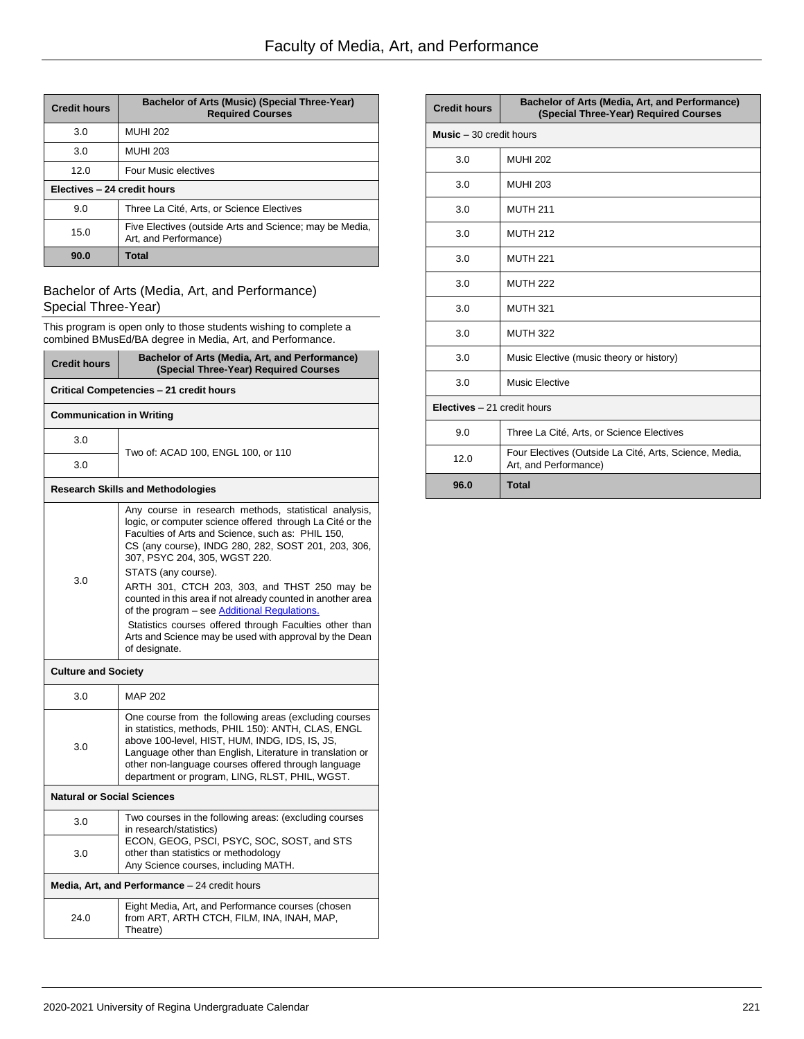| <b>Credit hours</b>         | <b>Bachelor of Arts (Music) (Special Three-Year)</b><br><b>Required Courses</b>  |  |
|-----------------------------|----------------------------------------------------------------------------------|--|
| 3.0                         | <b>MUHI 202</b>                                                                  |  |
| 3.0                         | <b>MUHI 203</b>                                                                  |  |
| 12.0                        | Four Music electives                                                             |  |
| Electives - 24 credit hours |                                                                                  |  |
| 9.0                         | Three La Cité, Arts, or Science Electives                                        |  |
| 15.0                        | Five Electives (outside Arts and Science; may be Media,<br>Art, and Performance) |  |
| 90.0                        | Total                                                                            |  |

# Bachelor of Arts (Media, Art, and Performance) Special Three-Year)

This program is open only to those students wishing to complete a combined BMusEd/BA degree in Media, Art, and Performance.

| <b>Credit hours</b>               | Bachelor of Arts (Media, Art, and Performance)<br>(Special Three-Year) Required Courses                                                                                                                                                                                                                                               |
|-----------------------------------|---------------------------------------------------------------------------------------------------------------------------------------------------------------------------------------------------------------------------------------------------------------------------------------------------------------------------------------|
|                                   | Critical Competencies - 21 credit hours                                                                                                                                                                                                                                                                                               |
| <b>Communication in Writing</b>   |                                                                                                                                                                                                                                                                                                                                       |
| 3.0                               | Two of: ACAD 100, ENGL 100, or 110                                                                                                                                                                                                                                                                                                    |
| 3.0                               |                                                                                                                                                                                                                                                                                                                                       |
|                                   | <b>Research Skills and Methodologies</b>                                                                                                                                                                                                                                                                                              |
|                                   | Any course in research methods, statistical analysis,<br>logic, or computer science offered through La Cité or the<br>Faculties of Arts and Science, such as: PHIL 150,<br>CS (any course), INDG 280, 282, SOST 201, 203, 306,<br>307, PSYC 204, 305, WGST 220.                                                                       |
|                                   | STATS (any course).                                                                                                                                                                                                                                                                                                                   |
| 3.0                               | ARTH 301, CTCH 203, 303, and THST 250 may be<br>counted in this area if not already counted in another area<br>of the program – see Additional Regulations.                                                                                                                                                                           |
|                                   | Statistics courses offered through Faculties other than<br>Arts and Science may be used with approval by the Dean<br>of designate.                                                                                                                                                                                                    |
| <b>Culture and Society</b>        |                                                                                                                                                                                                                                                                                                                                       |
| 3.0                               | <b>MAP 202</b>                                                                                                                                                                                                                                                                                                                        |
| 3.0                               | One course from the following areas (excluding courses<br>in statistics, methods, PHIL 150): ANTH, CLAS, ENGL<br>above 100-level, HIST, HUM, INDG, IDS, IS, JS,<br>Language other than English, Literature in translation or<br>other non-language courses offered through language<br>department or program, LING, RLST, PHIL, WGST. |
| <b>Natural or Social Sciences</b> |                                                                                                                                                                                                                                                                                                                                       |
| 3.0                               | Two courses in the following areas: (excluding courses<br>in research/statistics)                                                                                                                                                                                                                                                     |
| 3.0                               | ECON, GEOG, PSCI, PSYC, SOC, SOST, and STS<br>other than statistics or methodology<br>Any Science courses, including MATH.                                                                                                                                                                                                            |
|                                   | Media, Art, and Performance - 24 credit hours                                                                                                                                                                                                                                                                                         |
| 24.0                              | Eight Media, Art, and Performance courses (chosen<br>from ART, ARTH CTCH, FILM, INA, INAH, MAP,<br>Theatre)                                                                                                                                                                                                                           |

| <b>Credit hours</b>                 | Bachelor of Arts (Media, Art, and Performance)<br>(Special Three-Year) Required Courses |
|-------------------------------------|-----------------------------------------------------------------------------------------|
| <b>Music</b> $-30$ credit hours     |                                                                                         |
| 3.0                                 | <b>MUHI 202</b>                                                                         |
| 3.0                                 | <b>MUHI 203</b>                                                                         |
| 3.0                                 | <b>MUTH 211</b>                                                                         |
| 3.0                                 | <b>MUTH 212</b>                                                                         |
| 3.0                                 | <b>MUTH 221</b>                                                                         |
| 3.0                                 | <b>MUTH 222</b>                                                                         |
| 3.0                                 | <b>MUTH 321</b>                                                                         |
| 3.0                                 | <b>MUTH 322</b>                                                                         |
| 3.0                                 | Music Elective (music theory or history)                                                |
| 3.0                                 | Music Elective                                                                          |
| <b>Electives</b> $-21$ credit hours |                                                                                         |
| 9.0                                 | Three La Cité, Arts, or Science Electives                                               |
| 12.0                                | Four Electives (Outside La Cité, Arts, Science, Media,<br>Art, and Performance)         |
| 96.0                                | <b>Total</b>                                                                            |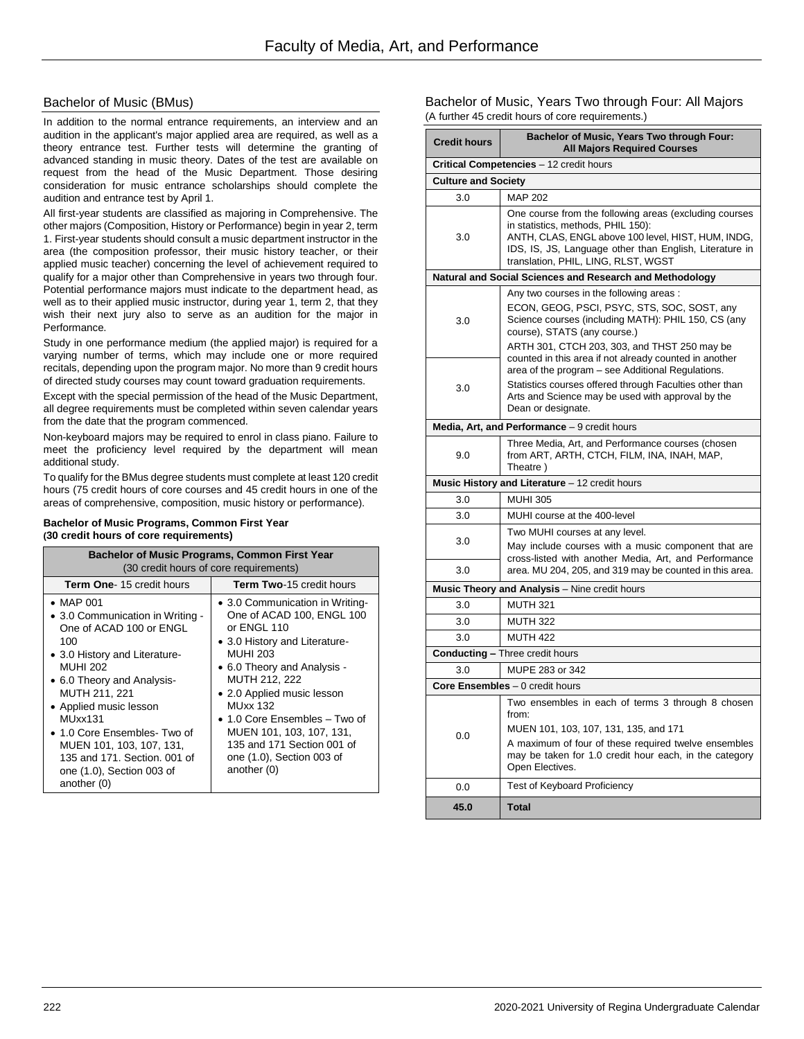### Bachelor of Music (BMus)

In addition to the normal entrance requirements, an interview and an audition in the applicant's major applied area are required, as well as a theory entrance test. Further tests will determine the granting of advanced standing in music theory. Dates of the test are available on request from the head of the Music Department. Those desiring consideration for music entrance scholarships should complete the audition and entrance test by April 1.

All first-year students are classified as majoring in Comprehensive. The other majors (Composition, History or Performance) begin in year 2, term 1. First-year students should consult a music department instructor in the area (the composition professor, their music history teacher, or their applied music teacher) concerning the level of achievement required to qualify for a major other than Comprehensive in years two through four. Potential performance majors must indicate to the department head, as well as to their applied music instructor, during year 1, term 2, that they wish their next jury also to serve as an audition for the major in Performance.

Study in one performance medium (the applied major) is required for a varying number of terms, which may include one or more required recitals, depending upon the program major. No more than 9 credit hours of directed study courses may count toward graduation requirements.

Except with the special permission of the head of the Music Department, all degree requirements must be completed within seven calendar years from the date that the program commenced.

Non-keyboard majors may be required to enrol in class piano. Failure to meet the proficiency level required by the department will mean additional study.

To qualify for the BMus degree students must complete at least 120 credit hours (75 credit hours of core courses and 45 credit hours in one of the areas of comprehensive, composition, music history or performance).

#### **Bachelor of Music Programs, Common First Year (30 credit hours of core requirements)**

| <b>Bachelor of Music Programs, Common First Year</b><br>(30 credit hours of core requirements)                                                                                                                                                                                                                                                                          |                                                                                                                                                                                                                                                                                                                                                                         |  |
|-------------------------------------------------------------------------------------------------------------------------------------------------------------------------------------------------------------------------------------------------------------------------------------------------------------------------------------------------------------------------|-------------------------------------------------------------------------------------------------------------------------------------------------------------------------------------------------------------------------------------------------------------------------------------------------------------------------------------------------------------------------|--|
| <b>Term One-15 credit hours</b>                                                                                                                                                                                                                                                                                                                                         | <b>Term Two-15 credit hours</b>                                                                                                                                                                                                                                                                                                                                         |  |
| $\bullet$ MAP 001<br>• 3.0 Communication in Writing -<br>One of ACAD 100 or ENGL<br>100<br>• 3.0 History and Literature-<br><b>MUHI 202</b><br>• 6.0 Theory and Analysis-<br>MUTH 211, 221<br>• Applied music lesson<br>MUxx131<br>• 1.0 Core Ensembles- Two of<br>MUEN 101, 103, 107, 131,<br>135 and 171. Section, 001 of<br>one (1.0), Section 003 of<br>another (0) | • 3.0 Communication in Writing-<br>One of ACAD 100, ENGL 100<br>or ENGL 110<br>• 3.0 History and Literature-<br><b>MUHI 203</b><br>• 6.0 Theory and Analysis -<br>MUTH 212, 222<br>• 2.0 Applied music lesson<br><b>MUxx 132</b><br>• 1.0 Core Ensembles – Two of<br>MUEN 101, 103, 107, 131,<br>135 and 171 Section 001 of<br>one (1.0), Section 003 of<br>another (0) |  |

Bachelor of Music, Years Two through Four: All Majors (A further 45 credit hours of core requirements.)

| <b>Credit hours</b>        | Bachelor of Music, Years Two through Four:<br><b>All Majors Required Courses</b>                                                                                                                                                                     |
|----------------------------|------------------------------------------------------------------------------------------------------------------------------------------------------------------------------------------------------------------------------------------------------|
|                            | Critical Competencies - 12 credit hours                                                                                                                                                                                                              |
| <b>Culture and Society</b> |                                                                                                                                                                                                                                                      |
| 3.0                        | <b>MAP 202</b>                                                                                                                                                                                                                                       |
| 3.0                        | One course from the following areas (excluding courses<br>in statistics, methods, PHIL 150):<br>ANTH, CLAS, ENGL above 100 level, HIST, HUM, INDG,<br>IDS, IS, JS, Language other than English, Literature in<br>translation, PHIL, LING, RLST, WGST |
|                            | Natural and Social Sciences and Research and Methodology                                                                                                                                                                                             |
| 3.0                        | Any two courses in the following areas:<br>ECON, GEOG, PSCI, PSYC, STS, SOC, SOST, any<br>Science courses (including MATH): PHIL 150, CS (any<br>course), STATS (any course.)<br>ARTH 301, CTCH 203, 303, and THST 250 may be                        |
| 3.0                        | counted in this area if not already counted in another<br>area of the program - see Additional Regulations.<br>Statistics courses offered through Faculties other than<br>Arts and Science may be used with approval by the<br>Dean or designate.    |
|                            | Media, Art, and Performance - 9 credit hours                                                                                                                                                                                                         |
| 9.0                        | Three Media, Art, and Performance courses (chosen<br>from ART, ARTH, CTCH, FILM, INA, INAH, MAP,<br>Theatre)                                                                                                                                         |
|                            | Music History and Literature - 12 credit hours                                                                                                                                                                                                       |
| 3.0                        | <b>MUHI 305</b>                                                                                                                                                                                                                                      |
| 3.0                        | MUHI course at the 400-level                                                                                                                                                                                                                         |
| 3.0                        | Two MUHI courses at any level.<br>May include courses with a music component that are<br>cross-listed with another Media, Art, and Performance                                                                                                       |
| 3.0                        | area. MU 204, 205, and 319 may be counted in this area.                                                                                                                                                                                              |
|                            | Music Theory and Analysis - Nine credit hours                                                                                                                                                                                                        |
| 3.0                        | <b>MUTH 321</b>                                                                                                                                                                                                                                      |
| 3.0                        | <b>MUTH 322</b>                                                                                                                                                                                                                                      |
| 3.0                        | <b>MUTH 422</b>                                                                                                                                                                                                                                      |
|                            | <b>Conducting - Three credit hours</b>                                                                                                                                                                                                               |
| 3.0                        | MUPE 283 or 342                                                                                                                                                                                                                                      |
|                            | <b>Core Ensembles - 0 credit hours</b>                                                                                                                                                                                                               |
| 0.0                        | Two ensembles in each of terms 3 through 8 chosen<br>from:<br>MUEN 101, 103, 107, 131, 135, and 171<br>A maximum of four of these required twelve ensembles<br>may be taken for 1.0 credit hour each, in the category<br>Open Electives.             |
| 0.0                        | Test of Keyboard Proficiency                                                                                                                                                                                                                         |
| 45.0                       | Total                                                                                                                                                                                                                                                |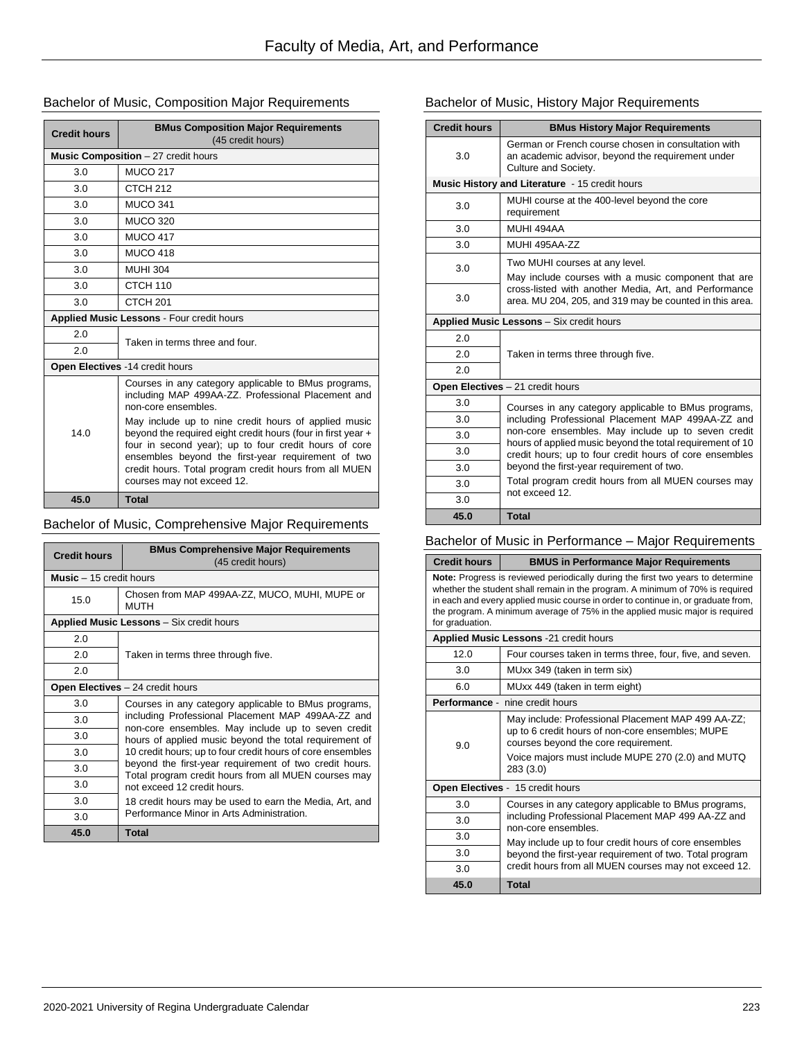### Bachelor of Music, Composition Major Requirements

| <b>Credit hours</b>                       | <b>BMus Composition Major Requirements</b><br>(45 credit hours)                                                                                                                                                                                                                                                             |  |
|-------------------------------------------|-----------------------------------------------------------------------------------------------------------------------------------------------------------------------------------------------------------------------------------------------------------------------------------------------------------------------------|--|
|                                           | Music Composition - 27 credit hours                                                                                                                                                                                                                                                                                         |  |
| 3.0                                       | <b>MUCO 217</b>                                                                                                                                                                                                                                                                                                             |  |
| 3.0                                       | CTCH <sub>212</sub>                                                                                                                                                                                                                                                                                                         |  |
| 3.0                                       | <b>MUCO 341</b>                                                                                                                                                                                                                                                                                                             |  |
| 3.0                                       | <b>MUCO 320</b>                                                                                                                                                                                                                                                                                                             |  |
| 3.0                                       | <b>MUCO 417</b>                                                                                                                                                                                                                                                                                                             |  |
| 3.0                                       | <b>MUCO 418</b>                                                                                                                                                                                                                                                                                                             |  |
| 3.0                                       | <b>MUHI 304</b>                                                                                                                                                                                                                                                                                                             |  |
| 3.0                                       | CTCH 110                                                                                                                                                                                                                                                                                                                    |  |
| 3.0                                       | CTCH <sub>201</sub>                                                                                                                                                                                                                                                                                                         |  |
| Applied Music Lessons - Four credit hours |                                                                                                                                                                                                                                                                                                                             |  |
| 2.0                                       | Taken in terms three and four.                                                                                                                                                                                                                                                                                              |  |
| 2.0                                       |                                                                                                                                                                                                                                                                                                                             |  |
|                                           | Open Electives -14 credit hours                                                                                                                                                                                                                                                                                             |  |
| 14.0                                      | Courses in any category applicable to BMus programs,<br>including MAP 499AA-ZZ. Professional Placement and<br>non-core ensembles.                                                                                                                                                                                           |  |
|                                           | May include up to nine credit hours of applied music<br>beyond the required eight credit hours (four in first year +<br>four in second year); up to four credit hours of core<br>ensembles beyond the first-year requirement of two<br>credit hours. Total program credit hours from all MUEN<br>courses may not exceed 12. |  |
| 45.0                                      | <b>Total</b>                                                                                                                                                                                                                                                                                                                |  |

# Bachelor of Music, Comprehensive Major Requirements

| <b>Credit hours</b>             | <b>BMus Comprehensive Major Requirements</b><br>(45 credit hours)                                                                                                                                                                                                                                                                                                                                                                        |
|---------------------------------|------------------------------------------------------------------------------------------------------------------------------------------------------------------------------------------------------------------------------------------------------------------------------------------------------------------------------------------------------------------------------------------------------------------------------------------|
| <b>Music</b> $-15$ credit hours |                                                                                                                                                                                                                                                                                                                                                                                                                                          |
| 15.0                            | Chosen from MAP 499AA-ZZ, MUCO, MUHI, MUPE or<br><b>MUTH</b>                                                                                                                                                                                                                                                                                                                                                                             |
|                                 | Applied Music Lessons - Six credit hours                                                                                                                                                                                                                                                                                                                                                                                                 |
| 2.0                             | Taken in terms three through five.                                                                                                                                                                                                                                                                                                                                                                                                       |
| 2.0                             |                                                                                                                                                                                                                                                                                                                                                                                                                                          |
| 2.0                             |                                                                                                                                                                                                                                                                                                                                                                                                                                          |
|                                 | <b>Open Electives</b> - 24 credit hours                                                                                                                                                                                                                                                                                                                                                                                                  |
| 3.0                             | Courses in any category applicable to BMus programs,<br>including Professional Placement MAP 499AA-ZZ and<br>non-core ensembles. May include up to seven credit<br>hours of applied music beyond the total requirement of<br>10 credit hours; up to four credit hours of core ensembles<br>beyond the first-year requirement of two credit hours.<br>Total program credit hours from all MUEN courses may<br>not exceed 12 credit hours. |
| 3.0                             |                                                                                                                                                                                                                                                                                                                                                                                                                                          |
| 3.0                             |                                                                                                                                                                                                                                                                                                                                                                                                                                          |
| 3.0                             |                                                                                                                                                                                                                                                                                                                                                                                                                                          |
| 3.0                             |                                                                                                                                                                                                                                                                                                                                                                                                                                          |
| 3.0                             |                                                                                                                                                                                                                                                                                                                                                                                                                                          |
| 3.0                             | 18 credit hours may be used to earn the Media, Art, and                                                                                                                                                                                                                                                                                                                                                                                  |
| 3.0                             | Performance Minor in Arts Administration.                                                                                                                                                                                                                                                                                                                                                                                                |
| 45.0                            | <b>Total</b>                                                                                                                                                                                                                                                                                                                                                                                                                             |

# Bachelor of Music, History Major Requirements

| <b>Credit hours</b>              | <b>BMus History Major Requirements</b>                                                                                           |  |
|----------------------------------|----------------------------------------------------------------------------------------------------------------------------------|--|
| 3.0                              | German or French course chosen in consultation with<br>an academic advisor, beyond the requirement under<br>Culture and Society. |  |
|                                  | Music History and Literature - 15 credit hours                                                                                   |  |
| 3.0                              | MUHI course at the 400-level beyond the core<br>requirement                                                                      |  |
| 3.0                              | MUHI 494AA                                                                                                                       |  |
| 3.0                              | MUHI 495AA-77                                                                                                                    |  |
| 3.0                              | Two MUHI courses at any level.                                                                                                   |  |
|                                  | May include courses with a music component that are                                                                              |  |
| 3.0                              | cross-listed with another Media, Art, and Performance<br>area. MU 204, 205, and 319 may be counted in this area.                 |  |
|                                  | <b>Applied Music Lessons</b> - Six credit hours                                                                                  |  |
| 2.0                              |                                                                                                                                  |  |
| 2.0                              | Taken in terms three through five.                                                                                               |  |
| 2.0                              |                                                                                                                                  |  |
| Open Electives - 21 credit hours |                                                                                                                                  |  |
| 3.0                              | Courses in any category applicable to BMus programs,                                                                             |  |
| 3.0                              | including Professional Placement MAP 499AA-ZZ and                                                                                |  |
| 3.0                              | non-core ensembles. May include up to seven credit<br>hours of applied music beyond the total requirement of 10                  |  |
| 3.0                              | credit hours; up to four credit hours of core ensembles                                                                          |  |
| 3.0                              | beyond the first-year requirement of two.                                                                                        |  |
| 3.0                              | Total program credit hours from all MUEN courses may<br>not exceed 12.                                                           |  |
| 3.0                              |                                                                                                                                  |  |
| 45.0                             | <b>Total</b>                                                                                                                     |  |

# Bachelor of Music in Performance – Major Requirements

| <b>Credit hours</b>                                                                                                                                                                                                                                                                                                                                             | <b>BMUS in Performance Major Requirements</b>                                                                                                                                                                   |  |
|-----------------------------------------------------------------------------------------------------------------------------------------------------------------------------------------------------------------------------------------------------------------------------------------------------------------------------------------------------------------|-----------------------------------------------------------------------------------------------------------------------------------------------------------------------------------------------------------------|--|
| <b>Note:</b> Progress is reviewed periodically during the first two years to determine<br>whether the student shall remain in the program. A minimum of 70% is required<br>in each and every applied music course in order to continue in, or graduate from,<br>the program. A minimum average of 75% in the applied music major is required<br>for graduation. |                                                                                                                                                                                                                 |  |
|                                                                                                                                                                                                                                                                                                                                                                 | Applied Music Lessons -21 credit hours                                                                                                                                                                          |  |
| 12.0                                                                                                                                                                                                                                                                                                                                                            | Four courses taken in terms three, four, five, and seven.                                                                                                                                                       |  |
| 3.0                                                                                                                                                                                                                                                                                                                                                             | MUxx 349 (taken in term six)                                                                                                                                                                                    |  |
| 6.0                                                                                                                                                                                                                                                                                                                                                             | MUxx 449 (taken in term eight)                                                                                                                                                                                  |  |
|                                                                                                                                                                                                                                                                                                                                                                 | <b>Performance - nine credit hours</b>                                                                                                                                                                          |  |
| 9.0                                                                                                                                                                                                                                                                                                                                                             | May include: Professional Placement MAP 499 AA-ZZ;<br>up to 6 credit hours of non-core ensembles; MUPE<br>courses beyond the core requirement.<br>Voice majors must include MUPE 270 (2.0) and MUTQ<br>283(3.0) |  |
| Open Electives - 15 credit hours                                                                                                                                                                                                                                                                                                                                |                                                                                                                                                                                                                 |  |
| 3.0                                                                                                                                                                                                                                                                                                                                                             | Courses in any category applicable to BMus programs,                                                                                                                                                            |  |
| 3.0                                                                                                                                                                                                                                                                                                                                                             | including Professional Placement MAP 499 AA-ZZ and                                                                                                                                                              |  |
| 3.0                                                                                                                                                                                                                                                                                                                                                             | non-core ensembles.<br>May include up to four credit hours of core ensembles                                                                                                                                    |  |
| 3.0                                                                                                                                                                                                                                                                                                                                                             | beyond the first-year requirement of two. Total program                                                                                                                                                         |  |
| 3.0                                                                                                                                                                                                                                                                                                                                                             | credit hours from all MUEN courses may not exceed 12.                                                                                                                                                           |  |
| 45.0                                                                                                                                                                                                                                                                                                                                                            | <b>Total</b>                                                                                                                                                                                                    |  |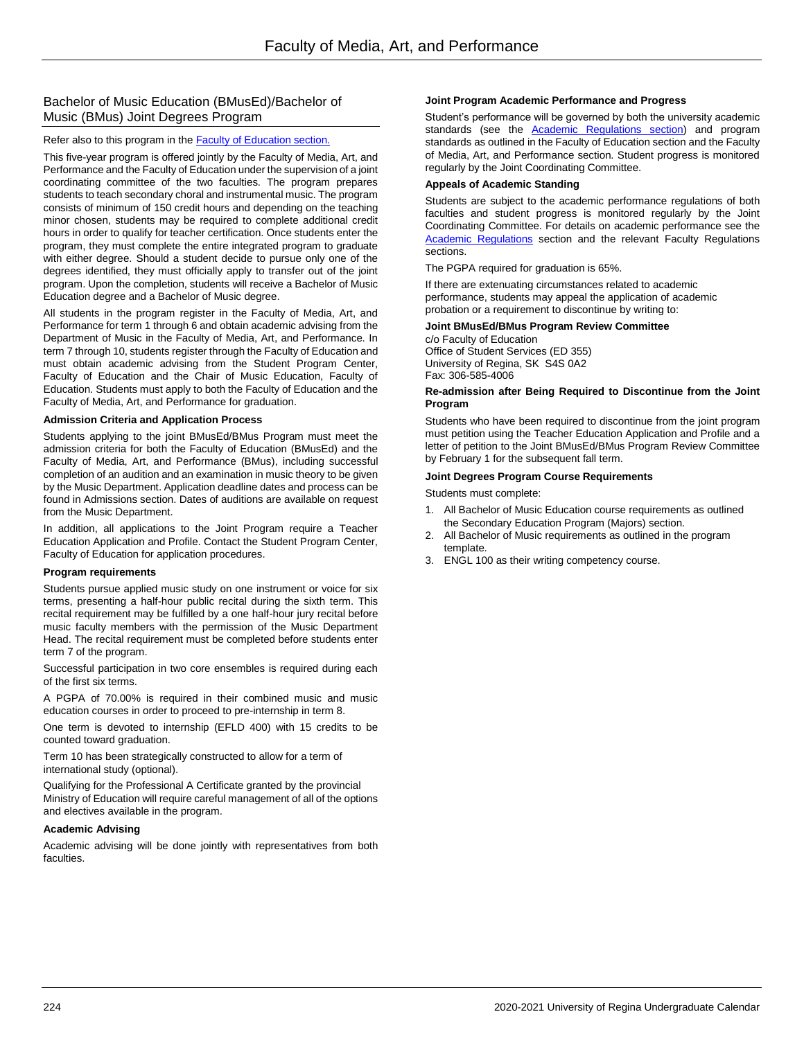### Bachelor of Music Education (BMusEd)/Bachelor of Music (BMus) Joint Degrees Program

### Refer also to this program in the **Faculty of Education** section.

This five-year program is offered jointly by the Faculty of Media, Art, and Performance and the Faculty of Education under the supervision of a joint coordinating committee of the two faculties. The program prepares students to teach secondary choral and instrumental music. The program consists of minimum of 150 credit hours and depending on the teaching minor chosen, students may be required to complete additional credit hours in order to qualify for teacher certification. Once students enter the program, they must complete the entire integrated program to graduate with either degree. Should a student decide to pursue only one of the degrees identified, they must officially apply to transfer out of the joint program. Upon the completion, students will receive a Bachelor of Music Education degree and a Bachelor of Music degree.

All students in the program register in the Faculty of Media, Art, and Performance for term 1 through 6 and obtain academic advising from the Department of Music in the Faculty of Media, Art, and Performance. In term 7 through 10, students register through the Faculty of Education and must obtain academic advising from the Student Program Center, Faculty of Education and the Chair of Music Education, Faculty of Education. Students must apply to both the Faculty of Education and the Faculty of Media, Art, and Performance for graduation.

#### **Admission Criteria and Application Process**

Students applying to the joint BMusEd/BMus Program must meet the admission criteria for both the Faculty of Education (BMusEd) and the Faculty of Media, Art, and Performance (BMus), including successful completion of an audition and an examination in music theory to be given by the Music Department. Application deadline dates and process can be found in Admissions section. Dates of auditions are available on request from the Music Department.

In addition, all applications to the Joint Program require a Teacher Education Application and Profile. Contact the Student Program Center, Faculty of Education for application procedures.

### **Program requirements**

Students pursue applied music study on one instrument or voice for six terms, presenting a half-hour public recital during the sixth term. This recital requirement may be fulfilled by a one half-hour jury recital before music faculty members with the permission of the Music Department Head. The recital requirement must be completed before students enter term 7 of the program.

Successful participation in two core ensembles is required during each of the first six terms.

A PGPA of 70.00% is required in their combined music and music education courses in order to proceed to pre-internship in term 8.

One term is devoted to internship (EFLD 400) with 15 credits to be counted toward graduation.

Term 10 has been strategically constructed to allow for a term of international study (optional).

Qualifying for the Professional A Certificate granted by the provincial Ministry of Education will require careful management of all of the options and electives available in the program.

### **Academic Advising**

Academic advising will be done jointly with representatives from both faculties.

#### **Joint Program Academic Performance and Progress**

Student's performance will be governed by both the university academic standards (see the **Academic Regulations section**) and program standards as outlined in the Faculty of Education section and the Faculty of Media, Art, and Performance section. Student progress is monitored regularly by the Joint Coordinating Committee.

#### **Appeals of Academic Standing**

Students are subject to the academic performance regulations of both faculties and student progress is monitored regularly by the Joint Coordinating Committee. For details on academic performance see the **Academic Regulations** section and the relevant Faculty Regulations sections.

The PGPA required for graduation is 65%.

If there are extenuating circumstances related to academic performance, students may appeal the application of academic probation or a requirement to discontinue by writing to:

### **Joint BMusEd/BMus Program Review Committee**

c/o Faculty of Education Office of Student Services (ED 355) University of Regina, SK S4S 0A2 Fax: 306-585-4006

#### **Re-admission after Being Required to Discontinue from the Joint Program**

Students who have been required to discontinue from the joint program must petition using the Teacher Education Application and Profile and a letter of petition to the Joint BMusEd/BMus Program Review Committee by February 1 for the subsequent fall term.

### **Joint Degrees Program Course Requirements**

Students must complete:

- 1. All Bachelor of Music Education course requirements as outlined the Secondary Education Program (Majors) section.
- 2. All Bachelor of Music requirements as outlined in the program template.
- 3. ENGL 100 as their writing competency course.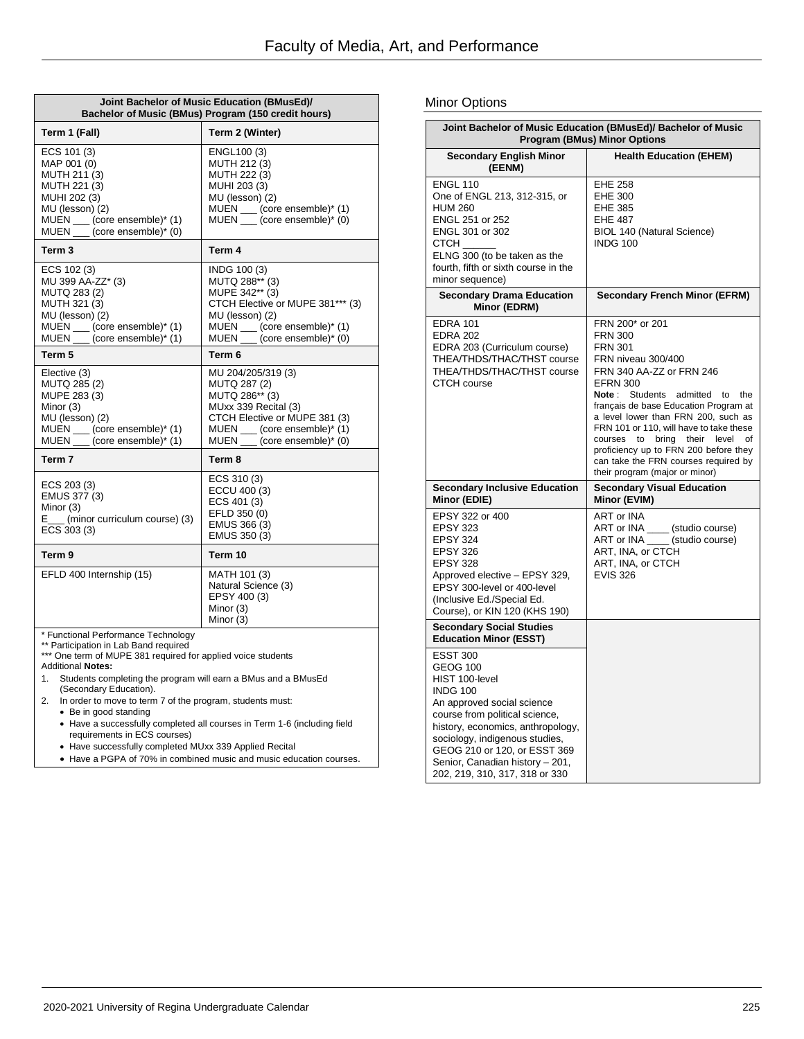| Joint Bachelor of Music Education (BMusEd)/<br>Bachelor of Music (BMus) Program (150 credit hours)                                                                                                                                                                                                                                                                    |                                                                                                                                                                                 |  |
|-----------------------------------------------------------------------------------------------------------------------------------------------------------------------------------------------------------------------------------------------------------------------------------------------------------------------------------------------------------------------|---------------------------------------------------------------------------------------------------------------------------------------------------------------------------------|--|
| Term 1 (Fall)                                                                                                                                                                                                                                                                                                                                                         | Term 2 (Winter)                                                                                                                                                                 |  |
| ECS 101 (3)<br>MAP 001 (0)<br>MUTH 211 (3)<br>MUTH 221 (3)<br>MUHI 202 (3)<br>MU (lesson) (2)<br>MUEN __ (core ensemble)* (1)<br>MUEN ___ (core ensemble)* (0)                                                                                                                                                                                                        | ENGL100 (3)<br>MUTH 212 (3)<br>MUTH 222 (3)<br>MUHI 203 (3)<br>MU (lesson) (2)<br>MUEN ___ (core ensemble)* (1)<br>MUEN ___ (core ensemble)* (0)                                |  |
| Term <sub>3</sub>                                                                                                                                                                                                                                                                                                                                                     | Term 4                                                                                                                                                                          |  |
| ECS 102 (3)<br>MU 399 AA-ZZ* (3)<br>MUTQ 283 (2)<br>MUTH 321 (3)<br>MU (lesson) (2)<br>MUEN __ (core ensemble)* (1)<br>MUEN __ (core ensemble)* (1)                                                                                                                                                                                                                   | INDG 100 (3)<br>MUTQ 288** (3)<br>MUPE 342** (3)<br>CTCH Elective or MUPE 381*** (3)<br>MU (lesson) (2)<br>MUEN __ (core ensemble)* (1)<br>MUEN ___ (core ensemble)* (0)        |  |
| Term 5                                                                                                                                                                                                                                                                                                                                                                | Term 6                                                                                                                                                                          |  |
| Elective (3)<br>MUTQ 285 (2)<br>MUPE 283 (3)<br>Minor (3)<br>MU (lesson) (2)<br>MUEN __ (core ensemble)* (1)<br>MUEN __ (core ensemble)* (1)                                                                                                                                                                                                                          | MU 204/205/319 (3)<br>MUTQ 287 (2)<br>MUTQ 286** (3)<br>MUxx 339 Recital (3)<br>CTCH Elective or MUPE 381 (3)<br>MUEN ___ (core ensemble)* (1)<br>MUEN ___ (core ensemble)* (0) |  |
| Term <sub>7</sub>                                                                                                                                                                                                                                                                                                                                                     | Term 8                                                                                                                                                                          |  |
| ECS 203 (3)<br>EMUS 377 (3)<br>Minor (3)<br>E___ (minor curriculum course) (3)<br>ECS 303 (3)                                                                                                                                                                                                                                                                         | ECS 310 (3)<br>ECCU 400 (3)<br>ECS 401 (3)<br>EFLD 350 (0)<br>EMUS 366 (3)<br>EMUS 350 (3)                                                                                      |  |
| Term <sub>9</sub>                                                                                                                                                                                                                                                                                                                                                     | Term 10                                                                                                                                                                         |  |
| EFLD 400 Internship (15)                                                                                                                                                                                                                                                                                                                                              | MATH 101 (3)<br>Natural Science (3)<br>EPSY 400 (3)<br>Minor (3)<br>Minor (3)                                                                                                   |  |
| * Functional Performance Technology<br>** Participation in Lab Band required<br>*** One term of MUPE 381 required for applied voice students<br><b>Additional Notes:</b><br>Students completing the program will earn a BMus and a BMusEd<br>1.<br>(Secondary Education).<br>In order to move to term 7 of the program, students must:<br>2.<br>• Be in good standing |                                                                                                                                                                                 |  |

 Have a successfully completed all courses in Term 1-6 (including field requirements in ECS courses)

Have successfully completed MUxx 339 Applied Recital

Have a PGPA of 70% in combined music and music education courses.

### Minor Options

|                                                                                                                                                                                                                                                                                                                     | Joint Bachelor of Music Education (BMusEd)/ Bachelor of Music<br><b>Program (BMus) Minor Options</b>                                                                                                                                                                                                                                                                                                                                                                 |
|---------------------------------------------------------------------------------------------------------------------------------------------------------------------------------------------------------------------------------------------------------------------------------------------------------------------|----------------------------------------------------------------------------------------------------------------------------------------------------------------------------------------------------------------------------------------------------------------------------------------------------------------------------------------------------------------------------------------------------------------------------------------------------------------------|
| <b>Secondary English Minor</b><br>(EENM)                                                                                                                                                                                                                                                                            | <b>Health Education (EHEM)</b>                                                                                                                                                                                                                                                                                                                                                                                                                                       |
| <b>ENGL 110</b><br>One of ENGL 213, 312-315, or<br><b>HUM 260</b><br>ENGL 251 or 252<br>ENGL 301 or 302<br>СТСН<br>ELNG 300 (to be taken as the<br>fourth, fifth or sixth course in the<br>minor sequence)                                                                                                          | <b>EHE 258</b><br><b>EHE 300</b><br><b>EHE 385</b><br>EHE 487<br>BIOL 140 (Natural Science)<br><b>INDG 100</b>                                                                                                                                                                                                                                                                                                                                                       |
| <b>Secondary Drama Education</b><br>Minor (EDRM)                                                                                                                                                                                                                                                                    | <b>Secondary French Minor (EFRM)</b>                                                                                                                                                                                                                                                                                                                                                                                                                                 |
| <b>EDRA 101</b><br><b>EDRA 202</b><br>EDRA 203 (Curriculum course)<br>THEA/THDS/THAC/THST course<br>THEA/THDS/THAC/THST course<br><b>CTCH</b> course                                                                                                                                                                | FRN 200* or 201<br><b>FRN 300</b><br><b>FRN 301</b><br>FRN niveau 300/400<br>FRN 340 AA-ZZ or FRN 246<br><b>EFRN 300</b><br>Students<br>Note :<br>admitted to<br>the<br>français de base Education Program at<br>a level lower than FRN 200, such as<br>FRN 101 or 110, will have to take these<br>courses<br>to<br>bring<br>their<br>level<br>οf<br>proficiency up to FRN 200 before they<br>can take the FRN courses required by<br>their program (major or minor) |
| <b>Secondary Inclusive Education</b><br>Minor (EDIE)                                                                                                                                                                                                                                                                | <b>Secondary Visual Education</b><br>Minor (EVIM)                                                                                                                                                                                                                                                                                                                                                                                                                    |
| EPSY 322 or 400<br><b>EPSY 323</b><br><b>EPSY 324</b><br><b>EPSY 326</b><br><b>EPSY 328</b><br>Approved elective - EPSY 329,<br>EPSY 300-level or 400-level<br>(Inclusive Ed./Special Ed.<br>Course), or KIN 120 (KHS 190)                                                                                          | ART or INA<br>ART or INA ____ (studio course)<br>ART or INA _____ (studio course)<br>ART, INA, or CTCH<br>ART, INA, or CTCH<br><b>EVIS 326</b>                                                                                                                                                                                                                                                                                                                       |
| <b>Secondary Social Studies</b><br><b>Education Minor (ESST)</b>                                                                                                                                                                                                                                                    |                                                                                                                                                                                                                                                                                                                                                                                                                                                                      |
| <b>ESST 300</b><br><b>GEOG 100</b><br>HIST 100-level<br><b>INDG 100</b><br>An approved social science<br>course from political science,<br>history, economics, anthropology,<br>sociology, indigenous studies,<br>GEOG 210 or 120, or ESST 369<br>Senior, Canadian history - 201,<br>202, 219, 310, 317, 318 or 330 |                                                                                                                                                                                                                                                                                                                                                                                                                                                                      |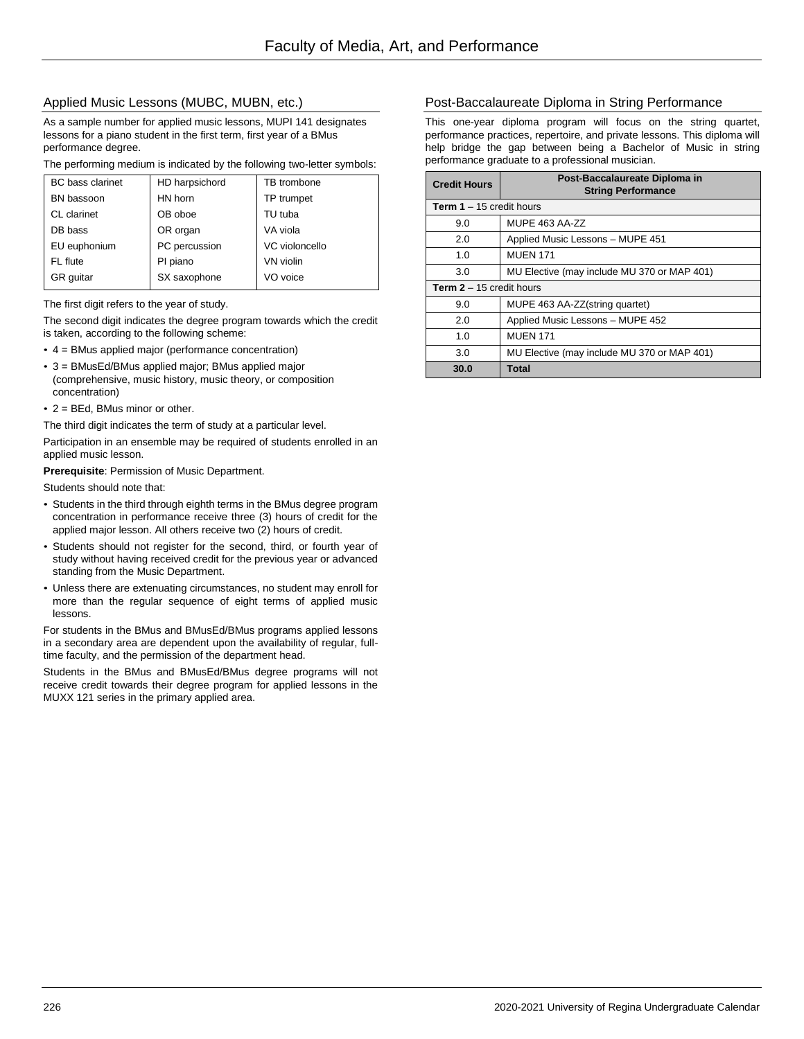### Applied Music Lessons (MUBC, MUBN, etc.)

As a sample number for applied music lessons, MUPI 141 designates lessons for a piano student in the first term, first year of a BMus performance degree.

The performing medium is indicated by the following two-letter symbols:

| <b>BC</b> bass clarinet | HD harpsichord | TB trombone    |
|-------------------------|----------------|----------------|
| BN bassoon              | HN horn        | TP trumpet     |
| CL clarinet             | OB oboe        | TU tuba        |
| DB bass                 | OR organ       | VA viola       |
| EU euphonium            | PC percussion  | VC violoncello |
| FL flute                | PI piano       | VN violin      |
| <b>GR</b> quitar        | SX saxophone   | VO voice       |
|                         |                |                |

The first digit refers to the year of study.

The second digit indicates the degree program towards which the credit is taken, according to the following scheme:

- 4 = BMus applied major (performance concentration)
- 3 = BMusEd/BMus applied major; BMus applied major (comprehensive, music history, music theory, or composition concentration)
- 2 = BEd, BMus minor or other.

The third digit indicates the term of study at a particular level.

Participation in an ensemble may be required of students enrolled in an applied music lesson.

**Prerequisite**: Permission of Music Department.

Students should note that:

- Students in the third through eighth terms in the BMus degree program concentration in performance receive three (3) hours of credit for the applied major lesson. All others receive two (2) hours of credit.
- Students should not register for the second, third, or fourth year of study without having received credit for the previous year or advanced standing from the Music Department.
- Unless there are extenuating circumstances, no student may enroll for more than the regular sequence of eight terms of applied music lessons.

For students in the BMus and BMusEd/BMus programs applied lessons in a secondary area are dependent upon the availability of regular, fulltime faculty, and the permission of the department head.

Students in the BMus and BMusEd/BMus degree programs will not receive credit towards their degree program for applied lessons in the MUXX 121 series in the primary applied area.

### Post-Baccalaureate Diploma in String Performance

This one-year diploma program will focus on the string quartet, performance practices, repertoire, and private lessons. This diploma will help bridge the gap between being a Bachelor of Music in string performance graduate to a professional musician.

| <b>Credit Hours</b>               | Post-Baccalaureate Diploma in<br><b>String Performance</b> |
|-----------------------------------|------------------------------------------------------------|
| <b>Term 1</b> $-$ 15 credit hours |                                                            |
| 9.0                               | MUPE 463 AA-ZZ                                             |
| 2.0                               | Applied Music Lessons - MUPE 451                           |
| 1.0                               | <b>MUEN 171</b>                                            |
| 3.0                               | MU Elective (may include MU 370 or MAP 401)                |
| <b>Term 2</b> $-$ 15 credit hours |                                                            |
| 9.0                               | MUPE 463 AA-ZZ(string quartet)                             |
| 2.0                               | Applied Music Lessons - MUPE 452                           |
| 1.0                               | <b>MUEN 171</b>                                            |
| 3.0                               | MU Elective (may include MU 370 or MAP 401)                |
| 30.0                              | <b>Total</b>                                               |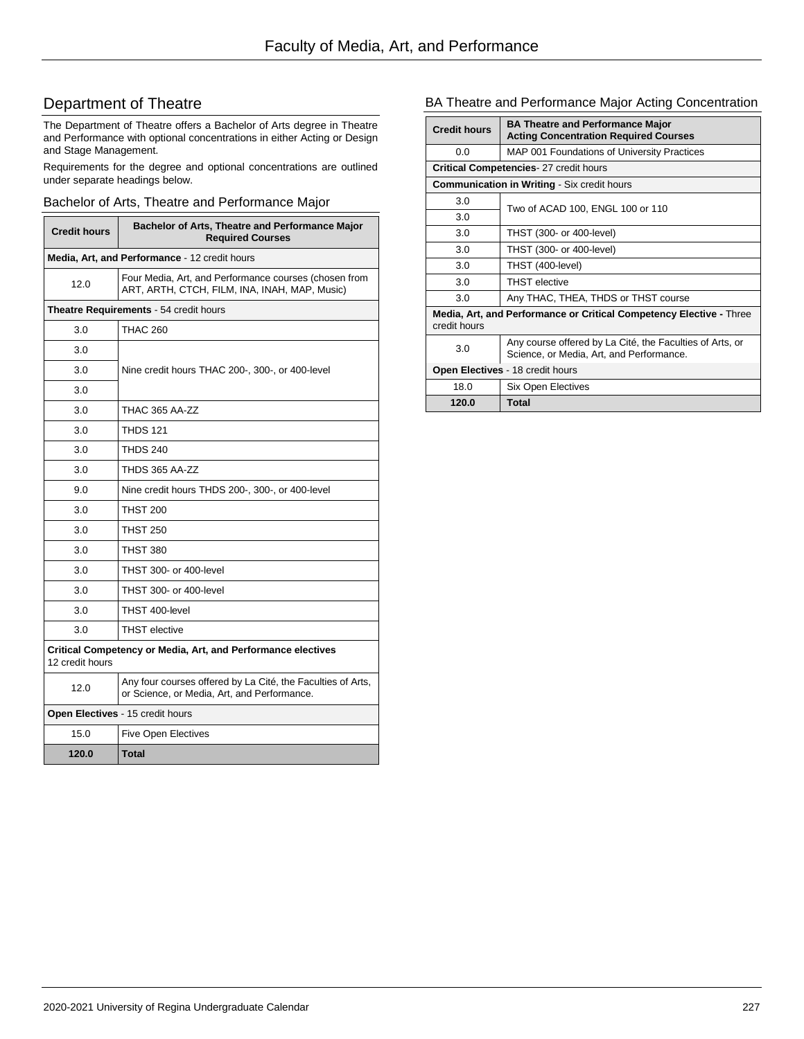# Department of Theatre

The Department of Theatre offers a Bachelor of Arts degree in Theatre and Performance with optional concentrations in either Acting or Design and Stage Management.

Requirements for the degree and optional concentrations are outlined under separate headings below.

### Bachelor of Arts, Theatre and Performance Major

| <b>Credit hours</b>                                                             | Bachelor of Arts, Theatre and Performance Major<br><b>Required Courses</b>                                 |
|---------------------------------------------------------------------------------|------------------------------------------------------------------------------------------------------------|
| Media, Art, and Performance - 12 credit hours                                   |                                                                                                            |
| 12.0                                                                            | Four Media, Art, and Performance courses (chosen from<br>ART, ARTH, CTCH, FILM, INA, INAH, MAP, Music)     |
|                                                                                 | <b>Theatre Requirements - 54 credit hours</b>                                                              |
| 3.0                                                                             | <b>THAC 260</b>                                                                                            |
| 3.0                                                                             |                                                                                                            |
| 3.0                                                                             | Nine credit hours THAC 200-, 300-, or 400-level                                                            |
| 3.0                                                                             |                                                                                                            |
| 3.0                                                                             | THAC 365 AA-ZZ                                                                                             |
| 3.0                                                                             | <b>THDS 121</b>                                                                                            |
| 3.0                                                                             | <b>THDS 240</b>                                                                                            |
| 3.0                                                                             | THDS 365 AA-ZZ                                                                                             |
| 9.0                                                                             | Nine credit hours THDS 200-, 300-, or 400-level                                                            |
| 3.0                                                                             | <b>THST 200</b>                                                                                            |
| 3.0                                                                             | <b>THST 250</b>                                                                                            |
| 3.0                                                                             | <b>THST 380</b>                                                                                            |
| 3.0                                                                             | THST 300- or 400-level                                                                                     |
| 3.0                                                                             | THST 300- or 400-level                                                                                     |
| 3.0                                                                             | THST 400-level                                                                                             |
| 3.0                                                                             | <b>THST</b> elective                                                                                       |
| Critical Competency or Media, Art, and Performance electives<br>12 credit hours |                                                                                                            |
| 12.0                                                                            | Any four courses offered by La Cité, the Faculties of Arts,<br>or Science, or Media, Art, and Performance. |
|                                                                                 | Open Electives - 15 credit hours                                                                           |
| 15.0                                                                            | <b>Five Open Electives</b>                                                                                 |
| 120.0                                                                           | <b>Total</b>                                                                                               |

### BA Theatre and Performance Major Acting Concentration

| <b>Credit hours</b>                                                                 | <b>BA Theatre and Performance Major</b><br><b>Acting Concentration Required Courses</b>              |
|-------------------------------------------------------------------------------------|------------------------------------------------------------------------------------------------------|
| 0.0                                                                                 | MAP 001 Foundations of University Practices                                                          |
|                                                                                     | Critical Competencies- 27 credit hours                                                               |
|                                                                                     | <b>Communication in Writing - Six credit hours</b>                                                   |
| 3.0                                                                                 | Two of ACAD 100, ENGL 100 or 110                                                                     |
| 3.0                                                                                 |                                                                                                      |
| 3.0                                                                                 | THST (300- or 400-level)                                                                             |
| 3.0                                                                                 | THST (300- or 400-level)                                                                             |
| 3.0                                                                                 | THST (400-level)                                                                                     |
| 3.0                                                                                 | <b>THST</b> elective                                                                                 |
| 3.0                                                                                 | Any THAC, THEA, THDS or THST course                                                                  |
| Media, Art, and Performance or Critical Competency Elective - Three<br>credit hours |                                                                                                      |
| 3.0                                                                                 | Any course offered by La Cité, the Faculties of Arts, or<br>Science, or Media, Art, and Performance. |
| Open Electives - 18 credit hours                                                    |                                                                                                      |
| 18.0                                                                                | <b>Six Open Electives</b>                                                                            |
| 120.0                                                                               | Total                                                                                                |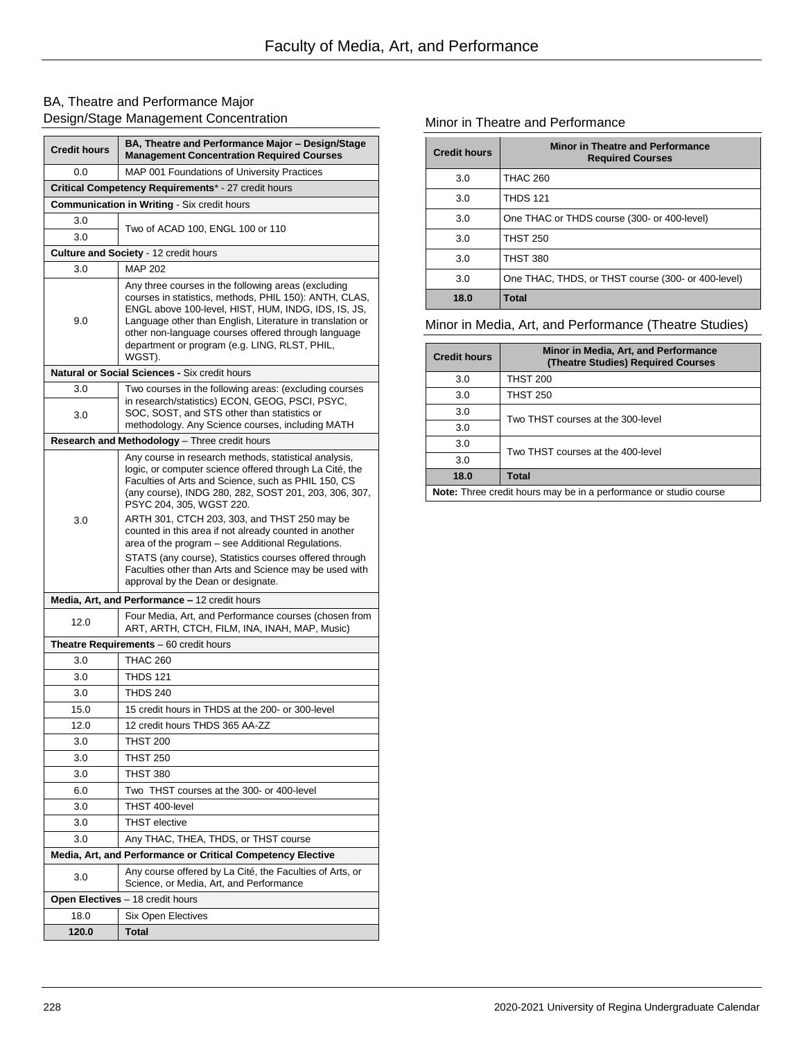# BA, Theatre and Performance Major Design/Stage Management Concentration

| <b>Credit hours</b>                                 | BA, Theatre and Performance Major - Design/Stage<br><b>Management Concentration Required Courses</b>                                                                                                                                                                                                                                                |  |
|-----------------------------------------------------|-----------------------------------------------------------------------------------------------------------------------------------------------------------------------------------------------------------------------------------------------------------------------------------------------------------------------------------------------------|--|
| 0.0                                                 | MAP 001 Foundations of University Practices                                                                                                                                                                                                                                                                                                         |  |
| Critical Competency Requirements* - 27 credit hours |                                                                                                                                                                                                                                                                                                                                                     |  |
|                                                     | Communication in Writing - Six credit hours                                                                                                                                                                                                                                                                                                         |  |
| 3.0                                                 | Two of ACAD 100, ENGL 100 or 110                                                                                                                                                                                                                                                                                                                    |  |
| 3.0                                                 |                                                                                                                                                                                                                                                                                                                                                     |  |
|                                                     | <b>Culture and Society - 12 credit hours</b>                                                                                                                                                                                                                                                                                                        |  |
| 3.0                                                 | <b>MAP 202</b>                                                                                                                                                                                                                                                                                                                                      |  |
| 9.0                                                 | Any three courses in the following areas (excluding<br>courses in statistics, methods, PHIL 150): ANTH, CLAS,<br>ENGL above 100-level, HIST, HUM, INDG, IDS, IS, JS,<br>Language other than English, Literature in translation or<br>other non-language courses offered through language<br>department or program (e.g. LING, RLST, PHIL,<br>WGST). |  |
|                                                     | <b>Natural or Social Sciences - Six credit hours</b>                                                                                                                                                                                                                                                                                                |  |
| 3.0                                                 | Two courses in the following areas: (excluding courses                                                                                                                                                                                                                                                                                              |  |
| 3.0                                                 | in research/statistics) ECON, GEOG, PSCI, PSYC,<br>SOC, SOST, and STS other than statistics or<br>methodology. Any Science courses, including MATH                                                                                                                                                                                                  |  |
|                                                     | Research and Methodology - Three credit hours                                                                                                                                                                                                                                                                                                       |  |
|                                                     | Any course in research methods, statistical analysis,<br>logic, or computer science offered through La Cité, the<br>Faculties of Arts and Science, such as PHIL 150, CS<br>(any course), INDG 280, 282, SOST 201, 203, 306, 307,<br>PSYC 204, 305, WGST 220.                                                                                        |  |
| 3.0                                                 | ARTH 301, CTCH 203, 303, and THST 250 may be<br>counted in this area if not already counted in another<br>area of the program – see Additional Regulations.<br>STATS (any course), Statistics courses offered through<br>Faculties other than Arts and Science may be used with<br>approval by the Dean or designate.                               |  |
|                                                     | Media, Art, and Performance - 12 credit hours                                                                                                                                                                                                                                                                                                       |  |
| 12.0                                                | Four Media, Art, and Performance courses (chosen from<br>ART, ARTH, CTCH, FILM, INA, INAH, MAP, Music)                                                                                                                                                                                                                                              |  |
|                                                     | <b>Theatre Requirements</b> $-60$ credit hours                                                                                                                                                                                                                                                                                                      |  |
| 3.0                                                 | <b>THAC 260</b>                                                                                                                                                                                                                                                                                                                                     |  |
| 3.0                                                 | <b>THDS 121</b>                                                                                                                                                                                                                                                                                                                                     |  |
| 3.0                                                 | <b>THDS 240</b>                                                                                                                                                                                                                                                                                                                                     |  |
| 15.0                                                | 15 credit hours in THDS at the 200- or 300-level                                                                                                                                                                                                                                                                                                    |  |
| 12.0                                                | 12 credit hours THDS 365 AA-ZZ                                                                                                                                                                                                                                                                                                                      |  |
| 3.0                                                 | <b>THST 200</b>                                                                                                                                                                                                                                                                                                                                     |  |
| 3.0                                                 | <b>THST 250</b>                                                                                                                                                                                                                                                                                                                                     |  |
| 3.0                                                 | <b>THST 380</b>                                                                                                                                                                                                                                                                                                                                     |  |
| 6.0                                                 | Two THST courses at the 300- or 400-level                                                                                                                                                                                                                                                                                                           |  |
| 3.0                                                 | THST 400-level                                                                                                                                                                                                                                                                                                                                      |  |
| 3.0                                                 | <b>THST</b> elective                                                                                                                                                                                                                                                                                                                                |  |
| 3.0                                                 | Any THAC, THEA, THDS, or THST course                                                                                                                                                                                                                                                                                                                |  |
|                                                     | Media, Art, and Performance or Critical Competency Elective                                                                                                                                                                                                                                                                                         |  |
| 3.0                                                 | Any course offered by La Cité, the Faculties of Arts, or<br>Science, or Media, Art, and Performance                                                                                                                                                                                                                                                 |  |
|                                                     | Open Electives - 18 credit hours                                                                                                                                                                                                                                                                                                                    |  |
| 18.0                                                | Six Open Electives                                                                                                                                                                                                                                                                                                                                  |  |
| 120.0                                               | Total                                                                                                                                                                                                                                                                                                                                               |  |

### Minor in Theatre and Performance

| <b>Credit hours</b> | <b>Minor in Theatre and Performance</b><br><b>Required Courses</b> |
|---------------------|--------------------------------------------------------------------|
| 3.0                 | <b>THAC 260</b>                                                    |
| 3.0                 | <b>THDS 121</b>                                                    |
| 3.0                 | One THAC or THDS course (300- or 400-level)                        |
| 3.0                 | <b>THST 250</b>                                                    |
| 3.0                 | <b>THST 380</b>                                                    |
| 3.0                 | One THAC, THDS, or THST course (300- or 400-level)                 |
| 18.0                | Total                                                              |

Minor in Media, Art, and Performance (Theatre Studies)

| <b>Credit hours</b>                                               | Minor in Media, Art, and Performance<br><b>(Theatre Studies) Required Courses</b> |
|-------------------------------------------------------------------|-----------------------------------------------------------------------------------|
| 3.0                                                               | <b>THST 200</b>                                                                   |
| 3.0                                                               | <b>THST 250</b>                                                                   |
| 3.0                                                               | Two THST courses at the 300-level                                                 |
| 3.0                                                               |                                                                                   |
| 3.0                                                               | Two THST courses at the 400-level                                                 |
| 3.0                                                               |                                                                                   |
| 18.0                                                              | <b>Total</b>                                                                      |
| Note: Three credit hours may be in a performance or studio course |                                                                                   |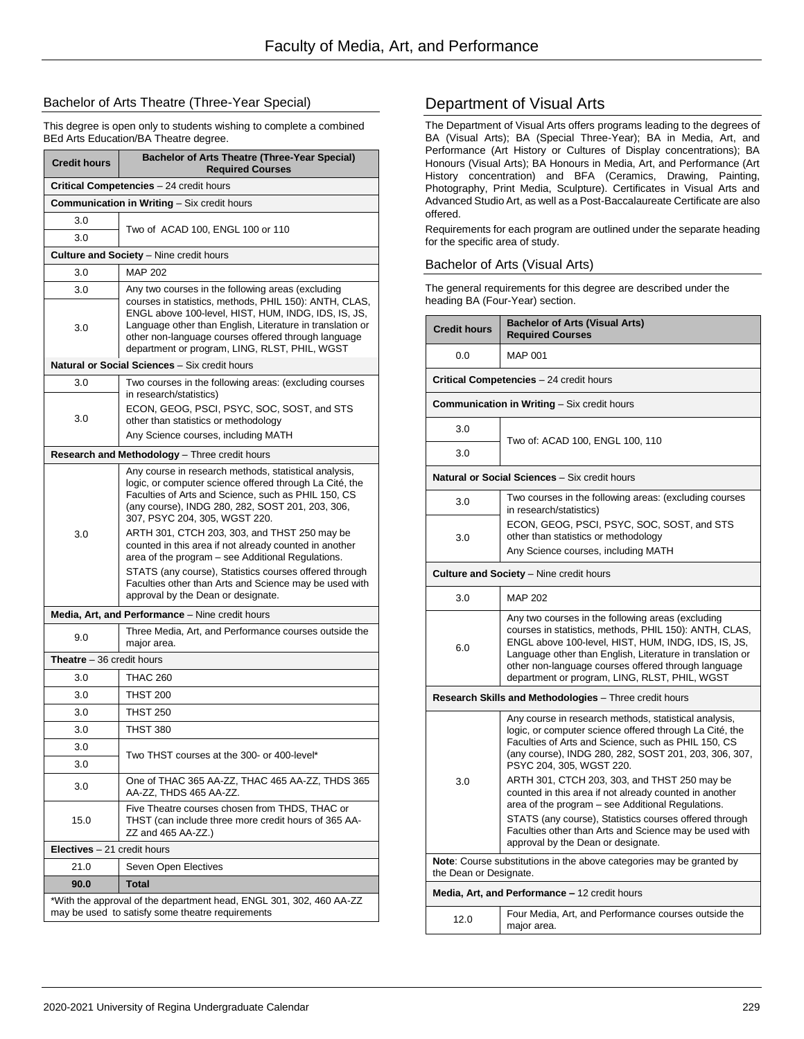### Bachelor of Arts Theatre (Three-Year Special)

This degree is open only to students wishing to complete a combined BEd Arts Education/BA Theatre degree.

| <b>Credit hours</b>                                                                                                     | <b>Bachelor of Arts Theatre (Three-Year Special)</b><br><b>Reauired Courses</b>                                                                                                                                                                                                                                                                                                                                                                                                                                                                                                       |
|-------------------------------------------------------------------------------------------------------------------------|---------------------------------------------------------------------------------------------------------------------------------------------------------------------------------------------------------------------------------------------------------------------------------------------------------------------------------------------------------------------------------------------------------------------------------------------------------------------------------------------------------------------------------------------------------------------------------------|
|                                                                                                                         | Critical Competencies - 24 credit hours                                                                                                                                                                                                                                                                                                                                                                                                                                                                                                                                               |
| <b>Communication in Writing - Six credit hours</b>                                                                      |                                                                                                                                                                                                                                                                                                                                                                                                                                                                                                                                                                                       |
| 3.0                                                                                                                     | Two of ACAD 100, ENGL 100 or 110                                                                                                                                                                                                                                                                                                                                                                                                                                                                                                                                                      |
| 3.0                                                                                                                     |                                                                                                                                                                                                                                                                                                                                                                                                                                                                                                                                                                                       |
|                                                                                                                         | <b>Culture and Society</b> - Nine credit hours                                                                                                                                                                                                                                                                                                                                                                                                                                                                                                                                        |
| 3.0                                                                                                                     | <b>MAP 202</b>                                                                                                                                                                                                                                                                                                                                                                                                                                                                                                                                                                        |
| 3.0<br>3.0                                                                                                              | Any two courses in the following areas (excluding<br>courses in statistics, methods, PHIL 150): ANTH, CLAS,<br>ENGL above 100-level, HIST, HUM, INDG, IDS, IS, JS,<br>Language other than English, Literature in translation or<br>other non-language courses offered through language<br>department or program, LING, RLST, PHIL, WGST                                                                                                                                                                                                                                               |
|                                                                                                                         | Natural or Social Sciences - Six credit hours                                                                                                                                                                                                                                                                                                                                                                                                                                                                                                                                         |
| 3.0                                                                                                                     | Two courses in the following areas: (excluding courses<br>in research/statistics)                                                                                                                                                                                                                                                                                                                                                                                                                                                                                                     |
| 3.0                                                                                                                     | ECON, GEOG, PSCI, PSYC, SOC, SOST, and STS<br>other than statistics or methodology<br>Any Science courses, including MATH                                                                                                                                                                                                                                                                                                                                                                                                                                                             |
|                                                                                                                         | Research and Methodology - Three credit hours                                                                                                                                                                                                                                                                                                                                                                                                                                                                                                                                         |
| 3.0                                                                                                                     | Any course in research methods, statistical analysis,<br>logic, or computer science offered through La Cité, the<br>Faculties of Arts and Science, such as PHIL 150, CS<br>(any course), INDG 280, 282, SOST 201, 203, 306,<br>307, PSYC 204, 305, WGST 220.<br>ARTH 301, CTCH 203, 303, and THST 250 may be<br>counted in this area if not already counted in another<br>area of the program - see Additional Regulations.<br>STATS (any course), Statistics courses offered through<br>Faculties other than Arts and Science may be used with<br>approval by the Dean or designate. |
|                                                                                                                         | Media, Art, and Performance - Nine credit hours                                                                                                                                                                                                                                                                                                                                                                                                                                                                                                                                       |
| 9.0                                                                                                                     | Three Media, Art, and Performance courses outside the<br>major area.                                                                                                                                                                                                                                                                                                                                                                                                                                                                                                                  |
| <b>Theatre</b> - 36 credit hours                                                                                        |                                                                                                                                                                                                                                                                                                                                                                                                                                                                                                                                                                                       |
| 3.0                                                                                                                     | <b>THAC 260</b>                                                                                                                                                                                                                                                                                                                                                                                                                                                                                                                                                                       |
| 3.0                                                                                                                     | <b>THST 200</b>                                                                                                                                                                                                                                                                                                                                                                                                                                                                                                                                                                       |
| 3.0                                                                                                                     | <b>THST 250</b>                                                                                                                                                                                                                                                                                                                                                                                                                                                                                                                                                                       |
| 3.0                                                                                                                     | <b>THST 380</b>                                                                                                                                                                                                                                                                                                                                                                                                                                                                                                                                                                       |
| 3.0                                                                                                                     | Two THST courses at the 300- or 400-level*                                                                                                                                                                                                                                                                                                                                                                                                                                                                                                                                            |
| 3.0                                                                                                                     |                                                                                                                                                                                                                                                                                                                                                                                                                                                                                                                                                                                       |
| 3.0                                                                                                                     | One of THAC 365 AA-ZZ, THAC 465 AA-ZZ, THDS 365<br>AA-ZZ, THDS 465 AA-ZZ.                                                                                                                                                                                                                                                                                                                                                                                                                                                                                                             |
| 15.0                                                                                                                    | Five Theatre courses chosen from THDS, THAC or<br>THST (can include three more credit hours of 365 AA-<br>ZZ and 465 AA-ZZ.)                                                                                                                                                                                                                                                                                                                                                                                                                                                          |
| <b>Electives</b> $-21$ credit hours                                                                                     |                                                                                                                                                                                                                                                                                                                                                                                                                                                                                                                                                                                       |
| 21.0                                                                                                                    | Seven Open Electives                                                                                                                                                                                                                                                                                                                                                                                                                                                                                                                                                                  |
| 90.0                                                                                                                    | <b>Total</b>                                                                                                                                                                                                                                                                                                                                                                                                                                                                                                                                                                          |
| *With the approval of the department head, ENGL 301, 302, 460 AA-ZZ<br>may be used to satisfy some theatre requirements |                                                                                                                                                                                                                                                                                                                                                                                                                                                                                                                                                                                       |

# Department of Visual Arts

The Department of Visual Arts offers programs leading to the degrees of BA (Visual Arts); BA (Special Three-Year); BA in Media, Art, and Performance (Art History or Cultures of Display concentrations); BA Honours (Visual Arts); BA Honours in Media, Art, and Performance (Art History concentration) and BFA (Ceramics, Drawing, Painting, Photography, Print Media, Sculpture). Certificates in Visual Arts and Advanced Studio Art, as well as a Post-Baccalaureate Certificate are also offered.

Requirements for each program are outlined under the separate heading for the specific area of study.

### Bachelor of Arts (Visual Arts)

The general requirements for this degree are described under the heading BA (Four-Year) section.

| <b>Credit hours</b>                                                                                   | <b>Bachelor of Arts (Visual Arts)</b><br><b>Required Courses</b>                                                                                                                                                                                                                                                                        |
|-------------------------------------------------------------------------------------------------------|-----------------------------------------------------------------------------------------------------------------------------------------------------------------------------------------------------------------------------------------------------------------------------------------------------------------------------------------|
| 0.0                                                                                                   | MAP 001                                                                                                                                                                                                                                                                                                                                 |
|                                                                                                       | Critical Competencies - 24 credit hours                                                                                                                                                                                                                                                                                                 |
|                                                                                                       | <b>Communication in Writing - Six credit hours</b>                                                                                                                                                                                                                                                                                      |
| 3.0                                                                                                   | Two of: ACAD 100, ENGL 100, 110                                                                                                                                                                                                                                                                                                         |
| 3.0                                                                                                   |                                                                                                                                                                                                                                                                                                                                         |
|                                                                                                       | Natural or Social Sciences - Six credit hours                                                                                                                                                                                                                                                                                           |
| 3.0                                                                                                   | Two courses in the following areas: (excluding courses<br>in research/statistics)                                                                                                                                                                                                                                                       |
| 3.0                                                                                                   | ECON, GEOG, PSCI, PSYC, SOC, SOST, and STS<br>other than statistics or methodology                                                                                                                                                                                                                                                      |
|                                                                                                       | Any Science courses, including MATH                                                                                                                                                                                                                                                                                                     |
|                                                                                                       | <b>Culture and Society</b> – Nine credit hours                                                                                                                                                                                                                                                                                          |
| 3.0                                                                                                   | <b>MAP 202</b>                                                                                                                                                                                                                                                                                                                          |
| 6.0                                                                                                   | Any two courses in the following areas (excluding<br>courses in statistics, methods, PHIL 150): ANTH, CLAS,<br>ENGL above 100-level, HIST, HUM, INDG, IDS, IS, JS,<br>Language other than English, Literature in translation or<br>other non-language courses offered through language<br>department or program, LING, RLST, PHIL, WGST |
|                                                                                                       | Research Skills and Methodologies - Three credit hours                                                                                                                                                                                                                                                                                  |
| 3.0                                                                                                   | Any course in research methods, statistical analysis,<br>logic, or computer science offered through La Cité, the<br>Faculties of Arts and Science, such as PHIL 150, CS<br>(any course), INDG 280, 282, SOST 201, 203, 306, 307,<br>PSYC 204, 305, WGST 220.<br>ARTH 301, CTCH 203, 303, and THST 250 may be                            |
|                                                                                                       | counted in this area if not already counted in another<br>area of the program - see Additional Regulations.<br>STATS (any course), Statistics courses offered through<br>Faculties other than Arts and Science may be used with<br>approval by the Dean or designate.                                                                   |
| <b>Note:</b> Course substitutions in the above categories may be granted by<br>the Dean or Designate. |                                                                                                                                                                                                                                                                                                                                         |
|                                                                                                       | Media, Art, and Performance - 12 credit hours                                                                                                                                                                                                                                                                                           |
| 12.0                                                                                                  | Four Media, Art, and Performance courses outside the<br>major area.                                                                                                                                                                                                                                                                     |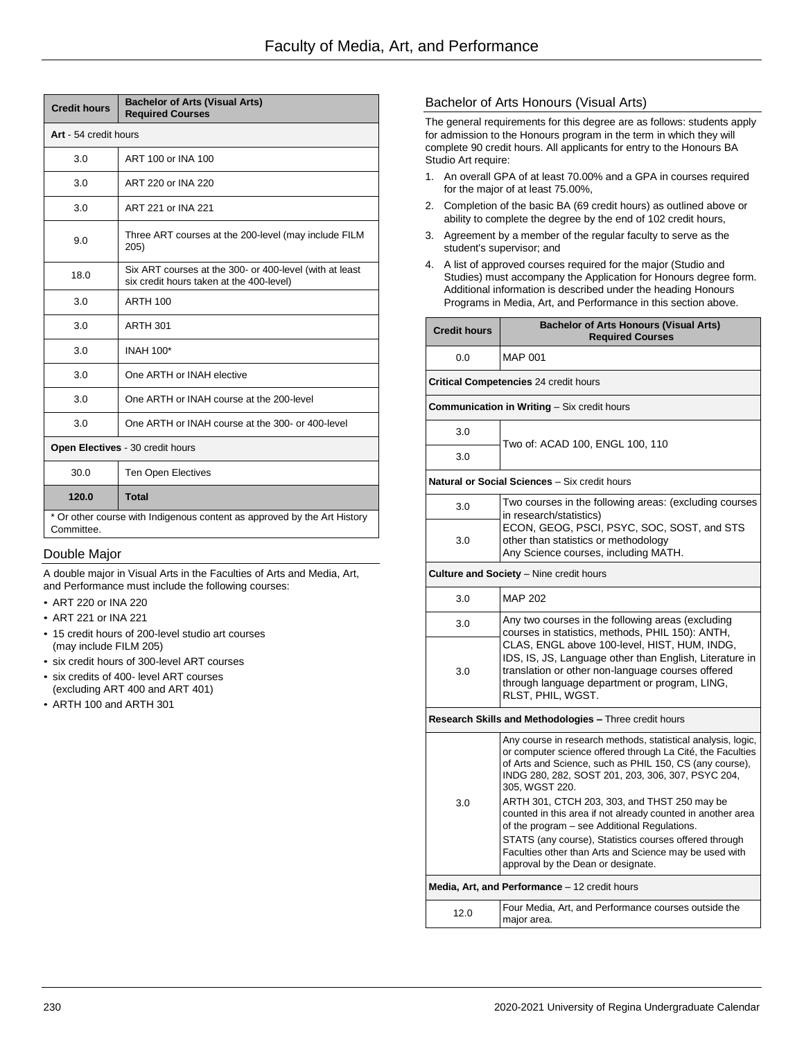| <b>Credit hours</b>                                                                    | <b>Bachelor of Arts (Visual Arts)</b><br><b>Required Courses</b>                                    |
|----------------------------------------------------------------------------------------|-----------------------------------------------------------------------------------------------------|
| Art - 54 credit hours                                                                  |                                                                                                     |
| 3.0                                                                                    | ART 100 or INA 100                                                                                  |
| 3.0                                                                                    | ART 220 or INA 220                                                                                  |
| 3.0                                                                                    | ART 221 or INA 221                                                                                  |
| 9.0                                                                                    | Three ART courses at the 200-level (may include FILM<br>205)                                        |
| 18.0                                                                                   | Six ART courses at the 300- or 400-level (with at least<br>six credit hours taken at the 400-level) |
| 3.0                                                                                    | <b>ARTH 100</b>                                                                                     |
| 3.0                                                                                    | <b>ARTH 301</b>                                                                                     |
| 3.0                                                                                    | <b>INAH 100*</b>                                                                                    |
| 3.0                                                                                    | One ARTH or INAH elective                                                                           |
| 3.0                                                                                    | One ARTH or INAH course at the 200-level                                                            |
| 3.0                                                                                    | One ARTH or INAH course at the 300- or 400-level                                                    |
| Open Electives - 30 credit hours                                                       |                                                                                                     |
| 30.0                                                                                   | <b>Ten Open Electives</b>                                                                           |
| 120.0                                                                                  | <b>Total</b>                                                                                        |
| * Or other course with Indigenous content as approved by the Art History<br>Committee. |                                                                                                     |

### Double Major

A double major in Visual Arts in the Faculties of Arts and Media, Art, and Performance must include the following courses:

- ART 220 or INA 220
- ART 221 or INA 221
- 15 credit hours of 200-level studio art courses (may include FILM 205)
- six credit hours of 300-level ART courses
- six credits of 400- level ART courses (excluding ART 400 and ART 401)
- ARTH 100 and ARTH 301

### Bachelor of Arts Honours (Visual Arts)

The general requirements for this degree are as follows: students apply for admission to the Honours program in the term in which they will complete 90 credit hours. All applicants for entry to the Honours BA Studio Art require:

- 1. An overall GPA of at least 70.00% and a GPA in courses required for the major of at least 75.00%,
- 2. Completion of the basic BA (69 credit hours) as outlined above or ability to complete the degree by the end of 102 credit hours,
- 3. Agreement by a member of the regular faculty to serve as the student's supervisor; and
- 4. A list of approved courses required for the major (Studio and Studies) must accompany the Application for Honours degree form. Additional information is described under the heading Honours Programs in Media, Art, and Performance in this section above.

| <b>Credit hours</b>                            | <b>Bachelor of Arts Honours (Visual Arts)</b><br><b>Required Courses</b>                                                                                                                                                                                                                                                                                                                                                                                                                                                                                                              |  |  |
|------------------------------------------------|---------------------------------------------------------------------------------------------------------------------------------------------------------------------------------------------------------------------------------------------------------------------------------------------------------------------------------------------------------------------------------------------------------------------------------------------------------------------------------------------------------------------------------------------------------------------------------------|--|--|
| 0.0                                            | <b>MAP 001</b>                                                                                                                                                                                                                                                                                                                                                                                                                                                                                                                                                                        |  |  |
|                                                | <b>Critical Competencies 24 credit hours</b>                                                                                                                                                                                                                                                                                                                                                                                                                                                                                                                                          |  |  |
|                                                | <b>Communication in Writing - Six credit hours</b>                                                                                                                                                                                                                                                                                                                                                                                                                                                                                                                                    |  |  |
| 3.0                                            | Two of: ACAD 100, ENGL 100, 110                                                                                                                                                                                                                                                                                                                                                                                                                                                                                                                                                       |  |  |
| 3.0                                            |                                                                                                                                                                                                                                                                                                                                                                                                                                                                                                                                                                                       |  |  |
|                                                | Natural or Social Sciences - Six credit hours                                                                                                                                                                                                                                                                                                                                                                                                                                                                                                                                         |  |  |
| 3.0                                            | Two courses in the following areas: (excluding courses<br>in research/statistics)                                                                                                                                                                                                                                                                                                                                                                                                                                                                                                     |  |  |
| 3.0                                            | ECON, GEOG, PSCI, PSYC, SOC, SOST, and STS<br>other than statistics or methodology<br>Any Science courses, including MATH.                                                                                                                                                                                                                                                                                                                                                                                                                                                            |  |  |
| <b>Culture and Society</b> - Nine credit hours |                                                                                                                                                                                                                                                                                                                                                                                                                                                                                                                                                                                       |  |  |
| 3.0                                            | MAP 202                                                                                                                                                                                                                                                                                                                                                                                                                                                                                                                                                                               |  |  |
| 3.0<br>3.0                                     | Any two courses in the following areas (excluding<br>courses in statistics, methods, PHIL 150): ANTH,<br>CLAS, ENGL above 100-level, HIST, HUM, INDG,<br>IDS, IS, JS, Language other than English, Literature in<br>translation or other non-language courses offered<br>through language department or program, LING,<br>RLST, PHIL, WGST.                                                                                                                                                                                                                                           |  |  |
|                                                | Research Skills and Methodologies - Three credit hours                                                                                                                                                                                                                                                                                                                                                                                                                                                                                                                                |  |  |
| 3.0                                            | Any course in research methods, statistical analysis, logic,<br>or computer science offered through La Cité, the Faculties<br>of Arts and Science, such as PHIL 150, CS (any course),<br>INDG 280, 282, SOST 201, 203, 306, 307, PSYC 204,<br>305, WGST 220.<br>ARTH 301, CTCH 203, 303, and THST 250 may be<br>counted in this area if not already counted in another area<br>of the program - see Additional Regulations.<br>STATS (any course), Statistics courses offered through<br>Faculties other than Arts and Science may be used with<br>approval by the Dean or designate. |  |  |
|                                                | Media, Art, and Performance - 12 credit hours                                                                                                                                                                                                                                                                                                                                                                                                                                                                                                                                         |  |  |
| 12.0                                           | Four Media, Art, and Performance courses outside the<br>major area.                                                                                                                                                                                                                                                                                                                                                                                                                                                                                                                   |  |  |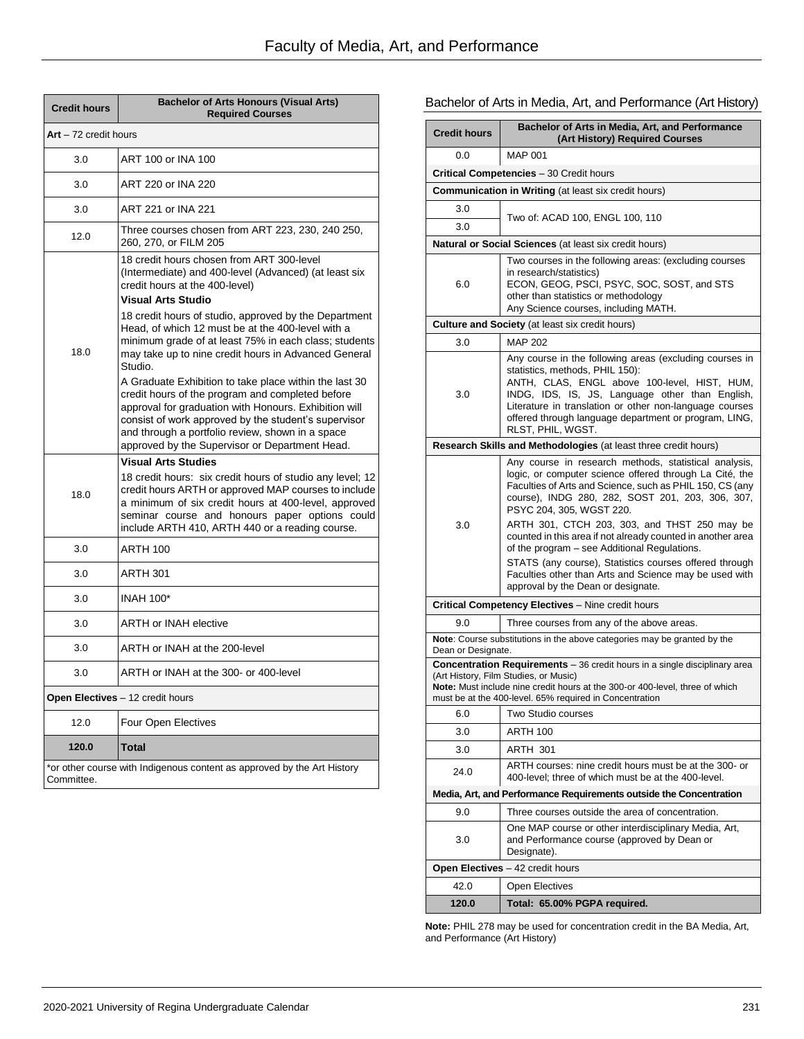| <b>Credit hours</b>   | <b>Bachelor of Arts Honours (Visual Arts)</b><br><b>Required Courses</b>                                                                                                                                                                                                                                                                                                                         |
|-----------------------|--------------------------------------------------------------------------------------------------------------------------------------------------------------------------------------------------------------------------------------------------------------------------------------------------------------------------------------------------------------------------------------------------|
| Art - 72 credit hours |                                                                                                                                                                                                                                                                                                                                                                                                  |
| 3.0                   | ART 100 or INA 100                                                                                                                                                                                                                                                                                                                                                                               |
| 3.0                   | ART 220 or INA 220                                                                                                                                                                                                                                                                                                                                                                               |
| 3.0                   | ART 221 or INA 221                                                                                                                                                                                                                                                                                                                                                                               |
| 12.0                  | Three courses chosen from ART 223, 230, 240 250,<br>260, 270, or FILM 205                                                                                                                                                                                                                                                                                                                        |
| 18.0                  | 18 credit hours chosen from ART 300-level<br>(Intermediate) and 400-level (Advanced) (at least six<br>credit hours at the 400-level)<br><b>Visual Arts Studio</b><br>18 credit hours of studio, approved by the Department<br>Head, of which 12 must be at the 400-level with a<br>minimum grade of at least 75% in each class; students<br>may take up to nine credit hours in Advanced General |
|                       | Studio.<br>A Graduate Exhibition to take place within the last 30<br>credit hours of the program and completed before<br>approval for graduation with Honours. Exhibition will<br>consist of work approved by the student's supervisor<br>and through a portfolio review, shown in a space<br>approved by the Supervisor or Department Head.                                                     |
| 18.0                  | <b>Visual Arts Studies</b><br>18 credit hours: six credit hours of studio any level; 12<br>credit hours ARTH or approved MAP courses to include<br>a minimum of six credit hours at 400-level, approved<br>seminar course and honours paper options could<br>include ARTH 410, ARTH 440 or a reading course.                                                                                     |
| 3.0                   | <b>ARTH 100</b>                                                                                                                                                                                                                                                                                                                                                                                  |
| 3.0                   | <b>ARTH 301</b>                                                                                                                                                                                                                                                                                                                                                                                  |
| 3.0                   | <b>INAH 100*</b>                                                                                                                                                                                                                                                                                                                                                                                 |
| 3.0                   | <b>ARTH or INAH elective</b>                                                                                                                                                                                                                                                                                                                                                                     |
| 3.0                   | ARTH or INAH at the 200-level                                                                                                                                                                                                                                                                                                                                                                    |
| 3.0                   | ARTH or INAH at the 300- or 400-level                                                                                                                                                                                                                                                                                                                                                            |
|                       | Open Electives - 12 credit hours                                                                                                                                                                                                                                                                                                                                                                 |
| 12.0                  | Four Open Electives                                                                                                                                                                                                                                                                                                                                                                              |
| 120.0                 | <b>Total</b>                                                                                                                                                                                                                                                                                                                                                                                     |
| Committee.            | *or other course with Indigenous content as approved by the Art History                                                                                                                                                                                                                                                                                                                          |

# Bachelor of Arts in Media, Art, and Performance (Art History)

| <b>Credit hours</b> | Bachelor of Arts in Media, Art, and Performance<br>(Art History) Required Courses                                                                                                                                                                                                                                                      |
|---------------------|----------------------------------------------------------------------------------------------------------------------------------------------------------------------------------------------------------------------------------------------------------------------------------------------------------------------------------------|
| 0.0                 | <b>MAP 001</b>                                                                                                                                                                                                                                                                                                                         |
|                     | <b>Critical Competencies</b> - 30 Credit hours                                                                                                                                                                                                                                                                                         |
|                     | <b>Communication in Writing</b> (at least six credit hours)                                                                                                                                                                                                                                                                            |
| 3.0                 | Two of: ACAD 100, ENGL 100, 110                                                                                                                                                                                                                                                                                                        |
| 3.0                 |                                                                                                                                                                                                                                                                                                                                        |
|                     | <b>Natural or Social Sciences</b> (at least six credit hours)                                                                                                                                                                                                                                                                          |
| 6.0                 | Two courses in the following areas: (excluding courses<br>in research/statistics)<br>ECON, GEOG, PSCI, PSYC, SOC, SOST, and STS<br>other than statistics or methodology<br>Any Science courses, including MATH.                                                                                                                        |
|                     | <b>Culture and Society</b> (at least six credit hours)                                                                                                                                                                                                                                                                                 |
| 3.0                 | MAP 202                                                                                                                                                                                                                                                                                                                                |
| 3.0                 | Any course in the following areas (excluding courses in<br>statistics, methods, PHIL 150):<br>ANTH, CLAS, ENGL above 100-level, HIST, HUM,<br>INDG, IDS, IS, JS, Language other than English,<br>Literature in translation or other non-language courses<br>offered through language department or program, LING,<br>RLST, PHIL, WGST. |
|                     | Research Skills and Methodologies (at least three credit hours)                                                                                                                                                                                                                                                                        |
|                     | Any course in research methods, statistical analysis,<br>logic, or computer science offered through La Cité, the<br>Faculties of Arts and Science, such as PHIL 150, CS (any<br>course), INDG 280, 282, SOST 201, 203, 306, 307,<br>PSYC 204, 305, WGST 220.                                                                           |
| 3.0                 | ARTH 301, CTCH 203, 303, and THST 250 may be<br>counted in this area if not already counted in another area<br>of the program – see Additional Regulations.<br>STATS (any course), Statistics courses offered through                                                                                                                  |
|                     | Faculties other than Arts and Science may be used with<br>approval by the Dean or designate.                                                                                                                                                                                                                                           |
|                     | <b>Critical Competency Electives</b> – Nine credit hours                                                                                                                                                                                                                                                                               |
| 90                  | Three courses from any of the above areas.                                                                                                                                                                                                                                                                                             |
|                     | Note: Course substitutions in the above categories may be granted by the                                                                                                                                                                                                                                                               |
| Dean or Designate.  | <b>Concentration Requirements</b> – 36 credit hours in a single disciplinary area                                                                                                                                                                                                                                                      |
|                     | (Art History, Film Studies, or Music)<br>Note: Must include nine credit hours at the 300-or 400-level, three of which<br>must be at the 400-level. 65% required in Concentration                                                                                                                                                       |
| 6.0                 | Two Studio courses                                                                                                                                                                                                                                                                                                                     |
| 3.0                 | <b>ARTH 100</b>                                                                                                                                                                                                                                                                                                                        |
| 3.0                 | ARTH 301                                                                                                                                                                                                                                                                                                                               |
| 24.0                | ARTH courses: nine credit hours must be at the 300- or<br>400-level; three of which must be at the 400-level.                                                                                                                                                                                                                          |
|                     | Media, Art, and Performance Requirements outside the Concentration                                                                                                                                                                                                                                                                     |
| 9.0                 | Three courses outside the area of concentration.                                                                                                                                                                                                                                                                                       |
| 3.0                 | One MAP course or other interdisciplinary Media, Art,<br>and Performance course (approved by Dean or<br>Designate).                                                                                                                                                                                                                    |
|                     | Open Electives - 42 credit hours                                                                                                                                                                                                                                                                                                       |
| 42.0                | Open Electives                                                                                                                                                                                                                                                                                                                         |
| 120.0               | Total: 65.00% PGPA required.                                                                                                                                                                                                                                                                                                           |

**Note:** PHIL 278 may be used for concentration credit in the BA Media, Art, and Performance (Art History)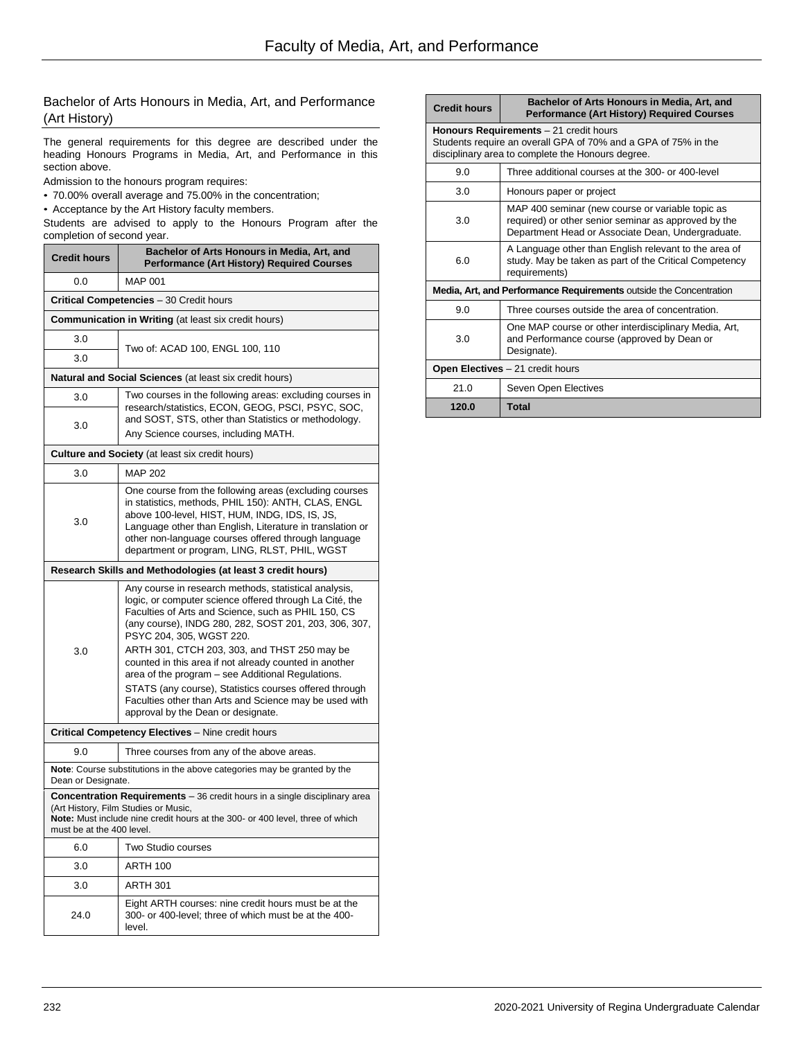### Bachelor of Arts Honours in Media, Art, and Performance (Art History)

The general requirements for this degree are described under the heading Honours Programs in Media, Art, and Performance in this section above.

Admission to the honours program requires:

- 70.00% overall average and 75.00% in the concentration;
- Acceptance by the Art History faculty members.

Students are advised to apply to the Honours Program after the completion of second year.

| <b>Credit hours</b>                                                                                                                                                                                                              | Bachelor of Arts Honours in Media, Art, and<br><b>Performance (Art History) Required Courses</b>                                                                                                                                                                                                                                     |  |  |
|----------------------------------------------------------------------------------------------------------------------------------------------------------------------------------------------------------------------------------|--------------------------------------------------------------------------------------------------------------------------------------------------------------------------------------------------------------------------------------------------------------------------------------------------------------------------------------|--|--|
| 0.0                                                                                                                                                                                                                              | <b>MAP 001</b>                                                                                                                                                                                                                                                                                                                       |  |  |
|                                                                                                                                                                                                                                  | <b>Critical Competencies</b> - 30 Credit hours                                                                                                                                                                                                                                                                                       |  |  |
|                                                                                                                                                                                                                                  | <b>Communication in Writing (at least six credit hours)</b>                                                                                                                                                                                                                                                                          |  |  |
| 3.0                                                                                                                                                                                                                              | Two of: ACAD 100, ENGL 100, 110                                                                                                                                                                                                                                                                                                      |  |  |
| 3.0                                                                                                                                                                                                                              |                                                                                                                                                                                                                                                                                                                                      |  |  |
| <b>Natural and Social Sciences</b> (at least six credit hours)                                                                                                                                                                   |                                                                                                                                                                                                                                                                                                                                      |  |  |
| 3.0                                                                                                                                                                                                                              | Two courses in the following areas: excluding courses in<br>research/statistics, ECON, GEOG, PSCI, PSYC, SOC,                                                                                                                                                                                                                        |  |  |
| 3.0                                                                                                                                                                                                                              | and SOST, STS, other than Statistics or methodology.<br>Any Science courses, including MATH.                                                                                                                                                                                                                                         |  |  |
|                                                                                                                                                                                                                                  | <b>Culture and Society</b> (at least six credit hours)                                                                                                                                                                                                                                                                               |  |  |
| 3.0                                                                                                                                                                                                                              | <b>MAP 202</b>                                                                                                                                                                                                                                                                                                                       |  |  |
| 3.0                                                                                                                                                                                                                              | One course from the following areas (excluding courses<br>in statistics, methods, PHIL 150): ANTH, CLAS, ENGL<br>above 100-level, HIST, HUM, INDG, IDS, IS, JS,<br>Language other than English, Literature in translation or<br>other non-language courses offered through language<br>department or program, LING, RLST, PHIL, WGST |  |  |
|                                                                                                                                                                                                                                  | Research Skills and Methodologies (at least 3 credit hours)                                                                                                                                                                                                                                                                          |  |  |
| 3.0                                                                                                                                                                                                                              | Any course in research methods, statistical analysis,<br>logic, or computer science offered through La Cité, the<br>Faculties of Arts and Science, such as PHIL 150, CS<br>(any course), INDG 280, 282, SOST 201, 203, 306, 307,<br>PSYC 204, 305, WGST 220.                                                                         |  |  |
|                                                                                                                                                                                                                                  | ARTH 301, CTCH 203, 303, and THST 250 may be<br>counted in this area if not already counted in another<br>area of the program – see Additional Regulations.<br>STATS (any course), Statistics courses offered through<br>Faculties other than Arts and Science may be used with<br>approval by the Dean or designate.                |  |  |
|                                                                                                                                                                                                                                  | Critical Competency Electives - Nine credit hours                                                                                                                                                                                                                                                                                    |  |  |
| 9.0                                                                                                                                                                                                                              | Three courses from any of the above areas.                                                                                                                                                                                                                                                                                           |  |  |
| Note: Course substitutions in the above categories may be granted by the<br>Dean or Designate.                                                                                                                                   |                                                                                                                                                                                                                                                                                                                                      |  |  |
| Concentration Requirements - 36 credit hours in a single disciplinary area<br>(Art History, Film Studies or Music,<br>Note: Must include nine credit hours at the 300- or 400 level, three of which<br>must be at the 400 level. |                                                                                                                                                                                                                                                                                                                                      |  |  |
| 6.0                                                                                                                                                                                                                              | Two Studio courses                                                                                                                                                                                                                                                                                                                   |  |  |
| 3.0                                                                                                                                                                                                                              | <b>ARTH 100</b>                                                                                                                                                                                                                                                                                                                      |  |  |
| 3.0                                                                                                                                                                                                                              | <b>ARTH 301</b>                                                                                                                                                                                                                                                                                                                      |  |  |
| 24.0                                                                                                                                                                                                                             | Eight ARTH courses: nine credit hours must be at the<br>300- or 400-level; three of which must be at the 400-<br>level.                                                                                                                                                                                                              |  |  |

| <b>Credit hours</b>                                                                                                                                           | Bachelor of Arts Honours in Media, Art, and<br><b>Performance (Art History) Required Courses</b>                                                              |  |
|---------------------------------------------------------------------------------------------------------------------------------------------------------------|---------------------------------------------------------------------------------------------------------------------------------------------------------------|--|
| Honours Requirements - 21 credit hours<br>Students require an overall GPA of 70% and a GPA of 75% in the<br>disciplinary area to complete the Honours degree. |                                                                                                                                                               |  |
| 9.0                                                                                                                                                           | Three additional courses at the 300- or 400-level                                                                                                             |  |
| 3.0                                                                                                                                                           | Honours paper or project                                                                                                                                      |  |
| 3.0                                                                                                                                                           | MAP 400 seminar (new course or variable topic as<br>required) or other senior seminar as approved by the<br>Department Head or Associate Dean, Undergraduate. |  |
| 6.0                                                                                                                                                           | A Language other than English relevant to the area of<br>study. May be taken as part of the Critical Competency<br>requirements)                              |  |
| Media, Art, and Performance Requirements outside the Concentration                                                                                            |                                                                                                                                                               |  |
| 9.0                                                                                                                                                           | Three courses outside the area of concentration.                                                                                                              |  |
| 3.0                                                                                                                                                           | One MAP course or other interdisciplinary Media, Art,<br>and Performance course (approved by Dean or<br>Designate).                                           |  |
| Open Electives - 21 credit hours                                                                                                                              |                                                                                                                                                               |  |
| 21.0                                                                                                                                                          | Seven Open Electives                                                                                                                                          |  |
| 120.0                                                                                                                                                         | <b>Total</b>                                                                                                                                                  |  |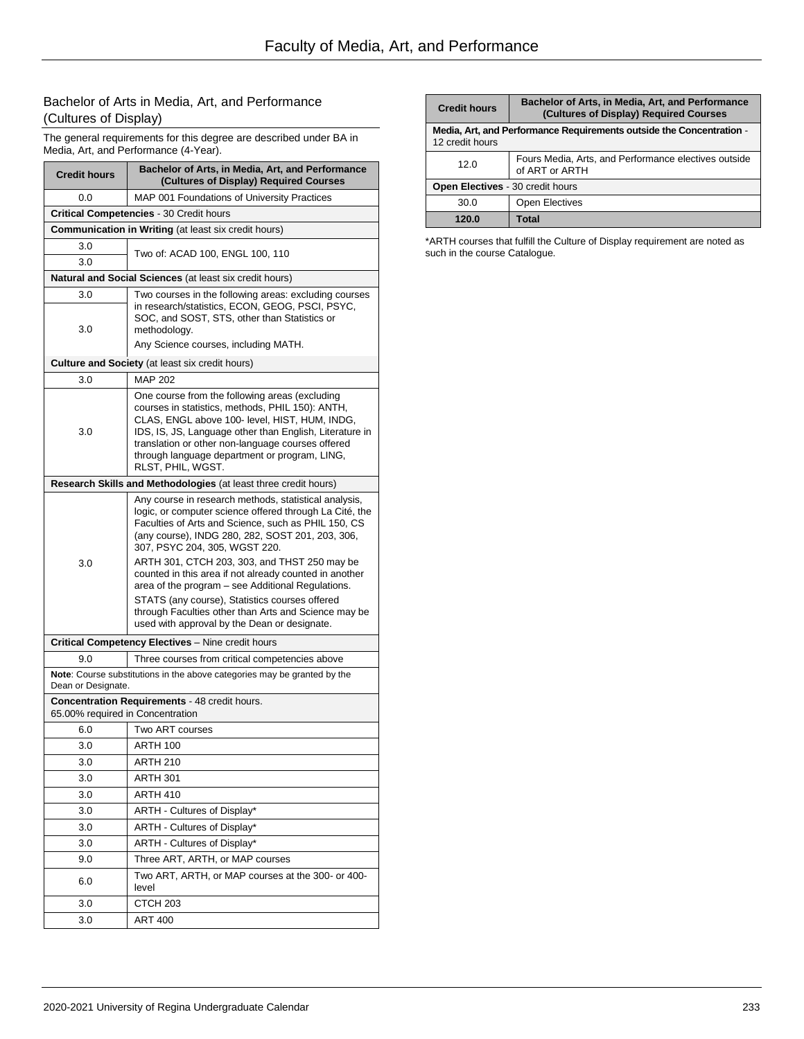# Bachelor of Arts in Media, Art, and Performance (Cultures of Display)

The general requirements for this degree are described under BA in Media, Art, and Performance (4-Year).

| <b>Credit hours</b>                                  | Bachelor of Arts, in Media, Art, and Performance<br>(Cultures of Display) Required Courses                                                                                                                                                                                                                                                                                                                                                                                                                                                                                            |  |
|------------------------------------------------------|---------------------------------------------------------------------------------------------------------------------------------------------------------------------------------------------------------------------------------------------------------------------------------------------------------------------------------------------------------------------------------------------------------------------------------------------------------------------------------------------------------------------------------------------------------------------------------------|--|
| 0.0                                                  | MAP 001 Foundations of University Practices                                                                                                                                                                                                                                                                                                                                                                                                                                                                                                                                           |  |
|                                                      | <b>Critical Competencies - 30 Credit hours</b>                                                                                                                                                                                                                                                                                                                                                                                                                                                                                                                                        |  |
| Communication in Writing (at least six credit hours) |                                                                                                                                                                                                                                                                                                                                                                                                                                                                                                                                                                                       |  |
| 3.0<br>3.0                                           | Two of: ACAD 100, ENGL 100, 110                                                                                                                                                                                                                                                                                                                                                                                                                                                                                                                                                       |  |
|                                                      | <b>Natural and Social Sciences</b> (at least six credit hours)                                                                                                                                                                                                                                                                                                                                                                                                                                                                                                                        |  |
| 3.0                                                  | Two courses in the following areas: excluding courses                                                                                                                                                                                                                                                                                                                                                                                                                                                                                                                                 |  |
| 3.0                                                  | in research/statistics, ECON, GEOG, PSCI, PSYC,<br>SOC, and SOST, STS, other than Statistics or<br>methodology.<br>Any Science courses, including MATH.                                                                                                                                                                                                                                                                                                                                                                                                                               |  |
|                                                      |                                                                                                                                                                                                                                                                                                                                                                                                                                                                                                                                                                                       |  |
| 3.0                                                  | Culture and Society (at least six credit hours)<br><b>MAP 202</b>                                                                                                                                                                                                                                                                                                                                                                                                                                                                                                                     |  |
| 3.0                                                  | One course from the following areas (excluding<br>courses in statistics, methods, PHIL 150): ANTH,<br>CLAS, ENGL above 100- level, HIST, HUM, INDG,<br>IDS, IS, JS, Language other than English, Literature in<br>translation or other non-language courses offered<br>through language department or program, LING,<br>RLST, PHIL, WGST.                                                                                                                                                                                                                                             |  |
|                                                      | Research Skills and Methodologies (at least three credit hours)                                                                                                                                                                                                                                                                                                                                                                                                                                                                                                                       |  |
| 3.0                                                  | Any course in research methods, statistical analysis,<br>logic, or computer science offered through La Cité, the<br>Faculties of Arts and Science, such as PHIL 150, CS<br>(any course), INDG 280, 282, SOST 201, 203, 306,<br>307, PSYC 204, 305, WGST 220.<br>ARTH 301, CTCH 203, 303, and THST 250 may be<br>counted in this area if not already counted in another<br>area of the program – see Additional Regulations.<br>STATS (any course), Statistics courses offered<br>through Faculties other than Arts and Science may be<br>used with approval by the Dean or designate. |  |
|                                                      | Critical Competency Electives - Nine credit hours                                                                                                                                                                                                                                                                                                                                                                                                                                                                                                                                     |  |
| 9.0                                                  | Three courses from critical competencies above                                                                                                                                                                                                                                                                                                                                                                                                                                                                                                                                        |  |
| Dean or Designate.                                   | Note: Course substitutions in the above categories may be granted by the                                                                                                                                                                                                                                                                                                                                                                                                                                                                                                              |  |
| 65.00% required in Concentration                     | <b>Concentration Requirements - 48 credit hours.</b>                                                                                                                                                                                                                                                                                                                                                                                                                                                                                                                                  |  |
| 6.0                                                  | Two ART courses                                                                                                                                                                                                                                                                                                                                                                                                                                                                                                                                                                       |  |
| 3.0                                                  | ARTH 100                                                                                                                                                                                                                                                                                                                                                                                                                                                                                                                                                                              |  |
| 3.0                                                  | <b>ARTH 210</b>                                                                                                                                                                                                                                                                                                                                                                                                                                                                                                                                                                       |  |
| 3.0                                                  | <b>ARTH 301</b>                                                                                                                                                                                                                                                                                                                                                                                                                                                                                                                                                                       |  |
| 3.0                                                  | <b>ARTH 410</b>                                                                                                                                                                                                                                                                                                                                                                                                                                                                                                                                                                       |  |
| 3.0                                                  | ARTH - Cultures of Display*                                                                                                                                                                                                                                                                                                                                                                                                                                                                                                                                                           |  |
| 3.0                                                  | ARTH - Cultures of Display*                                                                                                                                                                                                                                                                                                                                                                                                                                                                                                                                                           |  |
| 3.0                                                  | ARTH - Cultures of Display*                                                                                                                                                                                                                                                                                                                                                                                                                                                                                                                                                           |  |
| 9.0                                                  | Three ART, ARTH, or MAP courses                                                                                                                                                                                                                                                                                                                                                                                                                                                                                                                                                       |  |
| 6.0                                                  | Two ART, ARTH, or MAP courses at the 300- or 400-<br>level                                                                                                                                                                                                                                                                                                                                                                                                                                                                                                                            |  |
| 3.0                                                  | CTCH <sub>203</sub>                                                                                                                                                                                                                                                                                                                                                                                                                                                                                                                                                                   |  |
| 3.0                                                  | <b>ART 400</b>                                                                                                                                                                                                                                                                                                                                                                                                                                                                                                                                                                        |  |

| <b>Credit hours</b>                                                                     | Bachelor of Arts, in Media, Art, and Performance<br>(Cultures of Display) Required Courses |
|-----------------------------------------------------------------------------------------|--------------------------------------------------------------------------------------------|
| Media, Art, and Performance Requirements outside the Concentration -<br>12 credit hours |                                                                                            |
| 12.0                                                                                    | Fours Media, Arts, and Performance electives outside<br>of ART or ARTH                     |
| Open Electives - 30 credit hours                                                        |                                                                                            |
| 30.0                                                                                    | <b>Open Electives</b>                                                                      |
| 120.0                                                                                   | <b>Total</b>                                                                               |

\*ARTH courses that fulfill the Culture of Display requirement are noted as such in the course Catalogue.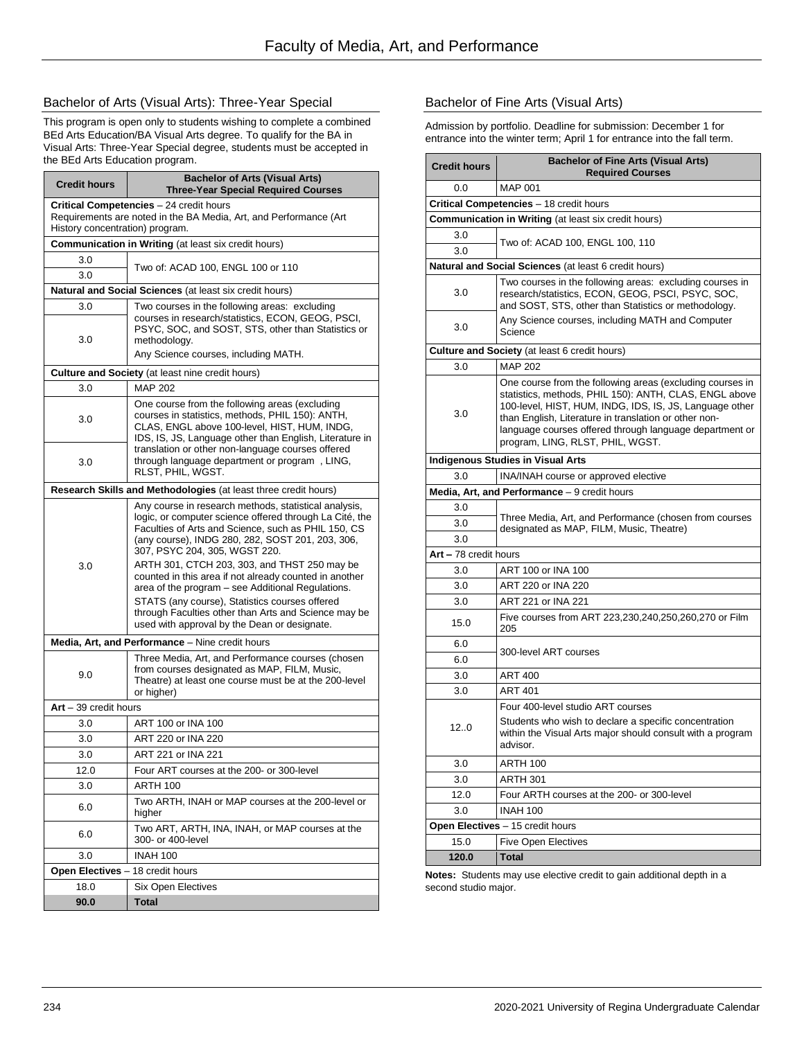### Bachelor of Arts (Visual Arts): Three-Year Special

This program is open only to students wishing to complete a combined BEd Arts Education/BA Visual Arts degree. To qualify for the BA in Visual Arts: Three-Year Special degree, students must be accepted in the BEd Arts Education program.

| <b>Credit hours</b>                                                                                  | <b>Bachelor of Arts (Visual Arts)</b><br><b>Three-Year Special Required Courses</b>                                                                                                                                                                                                                          |  |
|------------------------------------------------------------------------------------------------------|--------------------------------------------------------------------------------------------------------------------------------------------------------------------------------------------------------------------------------------------------------------------------------------------------------------|--|
|                                                                                                      | Critical Competencies - 24 credit hours                                                                                                                                                                                                                                                                      |  |
| Requirements are noted in the BA Media, Art, and Performance (Art<br>History concentration) program. |                                                                                                                                                                                                                                                                                                              |  |
|                                                                                                      | <b>Communication in Writing (at least six credit hours)</b>                                                                                                                                                                                                                                                  |  |
| 3.0<br>3.0                                                                                           | Two of: ACAD 100, ENGL 100 or 110                                                                                                                                                                                                                                                                            |  |
|                                                                                                      | <b>Natural and Social Sciences</b> (at least six credit hours)                                                                                                                                                                                                                                               |  |
| 3.0                                                                                                  | Two courses in the following areas: excluding                                                                                                                                                                                                                                                                |  |
| 3.0                                                                                                  | courses in research/statistics, ECON, GEOG, PSCI,<br>PSYC, SOC, and SOST, STS, other than Statistics or<br>methodology.                                                                                                                                                                                      |  |
|                                                                                                      | Any Science courses, including MATH.                                                                                                                                                                                                                                                                         |  |
|                                                                                                      | <b>Culture and Society</b> (at least nine credit hours)                                                                                                                                                                                                                                                      |  |
| 3.0                                                                                                  | MAP 202                                                                                                                                                                                                                                                                                                      |  |
| 3.0                                                                                                  | One course from the following areas (excluding<br>courses in statistics, methods, PHIL 150): ANTH,<br>CLAS, ENGL above 100-level, HIST, HUM, INDG,<br>IDS, IS, JS, Language other than English, Literature in<br>translation or other non-language courses offered                                           |  |
| 3.0                                                                                                  | through language department or program, LING,<br>RLST, PHIL, WGST.                                                                                                                                                                                                                                           |  |
|                                                                                                      | Research Skills and Methodologies (at least three credit hours)                                                                                                                                                                                                                                              |  |
| 3.0                                                                                                  | Any course in research methods, statistical analysis,<br>logic, or computer science offered through La Cité, the<br>Faculties of Arts and Science, such as PHIL 150, CS<br>(any course), INDG 280, 282, SOST 201, 203, 306,<br>307, PSYC 204, 305, WGST 220.<br>ARTH 301, CTCH 203, 303, and THST 250 may be |  |
|                                                                                                      | counted in this area if not already counted in another<br>area of the program – see Additional Regulations.<br>STATS (any course), Statistics courses offered<br>through Faculties other than Arts and Science may be<br>used with approval by the Dean or designate.                                        |  |
|                                                                                                      | Media, Art, and Performance - Nine credit hours                                                                                                                                                                                                                                                              |  |
| 9.0                                                                                                  | Three Media, Art, and Performance courses (chosen<br>from courses designated as MAP, FILM, Music,<br>Theatre) at least one course must be at the 200-level<br>or higher)                                                                                                                                     |  |
| Art - 39 credit hours                                                                                |                                                                                                                                                                                                                                                                                                              |  |
| 3.0                                                                                                  | ART 100 or INA 100                                                                                                                                                                                                                                                                                           |  |
| 3.0                                                                                                  | ART 220 or INA 220                                                                                                                                                                                                                                                                                           |  |
| 3.0                                                                                                  | ART 221 or INA 221                                                                                                                                                                                                                                                                                           |  |
| 12.0                                                                                                 | Four ART courses at the 200- or 300-level                                                                                                                                                                                                                                                                    |  |
| 3.0                                                                                                  | <b>ARTH 100</b>                                                                                                                                                                                                                                                                                              |  |
| 6.0                                                                                                  | Two ARTH, INAH or MAP courses at the 200-level or<br>higher                                                                                                                                                                                                                                                  |  |
| 6.0                                                                                                  | Two ART, ARTH, INA, INAH, or MAP courses at the<br>300- or 400-level                                                                                                                                                                                                                                         |  |
| 3.0                                                                                                  | <b>INAH 100</b>                                                                                                                                                                                                                                                                                              |  |
| Open Electives - 18 credit hours                                                                     |                                                                                                                                                                                                                                                                                                              |  |
| 18.0                                                                                                 | <b>Six Open Electives</b>                                                                                                                                                                                                                                                                                    |  |
| 90.0                                                                                                 | <b>Total</b>                                                                                                                                                                                                                                                                                                 |  |

### Bachelor of Fine Arts (Visual Arts)

Admission by portfolio. Deadline for submission: December 1 for entrance into the winter term; April 1 for entrance into the fall term.

| <b>Credit hours</b>                                         | <b>Bachelor of Fine Arts (Visual Arts)</b><br><b>Required Courses</b>                                                                                                                                                                                                                                                                  |  |  |
|-------------------------------------------------------------|----------------------------------------------------------------------------------------------------------------------------------------------------------------------------------------------------------------------------------------------------------------------------------------------------------------------------------------|--|--|
| 0.0                                                         | <b>MAP 001</b>                                                                                                                                                                                                                                                                                                                         |  |  |
|                                                             | Critical Competencies - 18 credit hours                                                                                                                                                                                                                                                                                                |  |  |
| <b>Communication in Writing (at least six credit hours)</b> |                                                                                                                                                                                                                                                                                                                                        |  |  |
| 3.0<br>3.0                                                  | Two of: ACAD 100, ENGL 100, 110                                                                                                                                                                                                                                                                                                        |  |  |
|                                                             | Natural and Social Sciences (at least 6 credit hours)                                                                                                                                                                                                                                                                                  |  |  |
| 3.0                                                         | Two courses in the following areas: excluding courses in<br>research/statistics, ECON, GEOG, PSCI, PSYC, SOC,<br>and SOST, STS, other than Statistics or methodology.                                                                                                                                                                  |  |  |
| 3.0                                                         | Any Science courses, including MATH and Computer<br>Science                                                                                                                                                                                                                                                                            |  |  |
|                                                             | <b>Culture and Society</b> (at least 6 credit hours)                                                                                                                                                                                                                                                                                   |  |  |
| 3.0                                                         | <b>MAP 202</b>                                                                                                                                                                                                                                                                                                                         |  |  |
| 3.0                                                         | One course from the following areas (excluding courses in<br>statistics, methods, PHIL 150): ANTH, CLAS, ENGL above<br>100-level, HIST, HUM, INDG, IDS, IS, JS, Language other<br>than English, Literature in translation or other non-<br>language courses offered through language department or<br>program, LING, RLST, PHIL, WGST. |  |  |
|                                                             | <b>Indigenous Studies in Visual Arts</b>                                                                                                                                                                                                                                                                                               |  |  |
| 3.0                                                         | INA/INAH course or approved elective                                                                                                                                                                                                                                                                                                   |  |  |
|                                                             | Media, Art, and Performance - 9 credit hours                                                                                                                                                                                                                                                                                           |  |  |
| 3.0                                                         |                                                                                                                                                                                                                                                                                                                                        |  |  |
| 3.0                                                         | Three Media, Art, and Performance (chosen from courses<br>designated as MAP, FILM, Music, Theatre)                                                                                                                                                                                                                                     |  |  |
| 3.0                                                         |                                                                                                                                                                                                                                                                                                                                        |  |  |
| Art - 78 credit hours                                       |                                                                                                                                                                                                                                                                                                                                        |  |  |
| 3.0                                                         | ART 100 or INA 100                                                                                                                                                                                                                                                                                                                     |  |  |
| 3.0                                                         | ART 220 or INA 220                                                                                                                                                                                                                                                                                                                     |  |  |
| 3.0                                                         | ART 221 or INA 221                                                                                                                                                                                                                                                                                                                     |  |  |
| 15.0                                                        | Five courses from ART 223,230,240,250,260,270 or Film<br>205                                                                                                                                                                                                                                                                           |  |  |
| 6.0                                                         | 300-level ART courses                                                                                                                                                                                                                                                                                                                  |  |  |
| 6.0                                                         |                                                                                                                                                                                                                                                                                                                                        |  |  |
| 3.0                                                         | <b>ART 400</b>                                                                                                                                                                                                                                                                                                                         |  |  |
| 3.0                                                         | <b>ART 401</b>                                                                                                                                                                                                                                                                                                                         |  |  |
| 120                                                         | Four 400-level studio ART courses<br>Students who wish to declare a specific concentration<br>within the Visual Arts major should consult with a program<br>advisor.                                                                                                                                                                   |  |  |
| 3.0                                                         | ARTH 100                                                                                                                                                                                                                                                                                                                               |  |  |
| 3.0                                                         | ARTH 301                                                                                                                                                                                                                                                                                                                               |  |  |
| 12.0                                                        | Four ARTH courses at the 200- or 300-level                                                                                                                                                                                                                                                                                             |  |  |
| 3.0                                                         | <b>INAH 100</b>                                                                                                                                                                                                                                                                                                                        |  |  |
|                                                             | Open Electives - 15 credit hours                                                                                                                                                                                                                                                                                                       |  |  |
| 15.0                                                        | <b>Five Open Electives</b>                                                                                                                                                                                                                                                                                                             |  |  |
| 120.0                                                       | Total                                                                                                                                                                                                                                                                                                                                  |  |  |

**Notes:** Students may use elective credit to gain additional depth in a second studio major.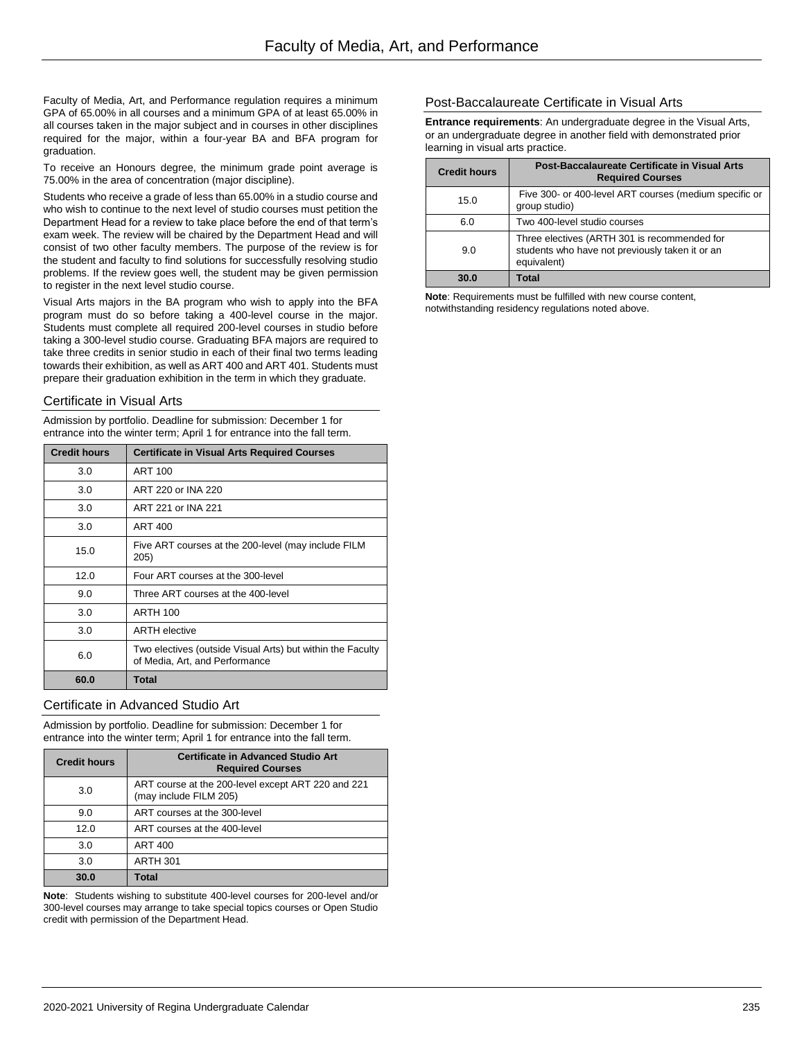Faculty of Media, Art, and Performance regulation requires a minimum GPA of 65.00% in all courses and a minimum GPA of at least 65.00% in all courses taken in the major subject and in courses in other disciplines required for the major, within a four-year BA and BFA program for graduation.

To receive an Honours degree, the minimum grade point average is 75.00% in the area of concentration (major discipline).

Students who receive a grade of less than 65.00% in a studio course and who wish to continue to the next level of studio courses must petition the Department Head for a review to take place before the end of that term's exam week. The review will be chaired by the Department Head and will consist of two other faculty members. The purpose of the review is for the student and faculty to find solutions for successfully resolving studio problems. If the review goes well, the student may be given permission to register in the next level studio course.

Visual Arts majors in the BA program who wish to apply into the BFA program must do so before taking a 400-level course in the major. Students must complete all required 200-level courses in studio before taking a 300-level studio course. Graduating BFA majors are required to take three credits in senior studio in each of their final two terms leading towards their exhibition, as well as ART 400 and ART 401. Students must prepare their graduation exhibition in the term in which they graduate.

### Certificate in Visual Arts

Admission by portfolio. Deadline for submission: December 1 for entrance into the winter term; April 1 for entrance into the fall term.

| <b>Credit hours</b> | <b>Certificate in Visual Arts Required Courses</b>                                           |
|---------------------|----------------------------------------------------------------------------------------------|
| 3.0                 | <b>ART 100</b>                                                                               |
| 3.0                 | ART 220 or INA 220                                                                           |
| 3.0                 | ART 221 or INA 221                                                                           |
| 3.0                 | ART 400                                                                                      |
| 15.0                | Five ART courses at the 200-level (may include FILM<br>205)                                  |
| 12.0                | Four ART courses at the 300-level                                                            |
| 9.0                 | Three ART courses at the 400-level                                                           |
| 3.0                 | <b>ARTH 100</b>                                                                              |
| 3.0                 | <b>ARTH elective</b>                                                                         |
| 6.0                 | Two electives (outside Visual Arts) but within the Faculty<br>of Media, Art, and Performance |
| 60.0                | <b>Total</b>                                                                                 |

### Certificate in Advanced Studio Art

Admission by portfolio. Deadline for submission: December 1 for entrance into the winter term; April 1 for entrance into the fall term.

| <b>Credit hours</b> | <b>Certificate in Advanced Studio Art</b><br><b>Required Courses</b>         |
|---------------------|------------------------------------------------------------------------------|
| 3.0                 | ART course at the 200-level except ART 220 and 221<br>(may include FILM 205) |
| 9.0                 | ART courses at the 300-level                                                 |
| 12.0                | ART courses at the 400-level                                                 |
| 3.0                 | <b>ART 400</b>                                                               |
| 3.0                 | <b>ARTH 301</b>                                                              |
| 30.0                | Total                                                                        |

**Note**: Students wishing to substitute 400-level courses for 200-level and/or 300-level courses may arrange to take special topics courses or Open Studio credit with permission of the Department Head.

### Post-Baccalaureate Certificate in Visual Arts

**Entrance requirements**: An undergraduate degree in the Visual Arts, or an undergraduate degree in another field with demonstrated prior learning in visual arts practice.

| <b>Credit hours</b> | Post-Baccalaureate Certificate in Visual Arts<br><b>Required Courses</b>                                       |
|---------------------|----------------------------------------------------------------------------------------------------------------|
| 15.0                | Five 300- or 400-level ART courses (medium specific or<br>group studio)                                        |
| 6.0                 | Two 400-level studio courses                                                                                   |
| 9.0                 | Three electives (ARTH 301 is recommended for<br>students who have not previously taken it or an<br>equivalent) |
| 30.0                | Total                                                                                                          |

**Note**: Requirements must be fulfilled with new course content, notwithstanding residency regulations noted above.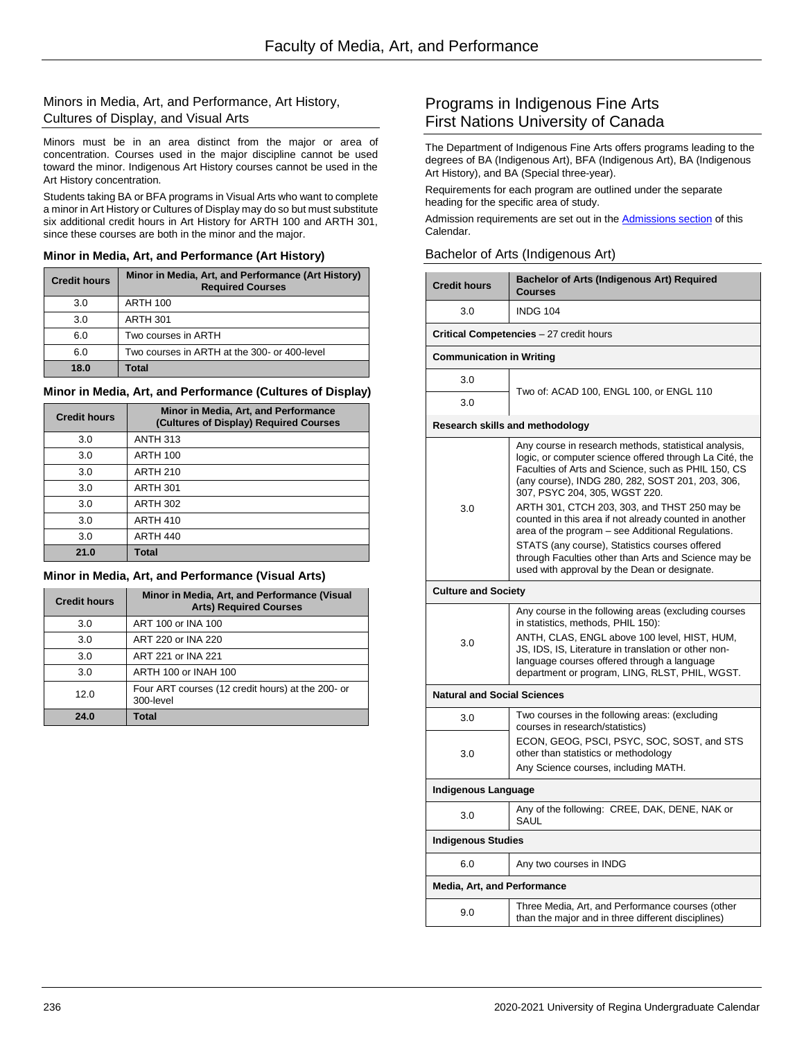### Minors in Media, Art, and Performance, Art History, Cultures of Display, and Visual Arts

Minors must be in an area distinct from the major or area of concentration. Courses used in the major discipline cannot be used toward the minor. Indigenous Art History courses cannot be used in the Art History concentration.

Students taking BA or BFA programs in Visual Arts who want to complete a minor in Art History or Cultures of Display may do so but must substitute six additional credit hours in Art History for ARTH 100 and ARTH 301, since these courses are both in the minor and the major.

### **Minor in Media, Art, and Performance (Art History)**

| <b>Credit hours</b> | Minor in Media, Art, and Performance (Art History)<br><b>Required Courses</b> |
|---------------------|-------------------------------------------------------------------------------|
| 3.0                 | <b>ARTH 100</b>                                                               |
| 3.0                 | <b>ARTH 301</b>                                                               |
| 6.0                 | Two courses in ARTH                                                           |
| 6.0                 | Two courses in ARTH at the 300- or 400-level                                  |
| 18.0                | Total                                                                         |

### **Minor in Media, Art, and Performance (Cultures of Display)**

| <b>Credit hours</b> | Minor in Media, Art, and Performance<br>(Cultures of Display) Required Courses |
|---------------------|--------------------------------------------------------------------------------|
| 3.0                 | <b>ANTH 313</b>                                                                |
| 3.0                 | <b>ARTH 100</b>                                                                |
| 3.0                 | <b>ARTH 210</b>                                                                |
| 3.0                 | <b>ARTH 301</b>                                                                |
| 3.0                 | <b>ARTH 302</b>                                                                |
| 3.0                 | <b>ARTH 410</b>                                                                |
| 3.0                 | <b>ARTH 440</b>                                                                |
| 21.0                | <b>Total</b>                                                                   |

### **Minor in Media, Art, and Performance (Visual Arts)**

| <b>Credit hours</b> | Minor in Media, Art, and Performance (Visual<br><b>Arts) Required Courses</b> |
|---------------------|-------------------------------------------------------------------------------|
| 3.0                 | ART 100 or INA 100                                                            |
| 3.0                 | ART 220 or INA 220                                                            |
| 3.0                 | ART 221 or INA 221                                                            |
| 3.0                 | ARTH 100 or INAH 100                                                          |
| 12.0                | Four ART courses (12 credit hours) at the 200- or<br>300-level                |
| 24.0                | Total                                                                         |

# Programs in Indigenous Fine Arts First Nations University of Canada

The Department of Indigenous Fine Arts offers programs leading to the degrees of BA (Indigenous Art), BFA (Indigenous Art), BA (Indigenous Art History), and BA (Special three-year).

Requirements for each program are outlined under the separate heading for the specific area of study.

Admission requirements are set out in the Admissions section of this Calendar.

### Bachelor of Arts (Indigenous Art)

|                                    | <b>Bachelor of Arts (Indigenous Art) Required</b>                                                                                                                                                                                                                                                                                                                                                                                                                                                                                                                                     |  |
|------------------------------------|---------------------------------------------------------------------------------------------------------------------------------------------------------------------------------------------------------------------------------------------------------------------------------------------------------------------------------------------------------------------------------------------------------------------------------------------------------------------------------------------------------------------------------------------------------------------------------------|--|
| <b>Credit hours</b>                | Courses                                                                                                                                                                                                                                                                                                                                                                                                                                                                                                                                                                               |  |
| 3.0                                | <b>INDG 104</b>                                                                                                                                                                                                                                                                                                                                                                                                                                                                                                                                                                       |  |
|                                    | <b>Critical Competencies</b> - 27 credit hours                                                                                                                                                                                                                                                                                                                                                                                                                                                                                                                                        |  |
| <b>Communication in Writing</b>    |                                                                                                                                                                                                                                                                                                                                                                                                                                                                                                                                                                                       |  |
| 3.0                                | Two of: ACAD 100, ENGL 100, or ENGL 110                                                                                                                                                                                                                                                                                                                                                                                                                                                                                                                                               |  |
| 3.0                                |                                                                                                                                                                                                                                                                                                                                                                                                                                                                                                                                                                                       |  |
|                                    | Research skills and methodology                                                                                                                                                                                                                                                                                                                                                                                                                                                                                                                                                       |  |
| 3.0                                | Any course in research methods, statistical analysis,<br>logic, or computer science offered through La Cité, the<br>Faculties of Arts and Science, such as PHIL 150, CS<br>(any course), INDG 280, 282, SOST 201, 203, 306,<br>307, PSYC 204, 305, WGST 220.<br>ARTH 301, CTCH 203, 303, and THST 250 may be<br>counted in this area if not already counted in another<br>area of the program - see Additional Regulations.<br>STATS (any course), Statistics courses offered<br>through Faculties other than Arts and Science may be<br>used with approval by the Dean or designate. |  |
| <b>Culture and Society</b>         |                                                                                                                                                                                                                                                                                                                                                                                                                                                                                                                                                                                       |  |
| 3.0                                | Any course in the following areas (excluding courses<br>in statistics, methods, PHIL 150):<br>ANTH, CLAS, ENGL above 100 level, HIST, HUM,<br>JS, IDS, IS, Literature in translation or other non-<br>language courses offered through a language<br>department or program, LING, RLST, PHIL, WGST.                                                                                                                                                                                                                                                                                   |  |
| <b>Natural and Social Sciences</b> |                                                                                                                                                                                                                                                                                                                                                                                                                                                                                                                                                                                       |  |
| 3.0                                | Two courses in the following areas: (excluding                                                                                                                                                                                                                                                                                                                                                                                                                                                                                                                                        |  |
| 3.0                                | courses in research/statistics)<br>ECON, GEOG, PSCI, PSYC, SOC, SOST, and STS<br>other than statistics or methodology<br>Any Science courses, including MATH.                                                                                                                                                                                                                                                                                                                                                                                                                         |  |
| Indigenous Language                |                                                                                                                                                                                                                                                                                                                                                                                                                                                                                                                                                                                       |  |
| 3.0                                | Any of the following: CREE, DAK, DENE, NAK or<br>SAUL                                                                                                                                                                                                                                                                                                                                                                                                                                                                                                                                 |  |
| <b>Indigenous Studies</b>          |                                                                                                                                                                                                                                                                                                                                                                                                                                                                                                                                                                                       |  |
| 6.0                                | Any two courses in INDG                                                                                                                                                                                                                                                                                                                                                                                                                                                                                                                                                               |  |
| <b>Media, Art, and Performance</b> |                                                                                                                                                                                                                                                                                                                                                                                                                                                                                                                                                                                       |  |
| 9.0                                | Three Media, Art, and Performance courses (other<br>than the major and in three different disciplines)                                                                                                                                                                                                                                                                                                                                                                                                                                                                                |  |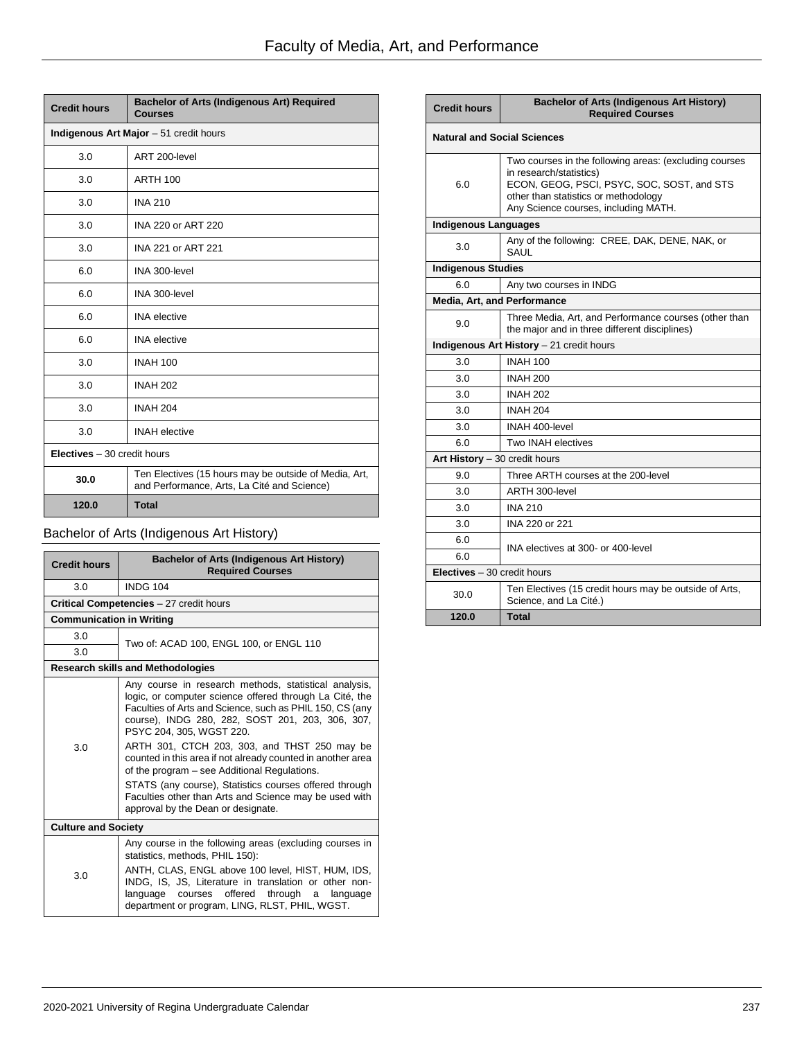| <b>Credit hours</b>         | Bachelor of Arts (Indigenous Art) Required<br><b>Courses</b>                                         |  |  |
|-----------------------------|------------------------------------------------------------------------------------------------------|--|--|
|                             | Indigenous Art Major - 51 credit hours                                                               |  |  |
| 3.0                         | ART 200-level                                                                                        |  |  |
| 3.0                         | <b>ARTH 100</b>                                                                                      |  |  |
| 3.0                         | <b>INA 210</b>                                                                                       |  |  |
| 3.0                         | INA 220 or ART 220                                                                                   |  |  |
| 3.0                         | INA 221 or ART 221                                                                                   |  |  |
| 6.0                         | INA 300-level                                                                                        |  |  |
| 6.0                         | INA 300-level                                                                                        |  |  |
| 6.0                         | <b>INA</b> elective                                                                                  |  |  |
| 6.0                         | <b>INA</b> elective                                                                                  |  |  |
| 3.0                         | <b>INAH 100</b>                                                                                      |  |  |
| 3.0                         | <b>INAH 202</b>                                                                                      |  |  |
| 3.0                         | <b>INAH 204</b>                                                                                      |  |  |
| 3.0                         | <b>INAH</b> elective                                                                                 |  |  |
| Electives - 30 credit hours |                                                                                                      |  |  |
| 30.0                        | Ten Electives (15 hours may be outside of Media, Art,<br>and Performance, Arts, La Cité and Science) |  |  |
| 120.0                       | <b>Total</b>                                                                                         |  |  |

# Bachelor of Arts (Indigenous Art History)

| <b>Credit hours</b>             | <b>Bachelor of Arts (Indigenous Art History)</b><br><b>Required Courses</b>                                                                                                                                                                                                                                                                                                                                                                                                                                                                                                           |  |
|---------------------------------|---------------------------------------------------------------------------------------------------------------------------------------------------------------------------------------------------------------------------------------------------------------------------------------------------------------------------------------------------------------------------------------------------------------------------------------------------------------------------------------------------------------------------------------------------------------------------------------|--|
| 3.0                             | <b>INDG 104</b>                                                                                                                                                                                                                                                                                                                                                                                                                                                                                                                                                                       |  |
|                                 | Critical Competencies - 27 credit hours                                                                                                                                                                                                                                                                                                                                                                                                                                                                                                                                               |  |
| <b>Communication in Writing</b> |                                                                                                                                                                                                                                                                                                                                                                                                                                                                                                                                                                                       |  |
| 3.0                             | Two of: ACAD 100, ENGL 100, or ENGL 110                                                                                                                                                                                                                                                                                                                                                                                                                                                                                                                                               |  |
| 3.0                             |                                                                                                                                                                                                                                                                                                                                                                                                                                                                                                                                                                                       |  |
|                                 | <b>Research skills and Methodologies</b>                                                                                                                                                                                                                                                                                                                                                                                                                                                                                                                                              |  |
| 3.0                             | Any course in research methods, statistical analysis,<br>logic, or computer science offered through La Cité, the<br>Faculties of Arts and Science, such as PHIL 150, CS (any<br>course), INDG 280, 282, SOST 201, 203, 306, 307,<br>PSYC 204, 305, WGST 220.<br>ARTH 301, CTCH 203, 303, and THST 250 may be<br>counted in this area if not already counted in another area<br>of the program – see Additional Regulations.<br>STATS (any course), Statistics courses offered through<br>Faculties other than Arts and Science may be used with<br>approval by the Dean or designate. |  |
| <b>Culture and Society</b>      |                                                                                                                                                                                                                                                                                                                                                                                                                                                                                                                                                                                       |  |
| 3.0                             | Any course in the following areas (excluding courses in<br>statistics, methods, PHIL 150):<br>ANTH, CLAS, ENGL above 100 level, HIST, HUM, IDS,<br>INDG, IS, JS, Literature in translation or other non-<br>offered<br>through<br>courses<br>language<br>language<br>a<br>department or program, LING, RLST, PHIL, WGST.                                                                                                                                                                                                                                                              |  |

| <b>Credit hours</b>                 | <b>Bachelor of Arts (Indigenous Art History)</b><br><b>Required Courses</b>                                                                                                                                     |  |
|-------------------------------------|-----------------------------------------------------------------------------------------------------------------------------------------------------------------------------------------------------------------|--|
|                                     | <b>Natural and Social Sciences</b>                                                                                                                                                                              |  |
| 6.0                                 | Two courses in the following areas: (excluding courses<br>in research/statistics)<br>ECON, GEOG, PSCI, PSYC, SOC, SOST, and STS<br>other than statistics or methodology<br>Any Science courses, including MATH. |  |
| <b>Indigenous Languages</b>         |                                                                                                                                                                                                                 |  |
| 3.0                                 | Any of the following: CREE, DAK, DENE, NAK, or<br>SAUL                                                                                                                                                          |  |
| <b>Indigenous Studies</b>           |                                                                                                                                                                                                                 |  |
| 6.0                                 | Any two courses in INDG                                                                                                                                                                                         |  |
| Media, Art, and Performance         |                                                                                                                                                                                                                 |  |
| 9.0                                 | Three Media, Art, and Performance courses (other than<br>the major and in three different disciplines)                                                                                                          |  |
|                                     | Indigenous Art History - 21 credit hours                                                                                                                                                                        |  |
| 3.0                                 | <b>INAH 100</b>                                                                                                                                                                                                 |  |
| 3.0                                 | <b>INAH 200</b>                                                                                                                                                                                                 |  |
| 3.0                                 | <b>INAH 202</b>                                                                                                                                                                                                 |  |
| 3.0                                 | <b>INAH 204</b>                                                                                                                                                                                                 |  |
| 3.0                                 | INAH 400-level                                                                                                                                                                                                  |  |
| 6.0                                 | Two INAH electives                                                                                                                                                                                              |  |
| Art History $-30$ credit hours      |                                                                                                                                                                                                                 |  |
| 9.0                                 | Three ARTH courses at the 200-level                                                                                                                                                                             |  |
| 3.0                                 | ARTH 300-level                                                                                                                                                                                                  |  |
| 3.0                                 | <b>INA 210</b>                                                                                                                                                                                                  |  |
| 3.0                                 | INA 220 or 221                                                                                                                                                                                                  |  |
| 6.0                                 | INA electives at 300- or 400-level                                                                                                                                                                              |  |
| 6.0                                 |                                                                                                                                                                                                                 |  |
| <b>Electives</b> $-30$ credit hours |                                                                                                                                                                                                                 |  |
| 30.0                                | Ten Electives (15 credit hours may be outside of Arts,<br>Science, and La Cité.)                                                                                                                                |  |
| 120.0                               | <b>Total</b>                                                                                                                                                                                                    |  |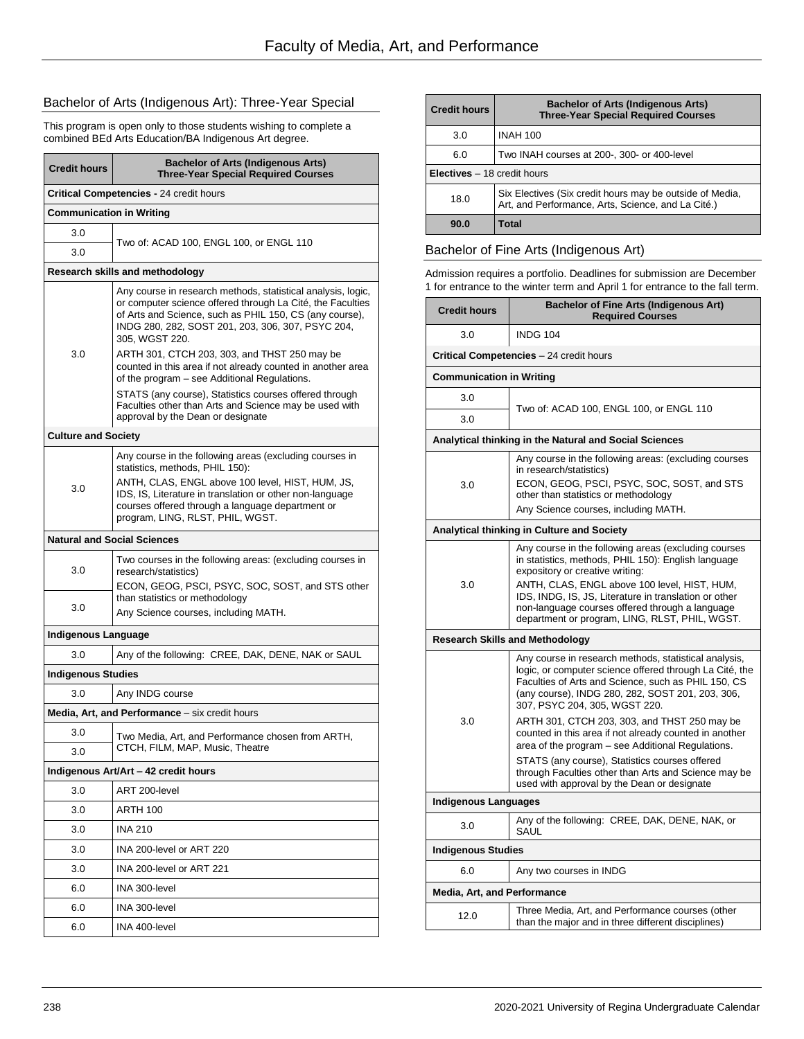# Bachelor of Arts (Indigenous Art): Three-Year Special

This program is open only to those students wishing to complete a combined BEd Arts Education/BA Indigenous Art degree.

| <b>Credit hours</b>                  | <b>Bachelor of Arts (Indigenous Arts)</b><br><b>Three-Year Special Required Courses</b>                                                                                                                                                                                                            |  |
|--------------------------------------|----------------------------------------------------------------------------------------------------------------------------------------------------------------------------------------------------------------------------------------------------------------------------------------------------|--|
|                                      | <b>Critical Competencies - 24 credit hours</b>                                                                                                                                                                                                                                                     |  |
| <b>Communication in Writing</b>      |                                                                                                                                                                                                                                                                                                    |  |
| 3.0                                  |                                                                                                                                                                                                                                                                                                    |  |
| 3.0                                  | Two of: ACAD 100, ENGL 100, or ENGL 110                                                                                                                                                                                                                                                            |  |
|                                      | Research skills and methodology                                                                                                                                                                                                                                                                    |  |
|                                      | Any course in research methods, statistical analysis, logic,<br>or computer science offered through La Cité, the Faculties<br>of Arts and Science, such as PHIL 150, CS (any course),<br>INDG 280, 282, SOST 201, 203, 306, 307, PSYC 204,<br>305, WGST 220.                                       |  |
| 3.0                                  | ARTH 301, CTCH 203, 303, and THST 250 may be<br>counted in this area if not already counted in another area<br>of the program – see Additional Regulations.                                                                                                                                        |  |
|                                      | STATS (any course), Statistics courses offered through<br>Faculties other than Arts and Science may be used with<br>approval by the Dean or designate                                                                                                                                              |  |
| <b>Culture and Society</b>           |                                                                                                                                                                                                                                                                                                    |  |
| 3.0                                  | Any course in the following areas (excluding courses in<br>statistics, methods, PHIL 150):<br>ANTH, CLAS, ENGL above 100 level, HIST, HUM, JS,<br>IDS, IS, Literature in translation or other non-language<br>courses offered through a language department or<br>program, LING, RLST, PHIL, WGST. |  |
|                                      | <b>Natural and Social Sciences</b>                                                                                                                                                                                                                                                                 |  |
| 3.0                                  | Two courses in the following areas: (excluding courses in<br>research/statistics)<br>ECON, GEOG, PSCI, PSYC, SOC, SOST, and STS other                                                                                                                                                              |  |
| 3.0                                  | than statistics or methodology<br>Any Science courses, including MATH.                                                                                                                                                                                                                             |  |
| <b>Indigenous Language</b>           |                                                                                                                                                                                                                                                                                                    |  |
| 3.0                                  | Any of the following: CREE, DAK, DENE, NAK or SAUL                                                                                                                                                                                                                                                 |  |
| <b>Indigenous Studies</b>            |                                                                                                                                                                                                                                                                                                    |  |
| 3.0                                  | Any INDG course                                                                                                                                                                                                                                                                                    |  |
|                                      | Media, Art, and Performance - six credit hours                                                                                                                                                                                                                                                     |  |
| 3.0                                  | Two Media, Art, and Performance chosen from ARTH,                                                                                                                                                                                                                                                  |  |
| 3.0                                  | CTCH, FILM, MAP, Music, Theatre                                                                                                                                                                                                                                                                    |  |
| Indigenous Art/Art - 42 credit hours |                                                                                                                                                                                                                                                                                                    |  |
| 3.0                                  | ART 200-level                                                                                                                                                                                                                                                                                      |  |
| 3.0                                  | ARTH 100                                                                                                                                                                                                                                                                                           |  |
| 3.0                                  | <b>INA 210</b>                                                                                                                                                                                                                                                                                     |  |
| 3.0                                  | INA 200-level or ART 220                                                                                                                                                                                                                                                                           |  |
| 3.0                                  | INA 200-level or ART 221                                                                                                                                                                                                                                                                           |  |
| 6.0                                  | INA 300-level                                                                                                                                                                                                                                                                                      |  |
| 6.0                                  | INA 300-level                                                                                                                                                                                                                                                                                      |  |
| 6.0                                  | INA 400-level                                                                                                                                                                                                                                                                                      |  |

| <b>Credit hours</b>                 | <b>Bachelor of Arts (Indigenous Arts)</b><br><b>Three-Year Special Required Courses</b>                        |  |
|-------------------------------------|----------------------------------------------------------------------------------------------------------------|--|
| 3.0                                 | <b>INAH 100</b>                                                                                                |  |
| 6.0                                 | Two INAH courses at 200-, 300- or 400-level                                                                    |  |
| <b>Electives</b> $-18$ credit hours |                                                                                                                |  |
| 18.0                                | Six Electives (Six credit hours may be outside of Media,<br>Art, and Performance, Arts, Science, and La Cité.) |  |
| 90.0                                | Total                                                                                                          |  |

### Bachelor of Fine Arts (Indigenous Art)

Admission requires a portfolio. Deadlines for submission are December 1 for entrance to the winter term and April 1 for entrance to the fall term.

| <b>Credit hours</b>                     | <b>Bachelor of Fine Arts (Indigenous Art)</b><br><b>Required Courses</b>                                                                                                                                                                                                                                                                                     |  |  |
|-----------------------------------------|--------------------------------------------------------------------------------------------------------------------------------------------------------------------------------------------------------------------------------------------------------------------------------------------------------------------------------------------------------------|--|--|
| 3.0                                     | <b>INDG 104</b>                                                                                                                                                                                                                                                                                                                                              |  |  |
| Critical Competencies - 24 credit hours |                                                                                                                                                                                                                                                                                                                                                              |  |  |
|                                         | <b>Communication in Writing</b>                                                                                                                                                                                                                                                                                                                              |  |  |
| 3.0                                     |                                                                                                                                                                                                                                                                                                                                                              |  |  |
| 3.0                                     | Two of: ACAD 100, ENGL 100, or ENGL 110                                                                                                                                                                                                                                                                                                                      |  |  |
|                                         | Analytical thinking in the Natural and Social Sciences                                                                                                                                                                                                                                                                                                       |  |  |
| 3.0                                     | Any course in the following areas: (excluding courses<br>in research/statistics)<br>ECON, GEOG, PSCI, PSYC, SOC, SOST, and STS<br>other than statistics or methodology<br>Any Science courses, including MATH.                                                                                                                                               |  |  |
|                                         | <b>Analytical thinking in Culture and Society</b>                                                                                                                                                                                                                                                                                                            |  |  |
| 3.0                                     | Any course in the following areas (excluding courses<br>in statistics, methods, PHIL 150): English language<br>expository or creative writing:<br>ANTH, CLAS, ENGL above 100 level, HIST, HUM,<br>IDS, INDG, IS, JS, Literature in translation or other<br>non-language courses offered through a language<br>department or program, LING, RLST, PHIL, WGST. |  |  |
|                                         | <b>Research Skills and Methodology</b>                                                                                                                                                                                                                                                                                                                       |  |  |
| 3.0                                     | Any course in research methods, statistical analysis,<br>logic, or computer science offered through La Cité, the<br>Faculties of Arts and Science, such as PHIL 150, CS<br>(any course), INDG 280, 282, SOST 201, 203, 306,<br>307, PSYC 204, 305, WGST 220.                                                                                                 |  |  |
|                                         | ARTH 301, CTCH 203, 303, and THST 250 may be<br>counted in this area if not already counted in another<br>area of the program - see Additional Regulations.                                                                                                                                                                                                  |  |  |
|                                         | STATS (any course), Statistics courses offered<br>through Faculties other than Arts and Science may be<br>used with approval by the Dean or designate                                                                                                                                                                                                        |  |  |
| <b>Indigenous Languages</b>             |                                                                                                                                                                                                                                                                                                                                                              |  |  |
| 3.0                                     | Any of the following: CREE, DAK, DENE, NAK, or<br>SAUL                                                                                                                                                                                                                                                                                                       |  |  |
| <b>Indigenous Studies</b>               |                                                                                                                                                                                                                                                                                                                                                              |  |  |
| 6.0                                     | Any two courses in INDG                                                                                                                                                                                                                                                                                                                                      |  |  |
| <b>Media, Art, and Performance</b>      |                                                                                                                                                                                                                                                                                                                                                              |  |  |
| 12.0                                    | Three Media, Art, and Performance courses (other<br>than the major and in three different disciplines)                                                                                                                                                                                                                                                       |  |  |